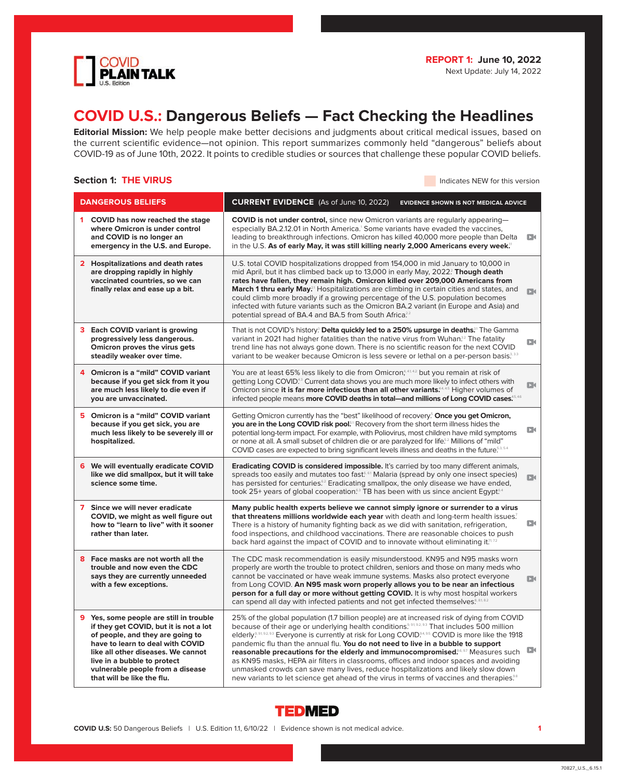

# **COVID U.S.: Dangerous Beliefs — Fact Checking the Headlines**

**Editorial Mission:** We help people make better decisions and judgments about critical medical issues, based on the current scientific evidence—not opinion. This report summarizes commonly held "dangerous" beliefs about COVID-19 as of June 10th, 2022. It points to credible studies or sources that challenge these popular COVID beliefs.

# **Section 1: THE VIRUS Indicates NEW for this version**

|   | <b>DANGEROUS BELIEFS</b>                                                                                                                                                                                                                                                                         | <b>CURRENT EVIDENCE</b> (As of June 10, 2022)<br><b>EVIDENCE SHOWN IS NOT MEDICAL ADVICE</b>                                                                                                                                                                                                                                                                                                                                                                                                                                                                                                                                                                                                                                                                                                                    |              |
|---|--------------------------------------------------------------------------------------------------------------------------------------------------------------------------------------------------------------------------------------------------------------------------------------------------|-----------------------------------------------------------------------------------------------------------------------------------------------------------------------------------------------------------------------------------------------------------------------------------------------------------------------------------------------------------------------------------------------------------------------------------------------------------------------------------------------------------------------------------------------------------------------------------------------------------------------------------------------------------------------------------------------------------------------------------------------------------------------------------------------------------------|--------------|
|   | 1 COVID has now reached the stage<br>where Omicron is under control<br>and COVID is no longer an<br>emergency in the U.S. and Europe.                                                                                                                                                            | <b>COVID is not under control,</b> since new Omicron variants are regularly appearing-<br>especially BA.2.12.01 in North America. <sup>1</sup> Some variants have evaded the vaccines,<br>leading to breakthrough infections. Omicron has killed 40,000 more people than Delta<br>in the U.S. As of early May, it was still killing nearly 2,000 Americans every week."                                                                                                                                                                                                                                                                                                                                                                                                                                         | DК           |
|   | 2 Hospitalizations and death rates<br>are dropping rapidly in highly<br>vaccinated countries, so we can<br>finally relax and ease up a bit.                                                                                                                                                      | U.S. total COVID hospitalizations dropped from 154,000 in mid January to 10,000 in<br>mid April, but it has climbed back up to 13,000 in early May, 2022? Though death<br>rates have fallen, they remain high. Omicron killed over 209,000 Americans from<br>March 1 thru early May. <sup>21</sup> Hospitalizations are climbing in certain cities and states, and<br>could climb more broadly if a growing percentage of the U.S. population becomes<br>infected with future variants such as the Omicron BA.2 variant (in Europe and Asia) and<br>potential spread of BA.4 and BA.5 from South Africa <sup>22</sup>                                                                                                                                                                                           | DК           |
|   | <b>3</b> Each COVID variant is growing<br>progressively less dangerous.<br>Omicron proves the virus gets<br>steadily weaker over time.                                                                                                                                                           | That is not COVID's history? Delta quickly led to a 250% upsurge in deaths. <sup>31</sup> The Gamma<br>variant in 2021 had higher fatalities than the native virus from Wuhan. <sup>32</sup> The fatality<br>trend line has not always gone down. There is no scientific reason for the next COVID<br>variant to be weaker because Omicron is less severe or lethal on a per-person basis. <sup>3,33</sup>                                                                                                                                                                                                                                                                                                                                                                                                      | DК           |
|   | 4 Omicron is a "mild" COVID variant<br>because if you get sick from it you<br>are much less likely to die even if<br>you are unvaccinated.                                                                                                                                                       | You are at least 65% less likely to die from Omicron, <sup>4,41,42</sup> but you remain at risk of<br>getting Long COVID. <sup>4.3</sup> Current data shows you are much more likely to infect others with<br>Omicron since it is far more infectious than all other variants. <sup>44,45</sup> Higher volumes of<br>infected people means more COVID deaths in total—and millions of Long COVID cases. <sup>5,46</sup>                                                                                                                                                                                                                                                                                                                                                                                         | $\Box$       |
|   | 5 Omicron is a "mild" COVID variant<br>because if you get sick, you are<br>much less likely to be severely ill or<br>hospitalized.                                                                                                                                                               | Getting Omicron currently has the "best" likelihood of recovery. <sup>5</sup> Once you get Omicron,<br>you are in the Long COVID risk pool. <sup>51</sup> Recovery from the short term illness hides the<br>potential long-term impact. For example, with Poliovirus, most children have mild symptoms<br>or none at all. A small subset of children die or are paralyzed for life <sup>52</sup> Millions of "mild"<br>COVID cases are expected to bring significant levels illness and deaths in the future. S.S.5.4                                                                                                                                                                                                                                                                                           | D٤           |
| 6 | We will eventually eradicate COVID<br>like we did smallpox, but it will take<br>science some time.                                                                                                                                                                                               | Eradicating COVID is considered impossible. It's carried by too many different animals,<br>spreads too easily and mutates too fast <sup>6,61</sup> Malaria (spread by only one insect species)<br>has persisted for centuries. <sup>52</sup> Eradicating smallpox, the only disease we have ended,<br>took 25+ years of global cooperation. <sup>53</sup> TB has been with us since ancient Egypt. <sup>54</sup>                                                                                                                                                                                                                                                                                                                                                                                                | $\Box$       |
|   | 7 Since we will never eradicate<br>COVID, we might as well figure out<br>how to "learn to live" with it sooner<br>rather than later.                                                                                                                                                             | Many public health experts believe we cannot simply ignore or surrender to a virus<br>that threatens millions worldwide each year with death and long-term health issues?<br>There is a history of humanity fighting back as we did with sanitation, refrigeration,<br>food inspections, and childhood vaccinations. There are reasonable choices to push<br>back hard against the impact of COVID and to innovate without eliminating it.7.7.2                                                                                                                                                                                                                                                                                                                                                                 | $\mathbf{D}$ |
|   | 8 Face masks are not worth all the<br>trouble and now even the CDC<br>says they are currently unneeded<br>with a few exceptions.                                                                                                                                                                 | The CDC mask recommendation is easily misunderstood. KN95 and N95 masks worn<br>properly are worth the trouble to protect children, seniors and those on many meds who<br>cannot be vaccinated or have weak immune systems. Masks also protect everyone<br>from Long COVID. An N95 mask worn properly allows you to be near an infectious<br>person for a full day or more without getting COVID. It is why most hospital workers<br>can spend all day with infected patients and not get infected themselves. <sup>8, 81, 82</sup>                                                                                                                                                                                                                                                                             | $\Box$       |
|   | 9 Yes, some people are still in trouble<br>if they get COVID, but it is not a lot<br>of people, and they are going to<br>have to learn to deal with COVID<br>like all other diseases. We cannot<br>live in a bubble to protect<br>vulnerable people from a disease<br>that will be like the flu. | 25% of the global population (1.7 billion people) are at increased risk of dying from COVID<br>because of their age or underlying health conditions. <sup>9, 91, 92, 93</sup> That includes 500 million<br>elderly. <sup>9,9,9,92,93</sup> Everyone is currently at risk for Long COVID. <sup>94,95</sup> COVID is more like the 1918<br>pandemic flu than the annual flu. You do not need to live in a bubble to support<br>reasonable precautions for the elderly and immunocompromised. <sup>66,97</sup> Measures such<br>as KN95 masks, HEPA air filters in classrooms, offices and indoor spaces and avoiding<br>unmasked crowds can save many lives, reduce hospitalizations and likely slow down<br>new variants to let science get ahead of the virus in terms of vaccines and therapies. <sup>38</sup> | <b>D</b>     |

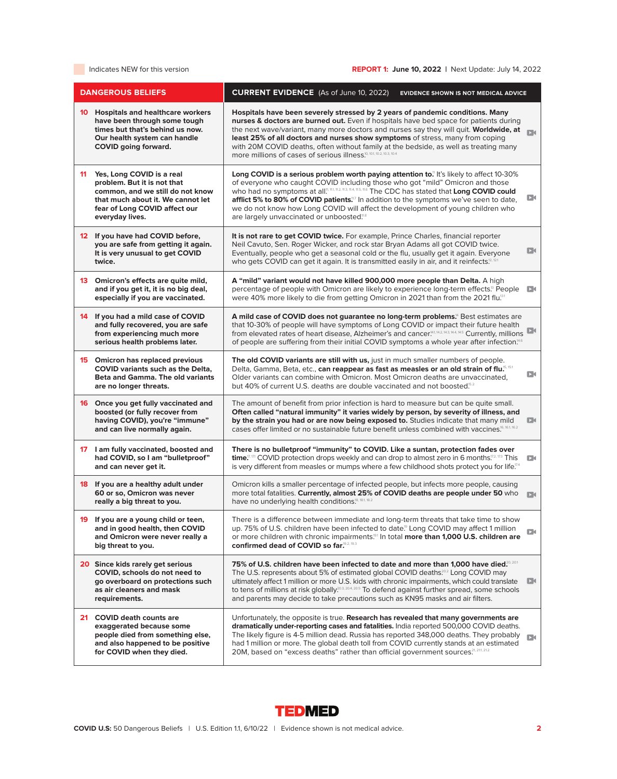# Indicates NEW for this version **REPORT 1: June 10, 2022** | Next Update: July 14, 2022

| <b>DANGEROUS BELIEFS</b>                                                                                                                                                                    | <b>CURRENT EVIDENCE</b> (As of June 10, 2022)<br><b>EVIDENCE SHOWN IS NOT MEDICAL ADVICE</b>                                                                                                                                                                                                                                                                                                                                                                                                                                                  |                |
|---------------------------------------------------------------------------------------------------------------------------------------------------------------------------------------------|-----------------------------------------------------------------------------------------------------------------------------------------------------------------------------------------------------------------------------------------------------------------------------------------------------------------------------------------------------------------------------------------------------------------------------------------------------------------------------------------------------------------------------------------------|----------------|
| <b>10</b> Hospitals and healthcare workers<br>have been through some tough<br>times but that's behind us now.<br>Our health system can handle<br><b>COVID</b> going forward.                | Hospitals have been severely stressed by 2 years of pandemic conditions. Many<br>nurses & doctors are burned out. Even if hospitals have bed space for patients during<br>the next wave/variant, many more doctors and nurses say they will quit. Worldwide, at<br>least 25% of all doctors and nurses show symptoms of stress, many from coping<br>with 20M COVID deaths, often without family at the bedside, as well as treating many<br>more millions of cases of serious illness <sup>10, 10.1, 10.2, 10.3, 10.4</sup>                   | DИ             |
| 11<br>Yes, Long COVID is a real<br>problem. But it is not that<br>common, and we still do not know<br>that much about it. We cannot let<br>fear of Long COVID affect our<br>everyday lives. | Long COVID is a serious problem worth paying attention to." It's likely to affect 10-30%<br>of everyone who caught COVID including those who got "mild" Omicron and those<br>who had no symptoms at all. <sup>11, 11, 11, 11, 11, 11, 11, 116</sup> The CDC has stated that Long COVID could<br>afflict 5% to 80% of COVID patients. <sup>17</sup> In addition to the symptoms we've seen to date,<br>we do not know how Long COVID will affect the development of young children who<br>are largely unvaccinated or unboosted. <sup>18</sup> | D٤             |
| 12 If you have had COVID before,<br>you are safe from getting it again.<br>It is very unusual to get COVID<br>twice.                                                                        | It is not rare to get COVID twice. For example, Prince Charles, financial reporter<br>Neil Cavuto, Sen. Roger Wicker, and rock star Bryan Adams all got COVID twice.<br>Eventually, people who get a seasonal cold or the flu, usually get it again. Everyone<br>who gets COVID can get it again. It is transmitted easily in air, and it reinfects. <sup>[2, 12]</sup>                                                                                                                                                                       | DК             |
| 13 Omicron's effects are quite mild,<br>and if you get it, it is no big deal,<br>especially if you are vaccinated.                                                                          | A "mild" variant would not have killed 900,000 more people than Delta. A high<br>percentage of people with Omicron are likely to experience long-term effects. <sup>13</sup> People<br>were 40% more likely to die from getting Omicron in 2021 than from the 2021 flu.[31                                                                                                                                                                                                                                                                    | $\mathbf{D}$   |
| 14 If you had a mild case of COVID<br>and fully recovered, you are safe<br>from experiencing much more<br>serious health problems later.                                                    | A mild case of COVID does not guarantee no long-term problems. <sup>4</sup> Best estimates are<br>that 10-30% of people will have symptoms of Long COVID or impact their future health<br>from elevated rates of heart disease, Alzheimer's and cancer. [11, 14.2, 14.4, 14.5] Currently, millions<br>of people are suffering from their initial COVID symptoms a whole year after infection. <sup>14.6</sup>                                                                                                                                 |                |
| 15 Omicron has replaced previous<br><b>COVID</b> variants such as the Delta.<br><b>Beta and Gamma, The old variants</b><br>are no longer threats.                                           | The old COVID variants are still with us, just in much smaller numbers of people.<br>Delta, Gamma, Beta, etc., can reappear as fast as measles or an old strain of flu. <sup>5, 151</sup><br>Older variants can combine with Omicron. Most Omicron deaths are unvaccinated,<br>but 40% of current U.S. deaths are double vaccinated and not boosted. <sup>5.2</sup>                                                                                                                                                                           | DО             |
| 16 Once you get fully vaccinated and<br>boosted (or fully recover from<br>having COVID), you're "immune"<br>and can live normally again.                                                    | The amount of benefit from prior infection is hard to measure but can be quite small.<br>Often called "natural immunity" it varies widely by person, by severity of illness, and<br>by the strain you had or are now being exposed to. Studies indicate that many mild<br>Cases offer limited or no sustainable future benefit unless combined with vaccines. <sup>16, 16.1</sup>                                                                                                                                                             | D٩             |
| 17 I am fully vaccinated, boosted and<br>had COVID, so I am "bulletproof"<br>and can never get it.                                                                                          | There is no bulletproof "immunity" to COVID. Like a suntan, protection fades over<br>time. <sup><math>\mathbb{Z}^{[7,72]}</math></sup> COVID protection drops weekly and can drop to almost zero in 6 months. <sup><math>\mathbb{Z}^{2,73}</math></sup> This<br>is very different from measles or mumps where a few childhood shots protect you for life. <sup>774</sup>                                                                                                                                                                      | DК             |
| 18 If you are a healthy adult under<br>60 or so, Omicron was never<br>really a big threat to you.                                                                                           | Omicron kills a smaller percentage of infected people, but infects more people, causing<br>more total fatalities. Currently, almost 25% of COVID deaths are people under 50 who<br>have no underlying health conditions! <sup>8, 18.1, 18.2</sup>                                                                                                                                                                                                                                                                                             | $\Box$         |
| 19 If you are a young child or teen,<br>and in good health, then COVID<br>and Omicron were never really a<br>big threat to you.                                                             | There is a difference between immediate and long-term threats that take time to show<br>up. 75% of U.S. children have been infected to date. <sup>9</sup> Long COVID may affect 1 million<br>or more children with chronic impairments. <sup>[91</sup> In total more than 1,000 U.S. children are<br>confirmed dead of COVID so far. <sup>9.2, 19.3</sup>                                                                                                                                                                                     | DК             |
| 20 Since kids rarely get serious<br>COVID, schools do not need to<br>go overboard on protections such<br>as air cleaners and mask<br>requirements.                                          | 75% of U.S. children have been infected to date and more than 1,000 have died? 201<br>The U.S. represents about 5% of estimated global COVID deaths. <sup>202</sup> Long COVID may<br>ultimately affect 1 million or more U.S. kids with chronic impairments, which could translate<br>to tens of millions at risk globally. <sup>20.3, 20.4, 20.5</sup> To defend against further spread, some schools<br>and parents may decide to take precautions such as KN95 masks and air filters.                                                     | $\mathbf{D}$   |
| 21 COVID death counts are<br>exaggerated because some<br>people died from something else,<br>and also happened to be positive<br>for COVID when they died.                                  | Unfortunately, the opposite is true. Research has revealed that many governments are<br>dramatically under-reporting cases and fatalities. India reported 500,000 COVID deaths.<br>The likely figure is 4-5 million dead. Russia has reported 348,000 deaths. They probably<br>had 1 million or more. The global death toll from COVID currently stands at an estimated<br>20M, based on "excess deaths" rather than official government sources. <sup>21, 211, 21.2</sup>                                                                    | D <sub>0</sub> |

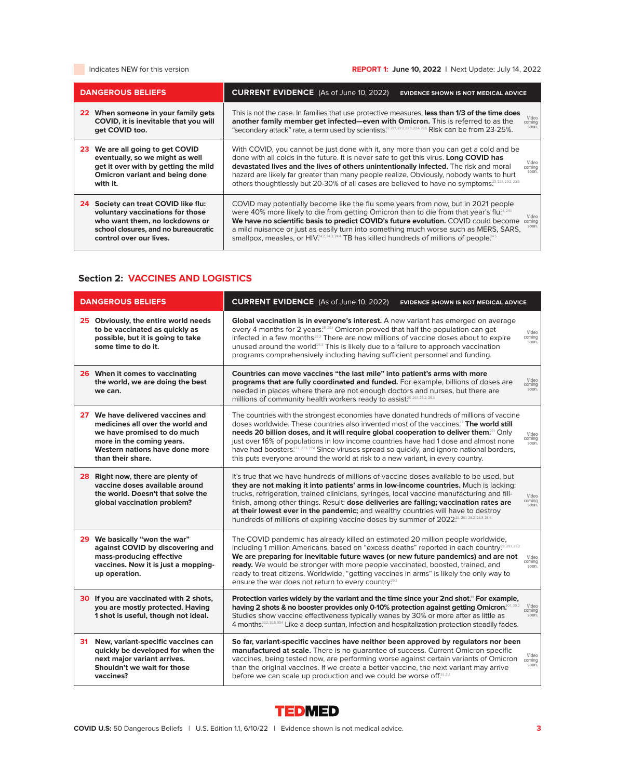# Indicates NEW for this version **REPORT 1: June 10, 2022** | Next Update: July 14, 2022

| <b>DANGEROUS BELIEFS</b>                                                                                                                                                         | <b>CURRENT EVIDENCE</b> (As of June 10, 2022)<br><b>EVIDENCE SHOWN IS NOT MEDICAL ADVICE</b>                                                                                                                                                                                                                                                                                                                                                                                                                            |
|----------------------------------------------------------------------------------------------------------------------------------------------------------------------------------|-------------------------------------------------------------------------------------------------------------------------------------------------------------------------------------------------------------------------------------------------------------------------------------------------------------------------------------------------------------------------------------------------------------------------------------------------------------------------------------------------------------------------|
| 22 When someone in your family gets<br>COVID, it is inevitable that you will<br>get COVID too.                                                                                   | This is not the case. In families that use protective measures, less than 1/3 of the time does<br>Video<br>another family member get infected-even with Omicron. This is referred to as the<br>coming<br>soon<br>"secondary attack" rate, a term used by scientists. <sup>22, 221, 222, 223, 224, 225</sup> Risk can be from 23-25%.                                                                                                                                                                                    |
| 23 We are all going to get COVID<br>eventually, so we might as well<br>get it over with by getting the mild<br><b>Omicron variant and being done</b><br>with it.                 | With COVID, you cannot be just done with it, any more than you can get a cold and be<br>done with all colds in the future. It is never safe to get this virus. Long COVID has<br>Video<br>devastated lives and the lives of others unintentionally infected. The risk and moral<br>coming<br>soon<br>hazard are likely far greater than many people realize. Obviously, nobody wants to hurt                                                                                                                            |
| Society can treat COVID like flu:<br>24<br>voluntary vaccinations for those<br>who want them, no lockdowns or<br>school closures, and no bureaucratic<br>control over our lives. | COVID may potentially become like the flu some years from now, but in 2021 people<br>were 40% more likely to die from getting Omicron than to die from that year's flu. <sup>24, 241</sup><br>Video<br>We have no scientific basis to predict COVID's future evolution. COVID could become<br>coming<br>soon<br>a mild nuisance or just as easily turn into something much worse such as MERS, SARS,<br>smallpox, measles, or HIV <sup>242, 243, 244</sup> TB has killed hundreds of millions of people. <sup>245</sup> |

# **Section 2: VACCINES AND LOGISTICS**

| <b>DANGEROUS BELIEFS</b>                                                                                                                                                                 | <b>CURRENT EVIDENCE</b> (As of June 10, 2022)<br><b>EVIDENCE SHOWN IS NOT MEDICAL ADVICE</b>                                                                                                                                                                                                                                                                                                                                                                                                                                                                                                                |
|------------------------------------------------------------------------------------------------------------------------------------------------------------------------------------------|-------------------------------------------------------------------------------------------------------------------------------------------------------------------------------------------------------------------------------------------------------------------------------------------------------------------------------------------------------------------------------------------------------------------------------------------------------------------------------------------------------------------------------------------------------------------------------------------------------------|
| 25 Obviously, the entire world needs<br>to be vaccinated as quickly as<br>possible, but it is going to take<br>some time to do it.                                                       | Global vaccination is in everyone's interest. A new variant has emerged on average<br>every 4 months for 2 years <sup>25,251</sup> Omicron proved that half the population can get<br>Video<br>infected in a few months? <sup>52</sup> There are now millions of vaccine doses about to expire<br>coming<br>soon.<br>unused around the world. <sup>253</sup> This is likely due to a failure to approach vaccination<br>programs comprehensively including having sufficient personnel and funding.                                                                                                         |
| 26 When it comes to vaccinating<br>the world, we are doing the best<br>we can.                                                                                                           | Countries can move vaccines "the last mile" into patient's arms with more<br>Video<br>programs that are fully coordinated and funded. For example, billions of doses are<br>coming<br>soon.<br>needed in places where there are not enough doctors and nurses, but there are<br>millions of community health workers ready to assist. <sup>26, 26, 26, 26, 26, 26, 26, 26</sup>                                                                                                                                                                                                                             |
| 27 We have delivered vaccines and<br>medicines all over the world and<br>we have promised to do much<br>more in the coming years.<br>Western nations have done more<br>than their share. | The countries with the strongest economies have donated hundreds of millions of vaccine<br>doses worldwide. These countries also invented most of the vaccines?" The world still<br>needs 20 billion doses, and it will require global cooperation to deliver them. <sup>271</sup> Only<br>Video<br>comina<br>just over 16% of populations in low income countries have had 1 dose and almost none<br>soon.<br>have had boosters. <sup>27,2,273, 274</sup> Since viruses spread so quickly, and ignore national borders,<br>this puts everyone around the world at risk to a new variant, in every country. |
| 28 Right now, there are plenty of<br>vaccine doses available around<br>the world. Doesn't that solve the<br>global vaccination problem?                                                  | It's true that we have hundreds of millions of vaccine doses available to be used, but<br>they are not making it into patients' arms in low-income countries. Much is lacking:<br>trucks, refrigeration, trained clinicians, syringes, local vaccine manufacturing and fill-<br>Video<br>coming<br>finish, among other things. Result: dose deliveries are falling; vaccination rates are<br>soon.<br>at their lowest ever in the pandemic; and wealthy countries will have to destroy<br>hundreds of millions of expiring vaccine doses by summer of 2022 <sup>28, 284, 282, 283, 284</sup>                |
| 29 We basically "won the war"<br>against COVID by discovering and<br>mass-producing effective<br>vaccines. Now it is just a mopping-<br>up operation.                                    | The COVID pandemic has already killed an estimated 20 million people worldwide,<br>including 1 million Americans, based on "excess deaths" reported in each country. <sup>29, 291, 292</sup><br>We are preparing for inevitable future waves (or new future pandemics) and are not<br>Video<br>coming<br>ready. We would be stronger with more people vaccinated, boosted, trained, and<br>soon.<br>ready to treat citizens. Worldwide, "getting vaccines in arms" is likely the only way to<br>ensure the war does not return to every country. <sup>29.3</sup>                                            |
| 30 If you are vaccinated with 2 shots,<br>you are mostly protected. Having<br>1 shot is useful, though not ideal.                                                                        | Protection varies widely by the variant and the time since your 2nd shot. <sup>®</sup> For example,<br>Video<br>having 2 shots & no booster provides only 0-10% protection against getting Omicron.<br>coming<br>Studies show vaccine effectiveness typically wanes by 30% or more after as little as<br>soon.<br>4 months. <sup>30,2,30,3</sup> Like a deep suntan, infection and hospitalization protection steadily fades.                                                                                                                                                                               |
| New, variant-specific vaccines can<br>31<br>quickly be developed for when the<br>next major variant arrives.<br>Shouldn't we wait for those<br>vaccines?                                 | So far, variant-specific vaccines have neither been approved by regulators nor been<br>manufactured at scale. There is no quarantee of success. Current Omicron-specific<br>Video<br>vaccines, being tested now, are performing worse against certain variants of Omicron<br>coming<br>soon.<br>than the original vaccines. If we create a better vaccine, the next variant may arrive<br>before we can scale up production and we could be worse off.31, 31.1                                                                                                                                              |

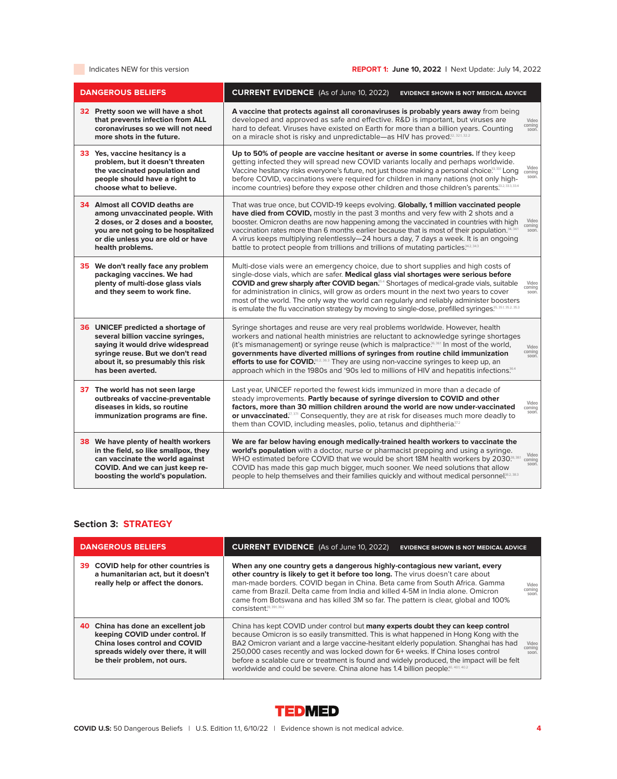# Indicates NEW for this version **REPORT 1: June 10, 2022** | Next Update: July 14, 2022

| <b>DANGEROUS BELIEFS</b>                                                                                                                                                                                 | <b>CURRENT EVIDENCE</b> (As of June 10, 2022)<br><b>EVIDENCE SHOWN IS NOT MEDICAL ADVICE</b>                                                                                                                                                                                                                                                                                                                                                                                                                                                                                                                          |
|----------------------------------------------------------------------------------------------------------------------------------------------------------------------------------------------------------|-----------------------------------------------------------------------------------------------------------------------------------------------------------------------------------------------------------------------------------------------------------------------------------------------------------------------------------------------------------------------------------------------------------------------------------------------------------------------------------------------------------------------------------------------------------------------------------------------------------------------|
| 32 Pretty soon we will have a shot<br>that prevents infection from ALL<br>coronaviruses so we will not need<br>more shots in the future.                                                                 | A vaccine that protects against all coronaviruses is probably years away from being<br>developed and approved as safe and effective. R&D is important, but viruses are<br>Video<br>coming<br>hard to defeat. Viruses have existed on Earth for more than a billion years. Counting<br>soon.<br>on a miracle shot is risky and unpredictable-as HIV has proved <sup>32, 321, 322</sup>                                                                                                                                                                                                                                 |
| 33 Yes, vaccine hesitancy is a<br>problem, but it doesn't threaten<br>the vaccinated population and<br>people should have a right to<br>choose what to believe.                                          | Up to 50% of people are vaccine hesitant or averse in some countries. If they keep<br>getting infected they will spread new COVID variants locally and perhaps worldwide.<br>Video<br>Vaccine hesitancy risks everyone's future, not just those making a personal choice. <sup>3331</sup> Long<br>coming<br>soon.<br>before COVID, vaccinations were required for children in many nations (not only high-<br>income countries) before they expose other children and those children's parents. 33.33.33.4                                                                                                            |
| 34 Almost all COVID deaths are<br>among unvaccinated people. With<br>2 doses, or 2 doses and a booster,<br>you are not going to be hospitalized<br>or die unless you are old or have<br>health problems. | That was true once, but COVID-19 keeps evolving. Globally, 1 million vaccinated people<br>have died from COVID, mostly in the past 3 months and very few with 2 shots and a<br>booster. Omicron deaths are now happening among the vaccinated in countries with high<br>Video<br>coming<br>vaccination rates more than 6 months earlier because that is most of their population. <sup>34, 341</sup><br>soon.<br>A virus keeps multiplying relentlessly-24 hours a day, 7 days a week. It is an ongoing<br>battle to protect people from trillions and trillions of mutating particles. 342, 343                      |
| 35 We don't really face any problem<br>packaging vaccines. We had<br>plenty of multi-dose glass vials<br>and they seem to work fine.                                                                     | Multi-dose vials were an emergency choice, due to short supplies and high costs of<br>single-dose vials, which are safer. Medical glass vial shortages were serious before<br><b>COVID and grew sharply after COVID began.</b> <sup>554</sup> Shortages of medical-grade vials, suitable<br>Video<br>coming<br>for administration in clinics, will grow as orders mount in the next two years to cover<br>soon.<br>most of the world. The only way the world can regularly and reliably administer boosters<br>is emulate the flu vaccination strategy by moving to single-dose, prefilled syringes. <sup>35, 3</sup> |
| 36 UNICEF predicted a shortage of<br>several billion vaccine syringes,<br>saying it would drive widespread<br>syringe reuse. But we don't read<br>about it, so presumably this risk<br>has been averted. | Syringe shortages and reuse are very real problems worldwide. However, health<br>workers and national health ministries are reluctant to acknowledge syringe shortages<br>(it's mismanagement) or syringe reuse (which is malpractice <sup>36,361</sup> In most of the world,<br>Video<br>coming<br>governments have diverted millions of syringes from routine child immunization<br>soon.<br>efforts to use for COVID. <sup>66,2,363</sup> They are using non-vaccine syringes to keep up, an<br>approach which in the 1980s and '90s led to millions of HIV and hepatitis infections. <sup>36.4</sup>              |
| 37 The world has not seen large<br>outbreaks of vaccine-preventable<br>diseases in kids, so routine<br>immunization programs are fine.                                                                   | Last year, UNICEF reported the fewest kids immunized in more than a decade of<br>steady improvements. Partly because of syringe diversion to COVID and other<br>Video<br>factors, more than 30 million children around the world are now under-vaccinated<br>coming<br>soon.<br>or unvaccinated. <sup>7, 371</sup> Consequently, they are at risk for diseases much more deadly to<br>them than COVID, including measles, polio, tetanus and diphtheria <sup>372</sup>                                                                                                                                                |
| <b>38</b> We have plenty of health workers<br>in the field, so like smallpox, they<br>can vaccinate the world against<br>COVID. And we can just keep re-<br>boosting the world's population.             | We are far below having enough medically-trained health workers to vaccinate the<br>world's population with a doctor, nurse or pharmacist prepping and using a syringe.<br>Video<br>WHO estimated before COVID that we would be short 18M health workers by 2030. <sup>8,381</sup><br>coming<br>soon.<br>COVID has made this gap much bigger, much sooner. We need solutions that allow<br>people to help themselves and their families quickly and without medical personnel. <sup>38,2,38,3</sup>                                                                                                                   |

# **Section 3: STRATEGY**

| <b>DANGEROUS BELIEFS</b>                                                                                                                                                    | <b>CURRENT EVIDENCE</b> (As of June 10, 2022)<br><b>EVIDENCE SHOWN IS NOT MEDICAL ADVICE</b>                                                                                                                                                                                                                                                                                                                                                                                                                                                                                |  |
|-----------------------------------------------------------------------------------------------------------------------------------------------------------------------------|-----------------------------------------------------------------------------------------------------------------------------------------------------------------------------------------------------------------------------------------------------------------------------------------------------------------------------------------------------------------------------------------------------------------------------------------------------------------------------------------------------------------------------------------------------------------------------|--|
| <b>COVID help for other countries is</b><br>39.<br>a humanitarian act, but it doesn't<br>really help or affect the donors.                                                  | When any one country gets a dangerous highly-contagious new variant, every<br>other country is likely to get it before too long. The virus doesn't care about<br>man-made borders. COVID began in China. Beta came from South Africa. Gamma<br>Video<br>coming<br>came from Brazil. Delta came from India and killed 4-5M in India alone. Omicron<br>soon.<br>came from Botswana and has killed 3M so far. The pattern is clear, global and 100%<br>CONSistent <sup>39, 391, 392</sup>                                                                                      |  |
| 40 China has done an excellent job<br>keeping COVID under control. If<br>China loses control and COVID<br>spreads widely over there, it will<br>be their problem, not ours. | China has kept COVID under control but many experts doubt they can keep control<br>because Omicron is so easily transmitted. This is what happened in Hong Kong with the<br>BA2 Omicron variant and a large vaccine-hesitant elderly population. Shanghai has had<br>Video<br>coming<br>250,000 cases recently and was locked down for 6+ weeks. If China loses control<br>soon.<br>before a scalable cure or treatment is found and widely produced, the impact will be felt<br>worldwide and could be severe. China alone has 1.4 billion people. <sup>40, 401, 402</sup> |  |

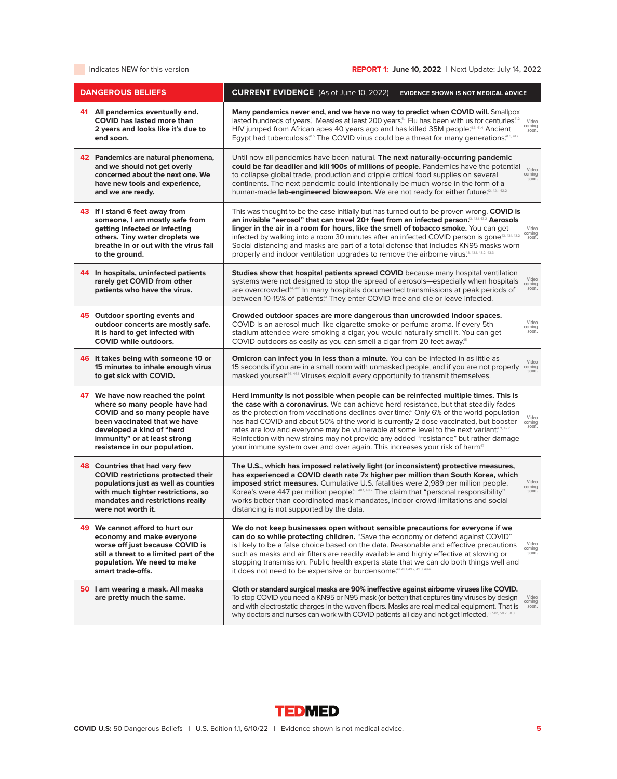| <b>DANGEROUS BELIEFS</b>                                                                                                                                                                                                         | <b>CURRENT EVIDENCE</b> (As of June 10, 2022)<br><b>EVIDENCE SHOWN IS NOT MEDICAL ADVICE</b>                                                                                                                                                                                                                                                                                                                                                                                                                                                                                                                                                                                            |
|----------------------------------------------------------------------------------------------------------------------------------------------------------------------------------------------------------------------------------|-----------------------------------------------------------------------------------------------------------------------------------------------------------------------------------------------------------------------------------------------------------------------------------------------------------------------------------------------------------------------------------------------------------------------------------------------------------------------------------------------------------------------------------------------------------------------------------------------------------------------------------------------------------------------------------------|
| 41 All pandemics eventually end.<br><b>COVID</b> has lasted more than<br>2 years and looks like it's due to<br>end soon.                                                                                                         | Many pandemics never end, and we have no way to predict when COVID will. Smallpox<br>lasted hundreds of years. <sup>41</sup> Measles at least 200 years. <sup>411</sup> Flu has been with us for centuries. <sup>412</sup><br>Video<br>coming<br>HIV jumped from African apes 40 years ago and has killed 35M people. <sup>413, 414</sup> Ancient<br>soon.<br>Egypt had tuberculosis. <sup>415</sup> The COVID virus could be a threat for many generations. <sup>416, 417</sup>                                                                                                                                                                                                        |
| 42 Pandemics are natural phenomena,<br>and we should not get overly<br>concerned about the next one. We<br>have new tools and experience.<br>and we are ready.                                                                   | Until now all pandemics have been natural. The next naturally-occurring pandemic<br>could be far deadlier and kill 100s of millions of people. Pandemics have the potential<br>Video<br>to collapse global trade, production and cripple critical food supplies on several<br>coming<br>soon.<br>continents. The next pandemic could intentionally be much worse in the form of a<br>human-made lab-engineered bioweapon. We are not ready for either future <sup>42,421,422</sup>                                                                                                                                                                                                      |
| 43 If I stand 6 feet away from<br>someone, I am mostly safe from<br>getting infected or infecting<br>others. Tiny water droplets we<br>breathe in or out with the virus fall<br>to the ground.                                   | This was thought to be the case initially but has turned out to be proven wrong. COVID is<br>an invisible "aerosol" that can travel 20+ feet from an infected person. <sup>43, 432</sup> Aerosols<br>linger in the air in a room for hours, like the smell of tobacco smoke. You can get<br>Video<br>coming<br>infected by walking into a room 30 minutes after an infected COVID person is gone. <sup>43, 431, 432</sup><br>soon.<br>Social distancing and masks are part of a total defense that includes KN95 masks worn<br>properly and indoor ventilation upgrades to remove the airborne virus.43, 43.3, 43.3, 43.3                                                               |
| 44 In hospitals, uninfected patients<br>rarely get COVID from other<br>patients who have the virus.                                                                                                                              | Studies show that hospital patients spread COVID because many hospital ventilation<br>Video<br>systems were not designed to stop the spread of aerosols—especially when hospitals<br>coming<br>are overcrowded. <sup>44, 441</sup> In many hospitals documented transmissions at peak periods of<br>soon.<br>between 10-15% of patients. <sup>44</sup> They enter COVID-free and die or leave infected.                                                                                                                                                                                                                                                                                 |
| 45 Outdoor sporting events and<br>outdoor concerts are mostly safe.<br>It is hard to get infected with<br><b>COVID while outdoors.</b>                                                                                           | Crowded outdoor spaces are more dangerous than uncrowded indoor spaces.<br>Video<br>COVID is an aerosol much like cigarette smoke or perfume aroma. If every 5th<br>coming<br>soon.<br>stadium attendee were smoking a cigar, you would naturally smell it. You can get<br>COVID outdoors as easily as you can smell a cigar from 20 feet away. <sup>55</sup>                                                                                                                                                                                                                                                                                                                           |
| 46 It takes being with someone 10 or<br>15 minutes to inhale enough virus<br>to get sick with COVID.                                                                                                                             | Omicron can infect you in less than a minute. You can be infected in as little as<br>Video<br>15 seconds if you are in a small room with unmasked people, and if you are not properly<br>coming<br>soon.<br>masked yourself. <sup>46, 46.1</sup> Viruses exploit every opportunity to transmit themselves.                                                                                                                                                                                                                                                                                                                                                                              |
| 47 We have now reached the point<br>where so many people have had<br>COVID and so many people have<br>been vaccinated that we have<br>developed a kind of "herd<br>immunity" or at least strong<br>resistance in our population. | Herd immunity is not possible when people can be reinfected multiple times. This is<br>the case with a coronavirus. We can achieve herd resistance, but that steadily fades<br>as the protection from vaccinations declines over time. <sup>77</sup> Only 6% of the world population<br>Video<br>has had COVID and about 50% of the world is currently 2-dose vaccinated, but booster<br>coming<br>soon.<br>rates are low and everyone may be vulnerable at some level to the next variant.471, 472<br>Reinfection with new strains may not provide any added "resistance" but rather damage<br>your immune system over and over again. This increases your risk of harm. <sup>37</sup> |
| 48 Countries that had very few<br><b>COVID restrictions protected their</b><br>populations just as well as counties<br>with much tighter restrictions, so<br>mandates and restrictions really<br>were not worth it.              | The U.S., which has imposed relatively light (or inconsistent) protective measures,<br>has experienced a COVID death rate 7x higher per million than South Korea, which<br>Video<br>imposed strict measures. Cumulative U.S. fatalities were 2,989 per million people.<br>COLLIILIQ<br>Korea's were 447 per million people. <sup>48, 481, 482</sup> The claim that "personal responsibility"<br>soon.<br>works better than coordinated mask mandates, indoor crowd limitations and social<br>distancing is not supported by the data.                                                                                                                                                   |
| 49 We cannot afford to hurt our<br>economy and make everyone<br>worse off just because COVID is<br>still a threat to a limited part of the<br>population. We need to make<br>smart trade-offs.                                   | We do not keep businesses open without sensible precautions for everyone if we<br>can do so while protecting children. "Save the economy or defend against COVID"<br>Video<br>is likely to be a false choice based on the data. Reasonable and effective precautions<br>coming<br>such as masks and air filters are readily available and highly effective at slowing or<br>soon.<br>stopping transmission. Public health experts state that we can do both things well and<br>it does not need to be expensive or burdensome. <sup>49, 491, 49.2, 49.3</sup> , 49.4                                                                                                                    |
| 50 I am wearing a mask. All masks<br>are pretty much the same.                                                                                                                                                                   | Cloth or standard surgical masks are 90% ineffective against airborne viruses like COVID.<br>To stop COVID you need a KN95 or N95 mask (or better) that captures tiny viruses by design<br>Video<br>coming<br>and with electrostatic charges in the woven fibers. Masks are real medical equipment. That is<br>soon.<br>why doctors and nurses can work with COVID patients all day and not get infected. <sup>60, 501, 502, 503</sup>                                                                                                                                                                                                                                                  |

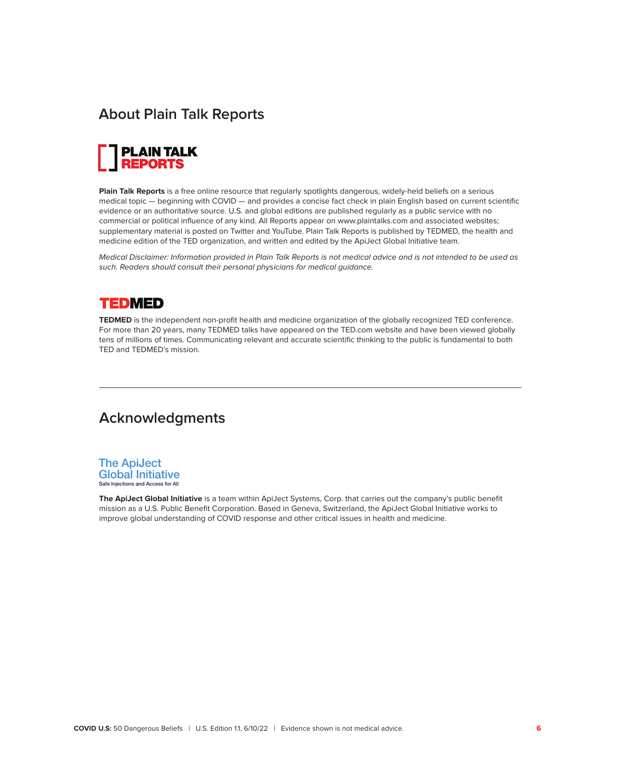# **About Plain Talk Reports**



**Plain Talk Reports** is a free online resource that regularly spotlights dangerous, widely-held beliefs on a serious medical topic — beginning with COVID — and provides a concise fact check in plain English based on current scientific evidence or an authoritative source. U.S. and global editions are published regularly as a public service with no commercial or political influence of any kind. All Reports appear on www.plaintalks.com and associated websites; supplementary material is posted on Twitter and YouTube. Plain Talk Reports is published by TEDMED, the health and medicine edition of the TED organization, and written and edited by the ApiJect Global Initiative team.

Medical Disclaimer: Information provided in Plain Talk Reports is not medical advice and is not intended to be used as such. Readers should consult their personal physicians for medical guidance.

# **TEDMED**

**TEDMED** is the independent non-profit health and medicine organization of the globally recognized TED conference. For more than 20 years, many TEDMED talks have appeared on the TED.com website and have been viewed globally tens of millions of times. Communicating relevant and accurate scientific thinking to the public is fundamental to both TED and TEDMED's mission.

# **Acknowledgments**



**The ApiJect Global Initiative** is a team within ApiJect Systems, Corp. that carries out the company's public benefit mission as a U.S. Public Benefit Corporation. Based in Geneva, Switzerland, the ApiJect Global Initiative works to improve global understanding of COVID response and other critical issues in health and medicine.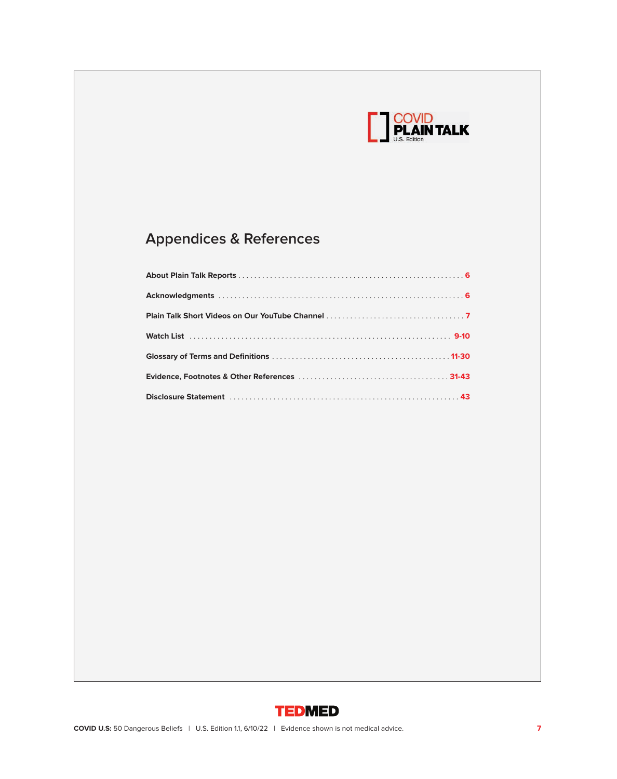

# **Appendices & References**

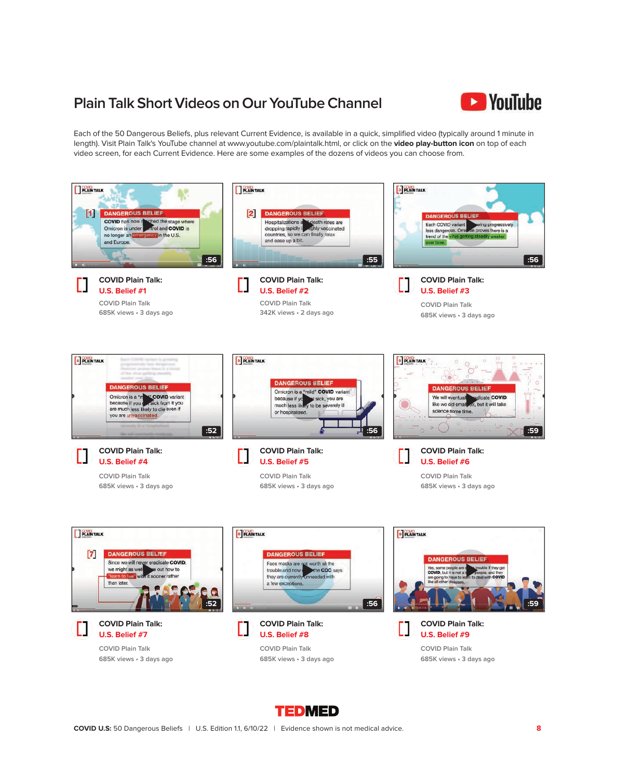# **Plain Talk Short Videos on Our YouTube Channel**



Each of the 50 Dangerous Beliefs, plus relevant Current Evidence, is available in a quick, simplified video (typically around 1 minute in length). Visit Plain Talk's YouTube channel at www.youtube.com/plaintalk.html, or click on the **video play-button icon** on top of each video screen, for each Current Evidence. Here are some examples of the dozens of videos you can choose from.



**TEDMED**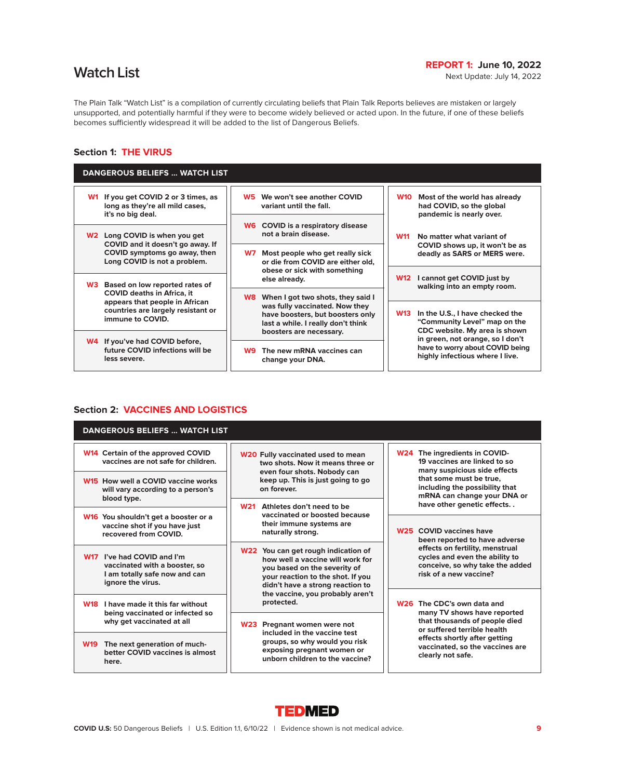# **Match List REPORT 1: June 10, 2022**<br>Next Update: July 14, 2022

The Plain Talk "Watch List" is a compilation of currently circulating beliefs that Plain Talk Reports believes are mistaken or largely unsupported, and potentially harmful if they were to become widely believed or acted upon. In the future, if one of these beliefs becomes sufficiently widespread it will be added to the list of Dangerous Beliefs.

# **Section 1: THE VIRUS**

| <b>DANGEROUS BELIEFS  WATCH LIST</b>                                                                   |                                                                                                                                                                                 |                                                                                                                |
|--------------------------------------------------------------------------------------------------------|---------------------------------------------------------------------------------------------------------------------------------------------------------------------------------|----------------------------------------------------------------------------------------------------------------|
| If you get COVID 2 or 3 times, as<br><b>W1</b><br>long as they're all mild cases,<br>it's no big deal. | We won't see another COVID<br>W5<br>variant until the fall.                                                                                                                     | <b>W10</b><br>Most of the world has already<br>had COVID, so the global<br>pandemic is nearly over.            |
| Long COVID is when you get<br>W2<br>COVID and it doesn't go away. If                                   | <b>W6</b> COVID is a respiratory disease<br>not a brain disease.                                                                                                                | No matter what variant of<br><b>W11</b><br>COVID shows up, it won't be as                                      |
| COVID symptoms go away, then<br>Long COVID is not a problem.                                           | Most people who get really sick<br>W7<br>or die from COVID are either old.<br>obese or sick with something                                                                      | deadly as SARS or MERS were.                                                                                   |
| Based on low reported rates of<br>W3.                                                                  | else already.                                                                                                                                                                   | I cannot get COVID just by<br><b>W12</b><br>walking into an empty room.                                        |
| <b>COVID deaths in Africa, it</b><br>appears that people in African                                    | When I got two shots, they said I<br>W8.<br>was fully vaccinated. Now they<br>have boosters, but boosters only<br>last a while. I really don't think<br>boosters are necessary. |                                                                                                                |
| countries are largely resistant or<br>immune to COVID.                                                 |                                                                                                                                                                                 | In the U.S., I have checked the<br><b>W13</b><br>"Community Level" map on the<br>CDC website. My area is shown |
| W4 If you've had COVID before,                                                                         | The new mRNA vaccines can<br>W9.<br>change your DNA.                                                                                                                            | in green, not orange, so I don't<br>have to worry about COVID being                                            |
| future COVID infections will be<br>less severe.                                                        |                                                                                                                                                                                 | highly infectious where I live.                                                                                |
|                                                                                                        |                                                                                                                                                                                 |                                                                                                                |

# **Section 2: VACCINES AND LOGISTICS**

| <b>DANGEROUS BELIEFS  WATCH LIST</b>                                                                                        |                                                                                                                                                                                  |                                                                                                                                                                                           |  |
|-----------------------------------------------------------------------------------------------------------------------------|----------------------------------------------------------------------------------------------------------------------------------------------------------------------------------|-------------------------------------------------------------------------------------------------------------------------------------------------------------------------------------------|--|
| W14 Certain of the approved COVID<br>vaccines are not safe for children.                                                    | <b>W20 Fully vaccinated used to mean</b><br>two shots. Now it means three or                                                                                                     | W24 The ingredients in COVID-<br>19 vaccines are linked to so<br>many suspicious side effects<br>that some must be true.<br>including the possibility that<br>mRNA can change your DNA or |  |
| W15 How well a COVID vaccine works<br>will vary according to a person's<br>blood type.                                      | even four shots. Nobody can<br>keep up. This is just going to go<br>on forever.                                                                                                  |                                                                                                                                                                                           |  |
|                                                                                                                             | <b>W21</b><br>Athletes don't need to be<br>vaccinated or boosted because                                                                                                         | have other genetic effects                                                                                                                                                                |  |
| W <sub>16</sub> You shouldn't get a booster or a<br>vaccine shot if you have just<br>recovered from COVID.                  | their immune systems are<br>naturally strong.                                                                                                                                    | W <sub>25</sub> COVID vaccines have<br>been reported to have adverse                                                                                                                      |  |
| I've had COVID and I'm<br><b>W17</b><br>vaccinated with a booster, so<br>I am totally safe now and can<br>ignore the virus. | W22 You can get rough indication of<br>how well a vaccine will work for<br>you based on the severity of<br>your reaction to the shot. If you<br>didn't have a strong reaction to | effects on fertility, menstrual<br>cycles and even the ability to<br>conceive, so why take the added<br>risk of a new vaccine?                                                            |  |
| I have made it this far without<br><b>W18</b>                                                                               | the vaccine, you probably aren't<br>protected.                                                                                                                                   | W <sub>26</sub> The CDC's own data and                                                                                                                                                    |  |
| being vaccinated or infected so<br>why get vaccinated at all                                                                | W23 Pregnant women were not<br>included in the vaccine test<br>groups, so why would you risk<br>exposing pregnant women or<br>unborn children to the vaccine?                    | many TV shows have reported<br>that thousands of people died<br>or suffered terrible health                                                                                               |  |
| <b>W19</b><br>The next generation of much-<br>better COVID vaccines is almost<br>here.                                      |                                                                                                                                                                                  | effects shortly after getting<br>vaccinated, so the vaccines are<br>clearly not safe.                                                                                                     |  |

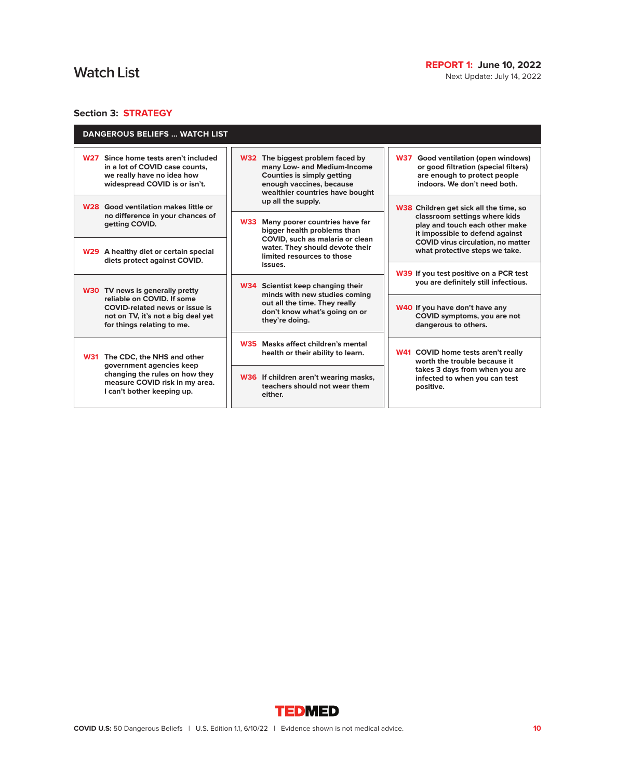Next Update: July 14, 2022

# **Section 3: STRATEGY**

| <b>DANGEROUS BELIEFS  WATCH LIST</b>                                                                                                            |                                                                                                                                                                     |                                                                                                                                                       |
|-------------------------------------------------------------------------------------------------------------------------------------------------|---------------------------------------------------------------------------------------------------------------------------------------------------------------------|-------------------------------------------------------------------------------------------------------------------------------------------------------|
| Since home tests aren't included<br><b>W27</b><br>in a lot of COVID case counts.<br>we really have no idea how<br>widespread COVID is or isn't. | W32 The biggest problem faced by<br>many Low- and Medium-Income<br><b>Counties is simply getting</b><br>enough vaccines, because<br>wealthier countries have bought | <b>W37</b><br>Good ventilation (open windows)<br>or good filtration (special filters)<br>are enough to protect people<br>indoors. We don't need both. |
| W <sub>28</sub> Good ventilation makes little or<br>no difference in your chances of<br>getting COVID.                                          | up all the supply.<br>Many poorer countries have far<br><b>W33</b><br>bigger health problems than                                                                   | W38 Children get sick all the time, so<br>classroom settings where kids<br>play and touch each other make<br>it impossible to defend against          |
| W29 A healthy diet or certain special<br>diets protect against COVID.                                                                           | COVID, such as malaria or clean<br>water. They should devote their<br>limited resources to those<br>issues.                                                         | COVID virus circulation, no matter<br>what protective steps we take.                                                                                  |
| W30 TV news is generally pretty                                                                                                                 | W34 Scientist keep changing their<br>minds with new studies coming                                                                                                  | W39 If you test positive on a PCR test<br>you are definitely still infectious.                                                                        |
| reliable on COVID. If some<br><b>COVID-related news or issue is</b><br>not on TV, it's not a big deal yet<br>for things relating to me.         | out all the time. They really<br>don't know what's going on or<br>they're doing.                                                                                    | W40 If you have don't have any<br>COVID symptoms, you are not<br>dangerous to others.                                                                 |
| <b>W31</b><br>The CDC, the NHS and other                                                                                                        | W35 Masks affect children's mental<br>health or their ability to learn.                                                                                             | W41 COVID home tests aren't really<br>worth the trouble because it                                                                                    |
| government agencies keep<br>changing the rules on how they<br>measure COVID risk in my area.<br>I can't bother keeping up.                      | W36 If children aren't wearing masks,<br>teachers should not wear them<br>either.                                                                                   | takes 3 days from when you are<br>infected to when you can test<br>positive.                                                                          |

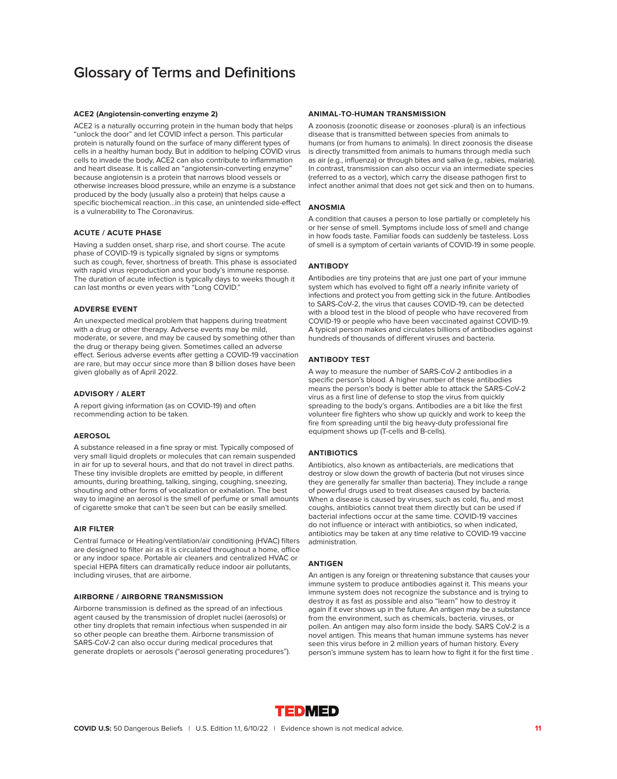# **Glossary of Terms and Definitions**

# **ACE2 (Angiotensin-converting enzyme 2)**

ACE2 is a naturally occurring protein in the human body that helps "unlock the door" and let COVID infect a person. This particular protein is naturally found on the surface of many different types of cells in a healthy human body. But in addition to helping COVID virus cells to invade the body, ACE2 can also contribute to inflammation and heart disease. It is called an "angiotensin-converting enzyme" because angiotensin is a protein that narrows blood vessels or otherwise increases blood pressure, while an enzyme is a substance produced by the body (usually also a protein) that helps cause a specific biochemical reaction…in this case, an unintended side-effect is a vulnerability to The Coronavirus.

# **ACUTE / ACUTE PHASE**

Having a sudden onset, sharp rise, and short course. The acute phase of COVID-19 is typically signaled by signs or symptoms such as cough, fever, shortness of breath. This phase is associated with rapid virus reproduction and your body's immune response. The duration of acute infection is typically days to weeks though it can last months or even years with "Long COVID."

# **ADVERSE EVENT**

An unexpected medical problem that happens during treatment with a drug or other therapy. Adverse events may be mild, moderate, or severe, and may be caused by something other than the drug or therapy being given. Sometimes called an adverse effect. Serious adverse events after getting a COVID-19 vaccination are rare, but may occur since more than 8 billion doses have been given globally as of April 2022.

# **ADVISORY / ALERT**

A report giving information (as on COVID-19) and often recommending action to be taken.

#### **AEROSOL**

A substance released in a fine spray or mist. Typically composed of very small liquid droplets or molecules that can remain suspended in air for up to several hours, and that do not travel in direct paths. These tiny invisible droplets are emitted by people, in different amounts, during breathing, talking, singing, coughing, sneezing, shouting and other forms of vocalization or exhalation. The best way to imagine an aerosol is the smell of perfume or small amounts of cigarette smoke that can't be seen but can be easily smelled.

# **AIR FILTER**

Central furnace or Heating/ventilation/air conditioning (HVAC) filters are designed to filter air as it is circulated throughout a home, office or any indoor space. Portable air cleaners and centralized HVAC or special HEPA filters can dramatically reduce indoor air pollutants, including viruses, that are airborne.

#### **AIRBORNE / AIRBORNE TRANSMISSION**

Airborne transmission is defined as the spread of an infectious agent caused by the transmission of droplet nuclei (aerosols) or other tiny droplets that remain infectious when suspended in air so other people can breathe them. Airborne transmission of SARS-CoV-2 can also occur during medical procedures that generate droplets or aerosols ("aerosol generating procedures").

#### **ANIMAL-TO-HUMAN TRANSMISSION**

A zoonosis (zoonotic disease or zoonoses -plural) is an infectious disease that is transmitted between species from animals to humans (or from humans to animals). In direct zoonosis the disease is directly transmitted from animals to humans through media such as air (e.g., influenza) or through bites and saliva (e.g., rabies, malaria). In contrast, transmission can also occur via an intermediate species (referred to as a vector), which carry the disease pathogen first to infect another animal that does not get sick and then on to humans.

# **ANOSMIA**

A condition that causes a person to lose partially or completely his or her sense of smell. Symptoms include loss of smell and change in how foods taste. Familiar foods can suddenly be tasteless. Loss of smell is a symptom of certain variants of COVID-19 in some people.

# **ANTIBODY**

Antibodies are tiny proteins that are just one part of your immune system which has evolved to fight off a nearly infinite variety of infections and protect you from getting sick in the future. Antibodies to SARS-CoV-2, the virus that causes COVID-19, can be detected with a blood test in the blood of people who have recovered from COVID-19 or people who have been vaccinated against COVID-19. A typical person makes and circulates billions of antibodies against hundreds of thousands of different viruses and bacteria.

#### **ANTIBODY TEST**

A way to measure the number of SARS-CoV-2 antibodies in a specific person's blood. A higher number of these antibodies means the person's body is better able to attack the SARS-CoV-2 virus as a first line of defense to stop the virus from quickly spreading to the body's organs. Antibodies are a bit like the first volunteer fire fighters who show up quickly and work to keep the fire from spreading until the big heavy-duty professional fire equipment shows up (T-cells and B-cells).

# **ANTIBIOTICS**

Antibiotics, also known as antibacterials, are medications that destroy or slow down the growth of bacteria (but not viruses since they are generally far smaller than bacteria). They include a range of powerful drugs used to treat diseases caused by bacteria. When a disease is caused by viruses, such as cold, flu, and most coughs, antibiotics cannot treat them directly but can be used if bacterial infections occur at the same time. COVID-19 vaccines do not influence or interact with antibiotics, so when indicated, antibiotics may be taken at any time relative to COVID-19 vaccine administration.

# **ANTIGEN**

An antigen is any foreign or threatening substance that causes your immune system to produce antibodies against it. This means your immune system does not recognize the substance and is trying to destroy it as fast as possible and also "learn" how to destroy it again if it ever shows up in the future. An antigen may be a substance from the environment, such as chemicals, bacteria, viruses, or pollen. An antigen may also form inside the body. SARS CoV-2 is a novel antigen. This means that human immune systems has never seen this virus before in 2 million years of human history. Every person's immune system has to learn how to fight it for the first time .

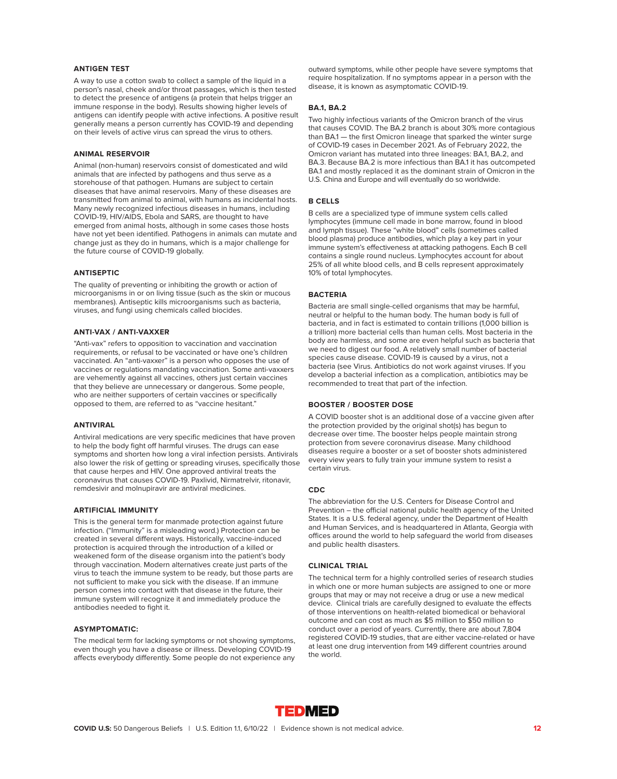# **ANTIGEN TEST**

A way to use a cotton swab to collect a sample of the liquid in a person's nasal, cheek and/or throat passages, which is then tested to detect the presence of antigens (a protein that helps trigger an immune response in the body). Results showing higher levels of antigens can identify people with active infections. A positive result generally means a person currently has COVID-19 and depending on their levels of active virus can spread the virus to others.

# **ANIMAL RESERVOIR**

Animal (non-human) reservoirs consist of domesticated and wild animals that are infected by pathogens and thus serve as a storehouse of that pathogen. Humans are subject to certain diseases that have animal reservoirs. Many of these diseases are transmitted from animal to animal, with humans as incidental hosts. Many newly recognized infectious diseases in humans, including COVID-19, HIV/AIDS, Ebola and SARS, are thought to have emerged from animal hosts, although in some cases those hosts have not yet been identified. Pathogens in animals can mutate and change just as they do in humans, which is a major challenge for the future course of COVID-19 globally.

# **ANTISEPTIC**

The quality of preventing or inhibiting the growth or action of microorganisms in or on living tissue (such as the skin or mucous membranes). Antiseptic kills microorganisms such as bacteria, viruses, and fungi using chemicals called biocides.

# **ANTI-VAX / ANTI-VAXXER**

"Anti-vax" refers to opposition to vaccination and vaccination requirements, or refusal to be vaccinated or have one's children vaccinated. An "anti-vaxxer" is a person who opposes the use of vaccines or regulations mandating vaccination. Some anti-vaxxers are vehemently against all vaccines, others just certain vaccines that they believe are unnecessary or dangerous. Some people, who are neither supporters of certain vaccines or specifically opposed to them, are referred to as "vaccine hesitant."

#### **ANTIVIRAL**

Antiviral medications are very specific medicines that have proven to help the body fight off harmful viruses. The drugs can ease symptoms and shorten how long a viral infection persists. Antivirals also lower the risk of getting or spreading viruses, specifically those that cause herpes and HIV. One approved antiviral treats the coronavirus that causes COVID-19. Paxlivid, Nirmatrelvir, ritonavir, remdesivir and molnupiravir are antiviral medicines.

# **ARTIFICIAL IMMUNITY**

This is the general term for manmade protection against future infection. ("Immunity" is a misleading word.) Protection can be created in several different ways. Historically, vaccine-induced protection is acquired through the introduction of a killed or weakened form of the disease organism into the patient's body through vaccination. Modern alternatives create just parts of the virus to teach the immune system to be ready, but those parts are not sufficient to make you sick with the disease. If an immune person comes into contact with that disease in the future, their immune system will recognize it and immediately produce the antibodies needed to fight it.

# **ASYMPTOMATIC:**

The medical term for lacking symptoms or not showing symptoms, even though you have a disease or illness. Developing COVID-19 affects everybody differently. Some people do not experience any outward symptoms, while other people have severe symptoms that require hospitalization. If no symptoms appear in a person with the disease, it is known as asymptomatic COVID-19.

# **BA.1, BA.2**

Two highly infectious variants of the Omicron branch of the virus that causes COVID. The BA.2 branch is about 30% more contagious than BA.1 — the first Omicron lineage that sparked the winter surge of COVID-19 cases in December 2021. As of February 2022, the Omicron variant has mutated into three lineages: BA.1, BA.2, and BA.3. Because BA.2 is more infectious than BA.1 it has outcompeted BA.1 and mostly replaced it as the dominant strain of Omicron in the U.S. China and Europe and will eventually do so worldwide.

# **B CELLS**

B cells are a specialized type of immune system cells called lymphocytes (immune cell made in bone marrow, found in blood and lymph tissue). These "white blood" cells (sometimes called blood plasma) produce antibodies, which play a key part in your immune system's effectiveness at attacking pathogens. Each B cell contains a single round nucleus. Lymphocytes account for about 25% of all white blood cells, and B cells represent approximately 10% of total lymphocytes.

# **BACTERIA**

Bacteria are small single-celled organisms that may be harmful, neutral or helpful to the human body. The human body is full of bacteria, and in fact is estimated to contain trillions (1,000 billion is a trillion) more bacterial cells than human cells. Most bacteria in the body are harmless, and some are even helpful such as bacteria that we need to digest our food. A relatively small number of bacterial species cause disease. COVID-19 is caused by a virus, not a bacteria (see Virus. Antibiotics do not work against viruses. If you develop a bacterial infection as a complication, antibiotics may be recommended to treat that part of the infection.

# **BOOSTER / BOOSTER DOSE**

A COVID booster shot is an additional dose of a vaccine given after the protection provided by the original shot(s) has begun to decrease over time. The booster helps people maintain strong protection from severe coronavirus disease. Many childhood diseases require a booster or a set of booster shots administered every view years to fully train your immune system to resist a certain virus.

# **CDC**

The abbreviation for the U.S. Centers for Disease Control and Prevention – the official national public health agency of the United States. It is a U.S. federal agency, under the Department of Health and Human Services, and is headquartered in Atlanta, Georgia with offices around the world to help safeguard the world from diseases and public health disasters.

# **CLINICAL TRIAL**

The technical term for a highly controlled series of research studies in which one or more human subjects are assigned to one or more groups that may or may not receive a drug or use a new medical device. Clinical trials are carefully designed to evaluate the effects of those interventions on health-related biomedical or behavioral outcome and can cost as much as \$5 million to \$50 million to conduct over a period of years. Currently, there are about 7,804 registered COVID-19 studies, that are either vaccine-related or have at least one drug intervention from 149 different countries around the world.

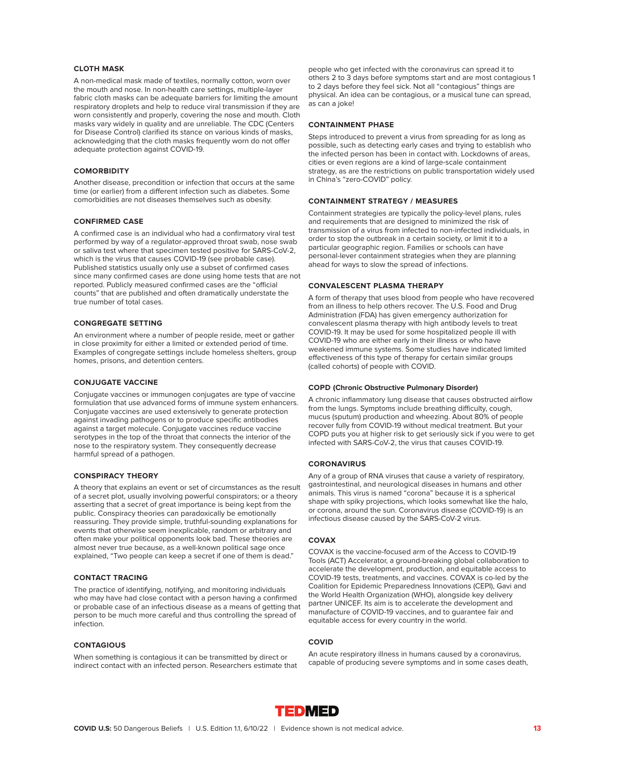# **CLOTH MASK**

A non-medical mask made of textiles, normally cotton, worn over the mouth and nose. In non-health care settings, multiple-layer fabric cloth masks can be adequate barriers for limiting the amount respiratory droplets and help to reduce viral transmission if they are worn consistently and properly, covering the nose and mouth. Cloth masks vary widely in quality and are unreliable. The CDC (Centers for Disease Control) clarified its stance on various kinds of masks, acknowledging that the cloth masks frequently worn do not offer adequate protection against COVID-19.

# **COMORBIDITY**

Another disease, precondition or infection that occurs at the same time (or earlier) from a different infection such as diabetes. Some comorbidities are not diseases themselves such as obesity.

# **CONFIRMED CASE**

A confirmed case is an individual who had a confirmatory viral test performed by way of a regulator-approved throat swab, nose swab or saliva test where that specimen tested positive for SARS-CoV-2, which is the virus that causes COVID-19 (see probable case). Published statistics usually only use a subset of confirmed cases since many confirmed cases are done using home tests that are not reported. Publicly measured confirmed cases are the "official counts" that are published and often dramatically understate the true number of total cases.

# **CONGREGATE SETTING**

An environment where a number of people reside, meet or gather in close proximity for either a limited or extended period of time. Examples of congregate settings include homeless shelters, group homes, prisons, and detention centers.

# **CONJUGATE VACCINE**

Conjugate vaccines or immunogen conjugates are type of vaccine formulation that use advanced forms of immune system enhancers. Conjugate vaccines are used extensively to generate protection against invading pathogens or to produce specific antibodies against a target molecule. Conjugate vaccines reduce vaccine serotypes in the top of the throat that connects the interior of the nose to the respiratory system. They consequently decrease harmful spread of a pathogen.

# **CONSPIRACY THEORY**

A theory that explains an event or set of circumstances as the result of a secret plot, usually involving powerful conspirators; or a theory asserting that a secret of great importance is being kept from the public. Conspiracy theories can paradoxically be emotionally reassuring. They provide simple, truthful-sounding explanations for events that otherwise seem inexplicable, random or arbitrary and often make your political opponents look bad. These theories are almost never true because, as a well-known political sage once explained, "Two people can keep a secret if one of them is dead."

# **CONTACT TRACING**

The practice of identifying, notifying, and monitoring individuals who may have had close contact with a person having a confirmed or probable case of an infectious disease as a means of getting that person to be much more careful and thus controlling the spread of infection.

# **CONTAGIOUS**

When something is contagious it can be transmitted by direct or indirect contact with an infected person. Researchers estimate that people who get infected with the coronavirus can spread it to others 2 to 3 days before symptoms start and are most contagious 1 to 2 days before they feel sick. Not all "contagious" things are physical. An idea can be contagious, or a musical tune can spread, as can a joke!

# **CONTAINMENT PHASE**

Steps introduced to prevent a virus from spreading for as long as possible, such as detecting early cases and trying to establish who the infected person has been in contact with. Lockdowns of areas, cities or even regions are a kind of large-scale containment strategy, as are the restrictions on public transportation widely used in China's "zero-COVID" policy.

# **CONTAINMENT STRATEGY / MEASURES**

Containment strategies are typically the policy-level plans, rules and requirements that are designed to minimized the risk of transmission of a virus from infected to non-infected individuals, in order to stop the outbreak in a certain society, or limit it to a particular geographic region. Families or schools can have personal-lever containment strategies when they are planning ahead for ways to slow the spread of infections.

# **CONVALESCENT PLASMA THERAPY**

A form of therapy that uses blood from people who have recovered from an illness to help others recover. The U.S. Food and Drug Administration (FDA) has given emergency authorization for convalescent plasma therapy with high antibody levels to treat COVID-19. It may be used for some hospitalized people ill with COVID-19 who are either early in their illness or who have weakened immune systems. Some studies have indicated limited effectiveness of this type of therapy for certain similar groups (called cohorts) of people with COVID.

# **COPD (Chronic Obstructive Pulmonary Disorder)**

A chronic inflammatory lung disease that causes obstructed airflow from the lungs. Symptoms include breathing difficulty, cough, mucus (sputum) production and wheezing. About 80% of people recover fully from COVID-19 without medical treatment. But your COPD puts you at higher risk to get seriously sick if you were to get infected with SARS-CoV-2, the virus that causes COVID-19.

# **CORONAVIRUS**

Any of a group of RNA viruses that cause a variety of respiratory, gastrointestinal, and neurological diseases in humans and other animals. This virus is named "corona" because it is a spherical shape with spiky projections, which looks somewhat like the halo, or corona, around the sun. Coronavirus disease (COVID-19) is an infectious disease caused by the SARS-CoV-2 virus.

# **COVAX**

COVAX is the vaccine-focused arm of the Access to COVID-19 Tools (ACT) Accelerator, a ground-breaking global collaboration to accelerate the development, production, and equitable access to COVID-19 tests, treatments, and vaccines. COVAX is co-led by the Coalition for Epidemic Preparedness Innovations (CEPI), Gavi and the World Health Organization (WHO), alongside key delivery partner UNICEF. Its aim is to accelerate the development and manufacture of COVID-19 vaccines, and to guarantee fair and equitable access for every country in the world.

# **COVID**

An acute respiratory illness in humans caused by a coronavirus, capable of producing severe symptoms and in some cases death,

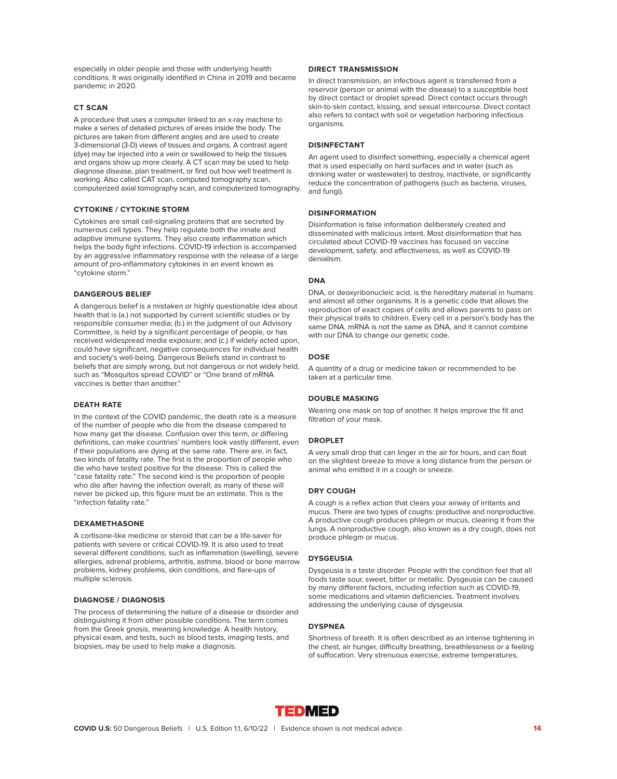especially in older people and those with underlying health conditions. It was originally identified in China in 2019 and became pandemic in 2020.

# **CT SCAN**

A procedure that uses a computer linked to an x-ray machine to make a series of detailed pictures of areas inside the body. The pictures are taken from different angles and are used to create 3-dimensional (3-D) views of tissues and organs. A contrast agent (dye) may be injected into a vein or swallowed to help the tissues and organs show up more clearly. A CT scan may be used to help diagnose disease, plan treatment, or find out how well treatment is working. Also called CAT scan, computed tomography scan, computerized axial tomography scan, and computerized tomography.

#### **CYTOKINE / CYTOKINE STORM**

Cytokines are small cell-signaling proteins that are secreted by numerous cell types. They help regulate both the innate and adaptive immune systems. They also create inflammation which helps the body fight infections. COVID-19 infection is accompanied by an aggressive inflammatory response with the release of a large amount of pro-inflammatory cytokines in an event known as "cytokine storm."

# **DANGEROUS BELIEF**

A dangerous belief is a mistaken or highly questionable idea about health that is (a.) not supported by current scientific studies or by responsible consumer media; (b.) in the judgment of our Advisory Committee, is held by a significant percentage of people, or has received widespread media exposure; and (c.) if widely acted upon, could have significant, negative consequences for individual health and society's well-being. Dangerous Beliefs stand in contrast to beliefs that are simply wrong, but not dangerous or not widely held, such as "Mosquitos spread COVID" or "One brand of mRNA vaccines is better than another."

# **DEATH RATE**

In the context of the COVID pandemic, the death rate is a measure of the number of people who die from the disease compared to how many get the disease. Confusion over this term, or differing definitions, can make countries' numbers look vastly different, even if their populations are dying at the same rate. There are, in fact, two kinds of fatality rate. The first is the proportion of people who die who have tested positive for the disease. This is called the "case fatality rate." The second kind is the proportion of people who die after having the infection overall; as many of these will never be picked up, this figure must be an estimate. This is the "infection fatality rate."

# **DEXAMETHASONE**

A cortisone-like medicine or steroid that can be a life-saver for patients with severe or critical COVID-19. It is also used to treat several different conditions, such as inflammation (swelling), severe allergies, adrenal problems, arthritis, asthma, blood or bone marrow problems, kidney problems, skin conditions, and flare-ups of multiple sclerosis.

# **DIAGNOSE / DIAGNOSIS**

The process of determining the nature of a disease or disorder and distinguishing it from other possible conditions. The term comes from the Greek gnosis, meaning knowledge. A health history, physical exam, and tests, such as blood tests, imaging tests, and biopsies, may be used to help make a diagnosis.

# **DIRECT TRANSMISSION**

In direct transmission, an infectious agent is transferred from a reservoir (person or animal with the disease) to a susceptible host by direct contact or droplet spread. Direct contact occurs through skin-to-skin contact, kissing, and sexual intercourse. Direct contact also refers to contact with soil or vegetation harboring infectious organisms.

# **DISINFECTANT**

An agent used to disinfect something, especially a chemical agent that is used especially on hard surfaces and in water (such as drinking water or wastewater) to destroy, inactivate, or significantly reduce the concentration of pathogens (such as bacteria, viruses, and fungi).

#### **DISINFORMATION**

Disinformation is false information deliberately created and disseminated with malicious intent. Most disinformation that has circulated about COVID-19 vaccines has focused on vaccine development, safety, and effectiveness, as well as COVID-19 denialism.

# **DNA**

DNA, or deoxyribonucleic acid, is the hereditary material in humans and almost all other organisms. It is a genetic code that allows the reproduction of exact copies of cells and allows parents to pass on their physical traits to children. Every cell in a person's body has the same DNA. mRNA is not the same as DNA, and it cannot combine with our DNA to change our genetic code.

## **DOSE**

A quantity of a drug or medicine taken or recommended to be taken at a particular time.

#### **DOUBLE MASKING**

Wearing one mask on top of another. It helps improve the fit and filtration of your mask.

# **DROPLET**

A very small drop that can linger in the air for hours, and can float on the slightest breeze to move a long distance from the person or animal who emitted it in a cough or sneeze.

# **DRY COUGH**

A cough is a reflex action that clears your airway of irritants and mucus. There are two types of coughs: productive and nonproductive. A productive cough produces phlegm or mucus, clearing it from the lungs. A nonproductive cough, also known as a dry cough, does not produce phlegm or mucus.

# **DYSGEUSIA**

Dysgeusia is a taste disorder. People with the condition feel that all foods taste sour, sweet, bitter or metallic. Dysgeusia can be caused by many different factors, including infection such as COVID-19, some medications and vitamin deficiencies. Treatment involves addressing the underlying cause of dysgeusia.

# **DYSPNEA**

Shortness of breath. It is often described as an intense tightening in the chest, air hunger, difficulty breathing, breathlessness or a feeling of suffocation. Very strenuous exercise, extreme temperatures,

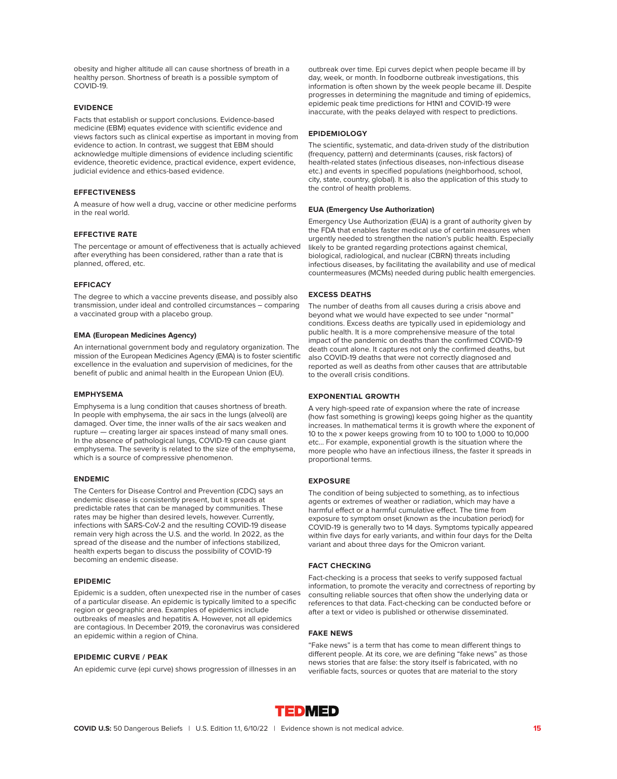obesity and higher altitude all can cause shortness of breath in a healthy person. Shortness of breath is a possible symptom of COVID-19.

# **EVIDENCE**

Facts that establish or support conclusions. Evidence-based medicine (EBM) equates evidence with scientific evidence and views factors such as clinical expertise as important in moving from evidence to action. In contrast, we suggest that EBM should acknowledge multiple dimensions of evidence including scientific evidence, theoretic evidence, practical evidence, expert evidence, judicial evidence and ethics-based evidence.

# **EFFECTIVENESS**

A measure of how well a drug, vaccine or other medicine performs in the real world.

# **EFFECTIVE RATE**

The percentage or amount of effectiveness that is actually achieved after everything has been considered, rather than a rate that is planned, offered, etc.

# **EFFICACY**

The degree to which a vaccine prevents disease, and possibly also transmission, under ideal and controlled circumstances – comparing a vaccinated group with a placebo group.

## **EMA (European Medicines Agency)**

An international government body and regulatory organization. The mission of the European Medicines Agency (EMA) is to foster scientific excellence in the evaluation and supervision of medicines, for the benefit of public and animal health in the European Union (EU).

#### **EMPHYSEMA**

Emphysema is a lung condition that causes shortness of breath. In people with emphysema, the air sacs in the lungs (alveoli) are damaged. Over time, the inner walls of the air sacs weaken and rupture — creating larger air spaces instead of many small ones. In the absence of pathological lungs, COVID-19 can cause giant emphysema. The severity is related to the size of the emphysema, which is a source of compressive phenomenon.

#### **ENDEMIC**

The Centers for Disease Control and Prevention (CDC) says an endemic disease is consistently present, but it spreads at predictable rates that can be managed by communities. These rates may be higher than desired levels, however. Currently, infections with SARS-CoV-2 and the resulting COVID-19 disease remain very high across the U.S. and the world. In 2022, as the spread of the disease and the number of infections stabilized, health experts began to discuss the possibility of COVID-19 becoming an endemic disease.

#### **EPIDEMIC**

Epidemic is a sudden, often unexpected rise in the number of cases of a particular disease. An epidemic is typically limited to a specific region or geographic area. Examples of epidemics include outbreaks of measles and hepatitis A. However, not all epidemics are contagious. In December 2019, the coronavirus was considered an epidemic within a region of China.

# **EPIDEMIC CURVE / PEAK**

An epidemic curve (epi curve) shows progression of illnesses in an

outbreak over time. Epi curves depict when people became ill by day, week, or month. In foodborne outbreak investigations, this information is often shown by the week people became ill. Despite progresses in determining the magnitude and timing of epidemics, epidemic peak time predictions for H1N1 and COVID-19 were inaccurate, with the peaks delayed with respect to predictions.

# **EPIDEMIOLOGY**

The scientific, systematic, and data-driven study of the distribution (frequency, pattern) and determinants (causes, risk factors) of health-related states (infectious diseases, non-infectious disease etc.) and events in specified populations (neighborhood, school, city, state, country, global). It is also the application of this study to the control of health problems.

# **EUA (Emergency Use Authorization)**

Emergency Use Authorization (EUA) is a grant of authority given by the FDA that enables faster medical use of certain measures when urgently needed to strengthen the nation's public health. Especially likely to be granted regarding protections against chemical, biological, radiological, and nuclear (CBRN) threats including infectious diseases, by facilitating the availability and use of medical countermeasures (MCMs) needed during public health emergencies.

# **EXCESS DEATHS**

The number of deaths from all causes during a crisis above and beyond what we would have expected to see under "normal" conditions. Excess deaths are typically used in epidemiology and public health. It is a more comprehensive measure of the total impact of the pandemic on deaths than the confirmed COVID-19 death count alone. It captures not only the confirmed deaths, but also COVID-19 deaths that were not correctly diagnosed and reported as well as deaths from other causes that are attributable to the overall crisis conditions.

#### **EXPONENTIAL GROWTH**

A very high-speed rate of expansion where the rate of increase (how fast something is growing) keeps going higher as the quantity increases. In mathematical terms it is growth where the exponent of 10 to the x power keeps growing from 10 to 100 to 1,000 to 10,000 etc… For example, exponential growth is the situation where the more people who have an infectious illness, the faster it spreads in proportional terms.

# **EXPOSURE**

The condition of being subjected to something, as to infectious agents or extremes of weather or radiation, which may have a harmful effect or a harmful cumulative effect. The time from exposure to symptom onset (known as the incubation period) for COVID-19 is generally two to 14 days. Symptoms typically appeared within five days for early variants, and within four days for the Delta variant and about three days for the Omicron variant.

# **FACT CHECKING**

Fact-checking is a process that seeks to verify supposed factual information, to promote the veracity and correctness of reporting by consulting reliable sources that often show the underlying data or references to that data. Fact-checking can be conducted before or after a text or video is published or otherwise disseminated.

# **FAKE NEWS**

"Fake news" is a term that has come to mean different things to different people. At its core, we are defining "fake news" as those news stories that are false: the story itself is fabricated, with no verifiable facts, sources or quotes that are material to the story

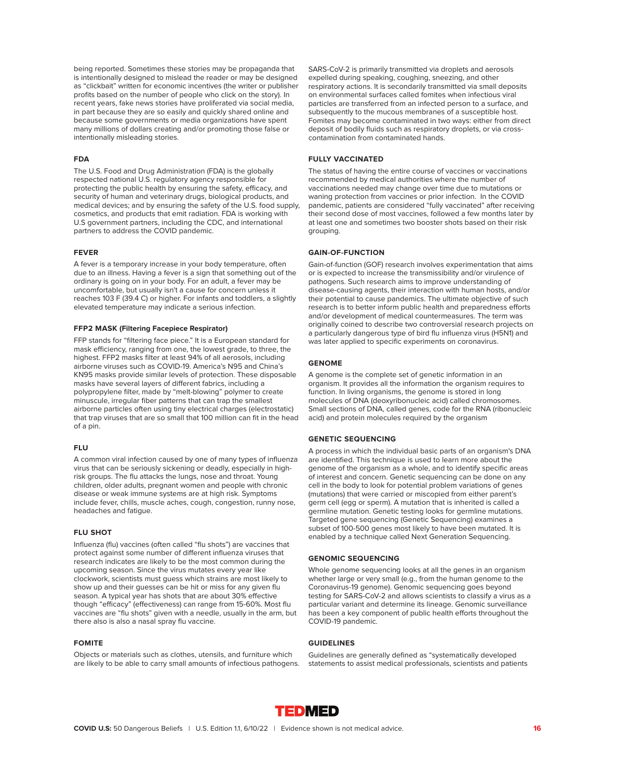being reported. Sometimes these stories may be propaganda that is intentionally designed to mislead the reader or may be designed as "clickbait" written for economic incentives (the writer or publisher profits based on the number of people who click on the story). In recent years, fake news stories have proliferated via social media, in part because they are so easily and quickly shared online and because some governments or media organizations have spent many millions of dollars creating and/or promoting those false or intentionally misleading stories.

#### **FDA**

The U.S. Food and Drug Administration (FDA) is the globally respected national U.S. regulatory agency responsible for protecting the public health by ensuring the safety, efficacy, and security of human and veterinary drugs, biological products, and medical devices; and by ensuring the safety of the U.S. food supply, cosmetics, and products that emit radiation. FDA is working with U.S government partners, including the CDC, and international partners to address the COVID pandemic.

# **FEVER**

A fever is a temporary increase in your body temperature, often due to an illness. Having a fever is a sign that something out of the ordinary is going on in your body. For an adult, a fever may be uncomfortable, but usually isn't a cause for concern unless it reaches 103 F (39.4 C) or higher. For infants and toddlers, a slightly elevated temperature may indicate a serious infection.

### **FFP2 MASK (Filtering Facepiece Respirator)**

FFP stands for "filtering face piece." It is a European standard for mask efficiency, ranging from one, the lowest grade, to three, the highest. FFP2 masks filter at least 94% of all aerosols, including airborne viruses such as COVID-19. America's N95 and China's KN95 masks provide similar levels of protection. These disposable masks have several layers of different fabrics, including a polypropylene filter, made by "melt-blowing" polymer to create minuscule, irregular fiber patterns that can trap the smallest airborne particles often using tiny electrical charges (electrostatic) that trap viruses that are so small that 100 million can fit in the head of a pin.

# **FLU**

A common viral infection caused by one of many types of influenza virus that can be seriously sickening or deadly, especially in highrisk groups. The flu attacks the lungs, nose and throat. Young children, older adults, pregnant women and people with chronic disease or weak immune systems are at high risk. Symptoms include fever, chills, muscle aches, cough, congestion, runny nose, headaches and fatigue.

# **FLU SHOT**

Influenza (flu) vaccines (often called "flu shots") are vaccines that protect against some number of different influenza viruses that research indicates are likely to be the most common during the upcoming season. Since the virus mutates every year like clockwork, scientists must guess which strains are most likely to show up and their guesses can be hit or miss for any given flu season. A typical year has shots that are about 30% effective though "efficacy" (effectiveness) can range from 15-60%. Most flu vaccines are "flu shots" given with a needle, usually in the arm, but there also is also a nasal spray flu vaccine.

#### **FOMITE**

Objects or materials such as clothes, utensils, and furniture which are likely to be able to carry small amounts of infectious pathogens. SARS-CoV-2 is primarily transmitted via droplets and aerosols expelled during speaking, coughing, sneezing, and other respiratory actions. It is secondarily transmitted via small deposits on environmental surfaces called fomites when infectious viral particles are transferred from an infected person to a surface, and subsequently to the mucous membranes of a susceptible host. Fomites may become contaminated in two ways: either from direct deposit of bodily fluids such as respiratory droplets, or via crosscontamination from contaminated hands.

# **FULLY VACCINATED**

The status of having the entire course of vaccines or vaccinations recommended by medical authorities where the number of vaccinations needed may change over time due to mutations or waning protection from vaccines or prior infection. In the COVID pandemic, patients are considered "fully vaccinated" after receiving their second dose of most vaccines, followed a few months later by at least one and sometimes two booster shots based on their risk grouping.

# **GAIN-OF-FUNCTION**

Gain-of-function (GOF) research involves experimentation that aims or is expected to increase the transmissibility and/or virulence of pathogens. Such research aims to improve understanding of disease-causing agents, their interaction with human hosts, and/or their potential to cause pandemics. The ultimate objective of such research is to better inform public health and preparedness efforts and/or development of medical countermeasures. The term was originally coined to describe two controversial research projects on a particularly dangerous type of bird flu influenza virus (H5N1) and was later applied to specific experiments on coronavirus.

# **GENOME**

A genome is the complete set of genetic information in an organism. It provides all the information the organism requires to function. In living organisms, the genome is stored in long molecules of DNA (deoxyribonucleic acid) called chromosomes. Small sections of DNA, called genes, code for the RNA (ribonucleic acid) and protein molecules required by the organism

#### **GENETIC SEQUENCING**

A process in which the individual basic parts of an organism's DNA are identified. This technique is used to learn more about the genome of the organism as a whole, and to identify specific areas of interest and concern. Genetic sequencing can be done on any cell in the body to look for potential problem variations of genes (mutations) that were carried or miscopied from either parent's germ cell (egg or sperm). A mutation that is inherited is called a germline mutation. Genetic testing looks for germline mutations. Targeted gene sequencing (Genetic Sequencing) examines a subset of 100-500 genes most likely to have been mutated. It is enabled by a technique called Next Generation Sequencing.

# **GENOMIC SEQUENCING**

Whole genome sequencing looks at all the genes in an organism whether large or very small (e.g., from the human genome to the Coronavirus-19 genome). Genomic sequencing goes beyond testing for SARS-CoV-2 and allows scientists to classify a virus as a particular variant and determine its lineage. Genomic surveillance has been a key component of public health efforts throughout the COVID-19 pandemic.

# **GUIDELINES**

Guidelines are generally defined as "systematically developed statements to assist medical professionals, scientists and patients

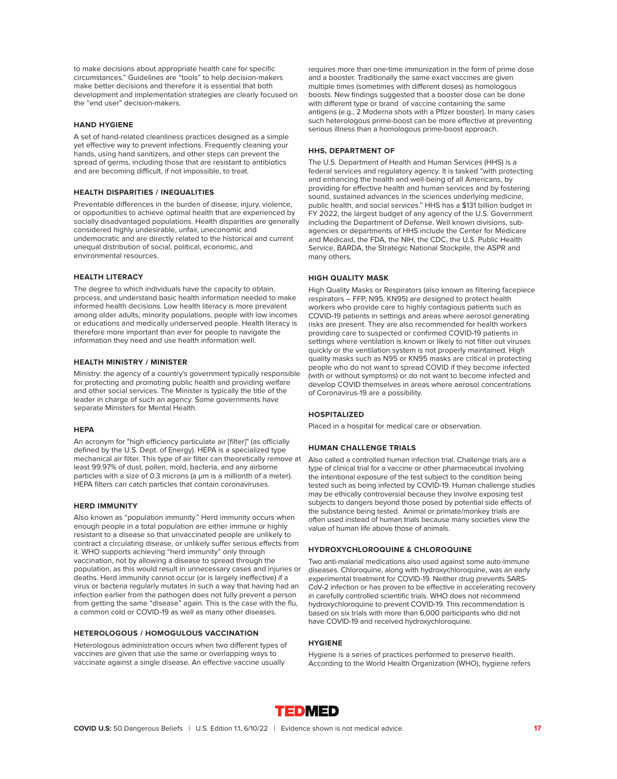to make decisions about appropriate health care for specific circumstances." Guidelines are "tools" to help decision-makers make better decisions and therefore it is essential that both development and implementation strategies are clearly focused on the "end user" decision-makers.

# **HAND HYGIENE**

A set of hand-related cleanliness practices designed as a simple yet effective way to prevent infections. Frequently cleaning your hands, using hand sanitizers, and other steps can prevent the spread of germs, including those that are resistant to antibiotics and are becoming difficult, if not impossible, to treat.

# **HEALTH DISPARITIES / INEQUALITIES**

Preventable differences in the burden of disease, injury, violence, or opportunities to achieve optimal health that are experienced by socially disadvantaged populations. Health disparities are generally considered highly undesirable, unfair, uneconomic and undemocratic and are directly related to the historical and current unequal distribution of social, political, economic, and environmental resources.

#### **HEALTH LITERACY**

The degree to which individuals have the capacity to obtain, process, and understand basic health information needed to make informed health decisions. Low health literacy is more prevalent among older adults, minority populations, people with low incomes or educations and medically underserved people. Health literacy is therefore more important than ever for people to navigate the information they need and use health information well.

# **HEALTH MINISTRY / MINISTER**

Ministry: the agency of a country's government typically responsible for protecting and promoting public health and providing welfare and other social services. The Minister is typically the title of the leader in charge of such an agency. Some governments have separate Ministers for Mental Health.

# **HEPA**

An acronym for "high efficiency particulate air [filter]" (as officially defined by the U.S. Dept. of Energy). HEPA is a specialized type mechanical air filter. This type of air filter can theoretically remove at least 99.97% of dust, pollen, mold, bacteria, and any airborne particles with a size of 0.3 microns (a μm is a millionth of a meter). HEPA filters can catch particles that contain coronaviruses.

#### **HERD IMMUNITY**

Also known as "population immunity." Herd immunity occurs when enough people in a total population are either immune or highly resistant to a disease so that unvaccinated people are unlikely to contract a circulating disease, or unlikely suffer serious effects from it. WHO supports achieving "herd immunity" only through vaccination, not by allowing a disease to spread through the population, as this would result in unnecessary cases and injuries or deaths. Herd immunity cannot occur (or is largely ineffective) if a virus or bacteria regularly mutates in such a way that having had an infection earlier from the pathogen does not fully prevent a person from getting the same "disease" again. This is the case with the flu, a common cold or COVID-19 as well as many other diseases.

# **HETEROLOGOUS / HOMOGULOUS VACCINATION**

Heterologous administration occurs when two different types of vaccines are given that use the same or overlapping ways to vaccinate against a single disease. An effective vaccine usually

requires more than one-time immunization in the form of prime dose and a booster. Traditionally the same exact vaccines are given multiple times (sometimes with different doses) as homologous boosts. New findings suggested that a booster dose can be done with different type or brand of vaccine containing the same antigens (e.g., 2 Moderna shots with a Pfizer booster). In many cases such heterologous prime-boost can be more effective at preventing serious illness than a homologous prime-boost approach.

## **HHS, DEPARTMENT OF**

The U.S. Department of Health and Human Services (HHS) is a federal services and regulatory agency. It is tasked "with protecting and enhancing the health and well-being of all Americans, by providing for effective health and human services and by fostering sound, sustained advances in the sciences underlying medicine, public health, and social services." HHS has a \$131 billion budget in FY 2022, the largest budget of any agency of the U.S. Government including the Department of Defense. Well known divisions, subagencies or departments of HHS include the Center for Medicare and Medicaid, the FDA, the NIH, the CDC, the U.S. Public Health Service, BARDA, the Strategic National Stockpile, the ASPR and many others.

# **HIGH QUALITY MASK**

High Quality Masks or Respirators (also known as filtering facepiece respirators – FFP, N95, KN95) are designed to protect health workers who provide care to highly contagious patients such as COVID-19 patients in settings and areas where aerosol generating risks are present. They are also recommended for health workers providing care to suspected or confirmed COVID-19 patients in settings where ventilation is known or likely to not filter out viruses quickly or the ventilation system is not properly maintained. High quality masks such as N95 or KN95 masks are critical in protecting people who do not want to spread COVID if they become infected (with or without symptoms) or do not want to become infected and develop COVID themselves in areas where aerosol concentrations of Coronavirus-19 are a possibility.

# **HOSPITALIZED**

Placed in a hospital for medical care or observation.

# **HUMAN CHALLENGE TRIALS**

Also called a controlled human infection trial. Challenge trials are a type of clinical trial for a vaccine or other pharmaceutical involving the intentional exposure of the test subject to the condition being tested such as being infected by COVID-19. Human challenge studies may be ethically controversial because they involve exposing test subjects to dangers beyond those posed by potential side effects of the substance being tested. Animal or primate/monkey trials are often used instead of human trials because many societies view the value of human life above those of animals.

#### **HYDROXYCHLOROQUINE & CHLOROQUINE**

Two anti-malarial medications also used against some auto-immune diseases. Chloroquine, along with hydroxychloroquine, was an early experimental treatment for COVID-19. Neither drug prevents SARS-CoV-2 infection or has proven to be effective in accelerating recovery in carefully controlled scientific trials. WHO does not recommend hydroxychloroquine to prevent COVID-19. This recommendation is based on six trials with more than 6,000 participants who did not have COVID-19 and received hydroxychloroquine.

#### **HYGIENE**

Hygiene is a series of practices performed to preserve health. According to the World Health Organization (WHO), hygiene refers

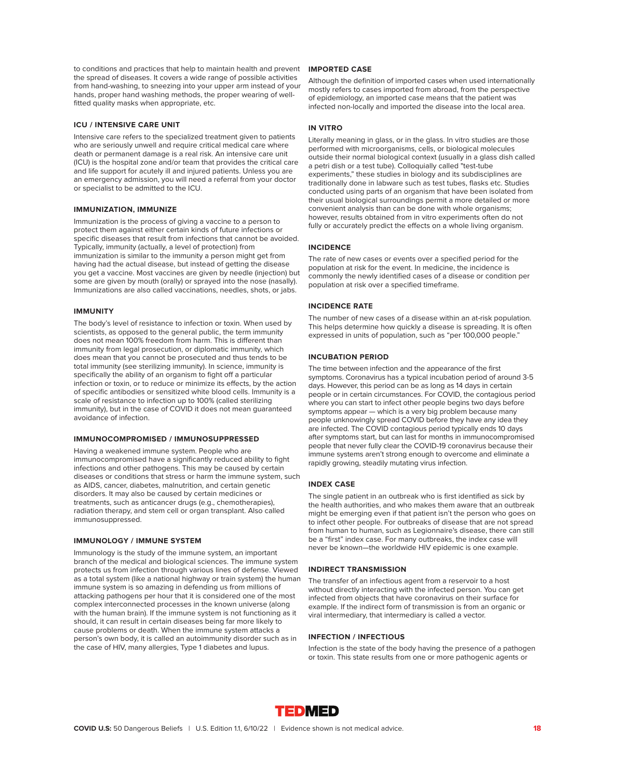to conditions and practices that help to maintain health and prevent **IMPORTED CASE** the spread of diseases. It covers a wide range of possible activities from hand-washing, to sneezing into your upper arm instead of your hands, proper hand washing methods, the proper wearing of wellfitted quality masks when appropriate, etc.

# **ICU / INTENSIVE CARE UNIT**

Intensive care refers to the specialized treatment given to patients who are seriously unwell and require critical medical care where death or permanent damage is a real risk. An intensive care unit (ICU) is the hospital zone and/or team that provides the critical care and life support for acutely ill and injured patients. Unless you are an emergency admission, you will need a referral from your doctor or specialist to be admitted to the ICU.

#### **IMMUNIZATION, IMMUNIZE**

Immunization is the process of giving a vaccine to a person to protect them against either certain kinds of future infections or specific diseases that result from infections that cannot be avoided. Typically, immunity (actually, a level of protection) from immunization is similar to the immunity a person might get from having had the actual disease, but instead of getting the disease you get a vaccine. Most vaccines are given by needle (injection) but some are given by mouth (orally) or sprayed into the nose (nasally). Immunizations are also called vaccinations, needles, shots, or jabs.

#### **IMMUNITY**

The body's level of resistance to infection or toxin. When used by scientists, as opposed to the general public, the term immunity does not mean 100% freedom from harm. This is different than immunity from legal prosecution, or diplomatic immunity, which does mean that you cannot be prosecuted and thus tends to be total immunity (see sterilizing immunity). In science, immunity is specifically the ability of an organism to fight off a particular infection or toxin, or to reduce or minimize its effects, by the action of specific antibodies or sensitized white blood cells. Immunity is a scale of resistance to infection up to 100% (called sterilizing immunity), but in the case of COVID it does not mean guaranteed avoidance of infection.

# **IMMUNOCOMPROMISED / IMMUNOSUPPRESSED**

Having a weakened immune system. People who are immunocompromised have a significantly reduced ability to fight infections and other pathogens. This may be caused by certain diseases or conditions that stress or harm the immune system, such as AIDS, cancer, diabetes, malnutrition, and certain genetic disorders. It may also be caused by certain medicines or treatments, such as anticancer drugs (e.g., chemotherapies), radiation therapy, and stem cell or organ transplant. Also called immunosuppressed.

# **IMMUNOLOGY / IMMUNE SYSTEM**

Immunology is the study of the immune system, an important branch of the medical and biological sciences. The immune system protects us from infection through various lines of defense. Viewed as a total system (like a national highway or train system) the human immune system is so amazing in defending us from millions of attacking pathogens per hour that it is considered one of the most complex interconnected processes in the known universe (along with the human brain). If the immune system is not functioning as it should, it can result in certain diseases being far more likely to cause problems or death. When the immune system attacks a person's own body, it is called an autoimmunity disorder such as in the case of HIV, many allergies, Type 1 diabetes and lupus.

Although the definition of imported cases when used internationally mostly refers to cases imported from abroad, from the perspective of epidemiology, an imported case means that the patient was infected non-locally and imported the disease into the local area.

#### **IN VITRO**

Literally meaning in glass, or in the glass. In vitro studies are those performed with microorganisms, cells, or biological molecules outside their normal biological context (usually in a glass dish called a petri dish or a test tube). Colloquially called "test-tube experiments," these studies in biology and its subdisciplines are traditionally done in labware such as test tubes, flasks etc. Studies conducted using parts of an organism that have been isolated from their usual biological surroundings permit a more detailed or more convenient analysis than can be done with whole organisms; however, results obtained from in vitro experiments often do not fully or accurately predict the effects on a whole living organism.

# **INCIDENCE**

The rate of new cases or events over a specified period for the population at risk for the event. In medicine, the incidence is commonly the newly identified cases of a disease or condition per population at risk over a specified timeframe.

# **INCIDENCE RATE**

The number of new cases of a disease within an at-risk population. This helps determine how quickly a disease is spreading. It is often expressed in units of population, such as "per 100,000 people."

# **INCUBATION PERIOD**

The time between infection and the appearance of the first symptoms. Coronavirus has a typical incubation period of around 3-5 days. However, this period can be as long as 14 days in certain people or in certain circumstances. For COVID, the contagious period where you can start to infect other people begins two days before symptoms appear — which is a very big problem because many people unknowingly spread COVID before they have any idea they are infected. The COVID contagious period typically ends 10 days after symptoms start, but can last for months in immunocompromised people that never fully clear the COVID-19 coronavirus because their immune systems aren't strong enough to overcome and eliminate a rapidly growing, steadily mutating virus infection.

# **INDEX CASE**

The single patient in an outbreak who is first identified as sick by the health authorities, and who makes them aware that an outbreak might be emerging even if that patient isn't the person who goes on to infect other people. For outbreaks of disease that are not spread from human to human, such as Legionnaire's disease, there can still be a "first" index case. For many outbreaks, the index case will never be known—the worldwide HIV epidemic is one example.

# **INDIRECT TRANSMISSION**

The transfer of an infectious agent from a reservoir to a host without directly interacting with the infected person. You can get infected from objects that have coronavirus on their surface for example. If the indirect form of transmission is from an organic or viral intermediary, that intermediary is called a vector.

# **INFECTION / INFECTIOUS**

Infection is the state of the body having the presence of a pathogen or toxin. This state results from one or more pathogenic agents or

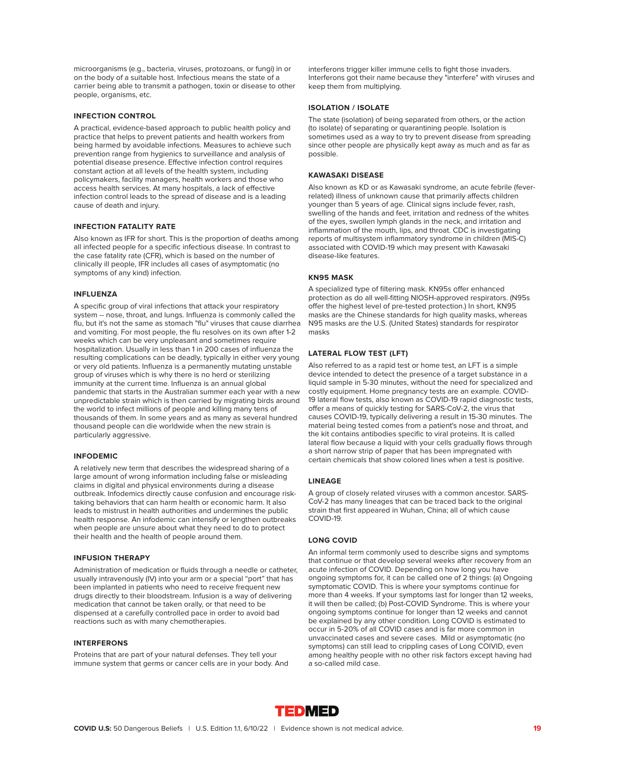microorganisms (e.g., bacteria, viruses, protozoans, or fungi) in or on the body of a suitable host. Infectious means the state of a carrier being able to transmit a pathogen, toxin or disease to other people, organisms, etc.

# **INFECTION CONTROL**

A practical, evidence-based approach to public health policy and practice that helps to prevent patients and health workers from being harmed by avoidable infections. Measures to achieve such prevention range from hygienics to surveillance and analysis of potential disease presence. Effective infection control requires constant action at all levels of the health system, including policymakers, facility managers, health workers and those who access health services. At many hospitals, a lack of effective infection control leads to the spread of disease and is a leading cause of death and injury.

# **INFECTION FATALITY RATE**

Also known as IFR for short. This is the proportion of deaths among all infected people for a specific infectious disease. In contrast to the case fatality rate (CFR), which is based on the number of clinically ill people, IFR includes all cases of asymptomatic (no symptoms of any kind) infection.

#### **INFLUENZA**

A specific group of viral infections that attack your respiratory system -- nose, throat, and lungs. Influenza is commonly called the flu, but it's not the same as stomach "flu" viruses that cause diarrhea and vomiting. For most people, the flu resolves on its own after 1-2 weeks which can be very unpleasant and sometimes require hospitalization. Usually in less than 1 in 200 cases of influenza the resulting complications can be deadly, typically in either very young or very old patients. Influenza is a permanently mutating unstable group of viruses which is why there is no herd or sterilizing immunity at the current time. Influenza is an annual global pandemic that starts in the Australian summer each year with a new unpredictable strain which is then carried by migrating birds around the world to infect millions of people and killing many tens of thousands of them. In some years and as many as several hundred thousand people can die worldwide when the new strain is particularly aggressive.

#### **INFODEMIC**

A relatively new term that describes the widespread sharing of a large amount of wrong information including false or misleading claims in digital and physical environments during a disease outbreak. Infodemics directly cause confusion and encourage risktaking behaviors that can harm health or economic harm. It also leads to mistrust in health authorities and undermines the public health response. An infodemic can intensify or lengthen outbreaks when people are unsure about what they need to do to protect their health and the health of people around them.

# **INFUSION THERAPY**

Administration of medication or fluids through a needle or catheter, usually intravenously (IV) into your arm or a special "port" that has been implanted in patients who need to receive frequent new drugs directly to their bloodstream. Infusion is a way of delivering medication that cannot be taken orally, or that need to be dispensed at a carefully controlled pace in order to avoid bad reactions such as with many chemotherapies.

# **INTERFERONS**

Proteins that are part of your natural defenses. They tell your immune system that germs or cancer cells are in your body. And interferons trigger killer immune cells to fight those invaders. Interferons got their name because they "interfere" with viruses and keep them from multiplying.

# **ISOLATION / ISOLATE**

The state (isolation) of being separated from others, or the action (to isolate) of separating or quarantining people. Isolation is sometimes used as a way to try to prevent disease from spreading since other people are physically kept away as much and as far as possible.

# **KAWASAKI DISEASE**

Also known as KD or as Kawasaki syndrome, an acute febrile (feverrelated) illness of unknown cause that primarily affects children younger than 5 years of age. Clinical signs include fever, rash, swelling of the hands and feet, irritation and redness of the whites of the eyes, swollen lymph glands in the neck, and irritation and inflammation of the mouth, lips, and throat. CDC is investigating reports of multisystem inflammatory syndrome in children (MIS-C) associated with COVID-19 which may present with Kawasaki disease-like features.

# **KN95 MASK**

A specialized type of filtering mask. KN95s offer enhanced protection as do all well-fitting NIOSH-approved respirators. (N95s offer the highest level of pre-tested protection.) In short, KN95 masks are the Chinese standards for high quality masks, whereas N95 masks are the U.S. (United States) standards for respirator masks

# **LATERAL FLOW TEST (LFT)**

Also referred to as a rapid test or home test, an LFT is a simple device intended to detect the presence of a target substance in a liquid sample in 5-30 minutes, without the need for specialized and costly equipment. Home pregnancy tests are an example. COVID-19 lateral flow tests, also known as COVID-19 rapid diagnostic tests, offer a means of quickly testing for SARS-CoV-2, the virus that causes COVID-19, typically delivering a result in 15-30 minutes. The material being tested comes from a patient's nose and throat, and the kit contains antibodies specific to viral proteins. It is called lateral flow because a liquid with your cells gradually flows through a short narrow strip of paper that has been impregnated with certain chemicals that show colored lines when a test is positive.

# **LINEAGE**

A group of closely related viruses with a common ancestor. SARS-CoV-2 has many lineages that can be traced back to the original strain that first appeared in Wuhan, China; all of which cause COVID-19.

# **LONG COVID**

An informal term commonly used to describe signs and symptoms that continue or that develop several weeks after recovery from an acute infection of COVID. Depending on how long you have ongoing symptoms for, it can be called one of 2 things: (a) Ongoing symptomatic COVID. This is where your symptoms continue for more than 4 weeks. If your symptoms last for longer than 12 weeks, it will then be called; (b) Post-COVID Syndrome. This is where your ongoing symptoms continue for longer than 12 weeks and cannot be explained by any other condition. Long COVID is estimated to occur in 5-20% of all COVID cases and is far more common in unvaccinated cases and severe cases. Mild or asymptomatic (no symptoms) can still lead to crippling cases of Long COIVID, even among healthy people with no other risk factors except having had a so-called mild case.

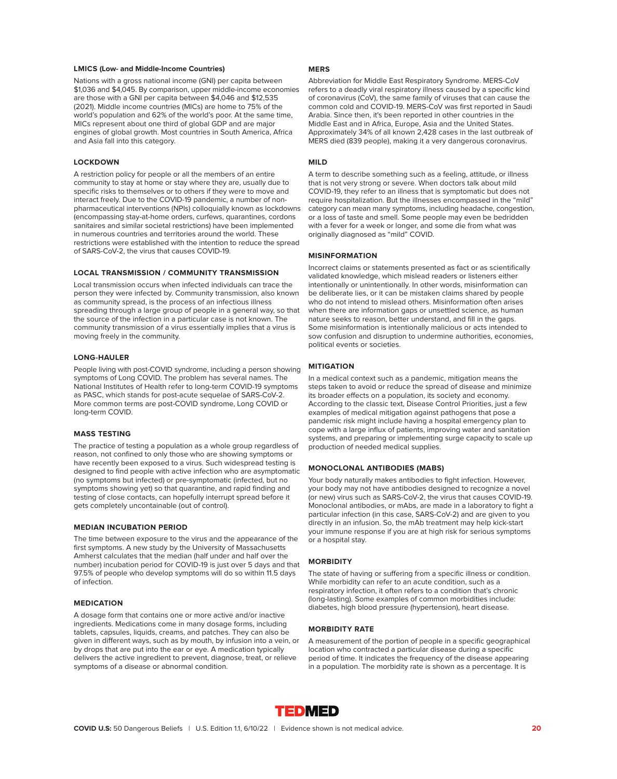# **LMICS (Low- and Middle-Income Countries)**

Nations with a gross national income (GNI) per capita between \$1,036 and \$4,045. By comparison, upper middle-income economies are those with a GNI per capita between \$4,046 and \$12,535 (2021). Middle income countries (MICs) are home to 75% of the world's population and 62% of the world's poor. At the same time, MICs represent about one third of global GDP and are major engines of global growth. Most countries in South America, Africa and Asia fall into this category.

# **LOCKDOWN**

A restriction policy for people or all the members of an entire community to stay at home or stay where they are, usually due to specific risks to themselves or to others if they were to move and interact freely. Due to the COVID-19 pandemic, a number of nonpharmaceutical interventions (NPIs) colloquially known as lockdowns (encompassing stay-at-home orders, curfews, quarantines, cordons sanitaires and similar societal restrictions) have been implemented in numerous countries and territories around the world. These restrictions were established with the intention to reduce the spread of SARS-CoV-2, the virus that causes COVID-19.

# **LOCAL TRANSMISSION / COMMUNITY TRANSMISSION**

Local transmission occurs when infected individuals can trace the person they were infected by. Community transmission, also known as community spread, is the process of an infectious illness spreading through a large group of people in a general way, so that the source of the infection in a particular case is not known. The community transmission of a virus essentially implies that a virus is moving freely in the community.

## **LONG-HAULER**

People living with post-COVID syndrome, including a person showing symptoms of Long COVID. The problem has several names. The National Institutes of Health refer to long-term COVID-19 symptoms as PASC, which stands for post-acute sequelae of SARS-CoV-2. More common terms are post-COVID syndrome, Long COVID or long-term COVID.

# **MASS TESTING**

The practice of testing a population as a whole group regardless of reason, not confined to only those who are showing symptoms or have recently been exposed to a virus. Such widespread testing is designed to find people with active infection who are asymptomatic (no symptoms but infected) or pre-symptomatic (infected, but no symptoms showing yet) so that quarantine, and rapid finding and testing of close contacts, can hopefully interrupt spread before it gets completely uncontainable (out of control).

# **MEDIAN INCUBATION PERIOD**

The time between exposure to the virus and the appearance of the first symptoms. A new study by the University of Massachusetts Amherst calculates that the median (half under and half over the number) incubation period for COVID-19 is just over 5 days and that 97.5% of people who develop symptoms will do so within 11.5 days of infection.

# **MEDICATION**

A dosage form that contains one or more active and/or inactive ingredients. Medications come in many dosage forms, including tablets, capsules, liquids, creams, and patches. They can also be given in different ways, such as by mouth, by infusion into a vein, or by drops that are put into the ear or eye. A medication typically delivers the active ingredient to prevent, diagnose, treat, or relieve symptoms of a disease or abnormal condition.

# **MERS**

Abbreviation for Middle East Respiratory Syndrome. MERS-CoV refers to a deadly viral respiratory illness caused by a specific kind of coronavirus (CoV), the same family of viruses that can cause the common cold and COVID-19. MERS-CoV was first reported in Saudi Arabia. Since then, it's been reported in other countries in the Middle East and in Africa, Europe, Asia and the United States. Approximately 34% of all known 2,428 cases in the last outbreak of MERS died (839 people), making it a very dangerous coronavirus.

# **MILD**

A term to describe something such as a feeling, attitude, or illness that is not very strong or severe. When doctors talk about mild COVID-19, they refer to an illness that is symptomatic but does not require hospitalization. But the illnesses encompassed in the "mild" category can mean many symptoms, including headache, congestion, or a loss of taste and smell. Some people may even be bedridden with a fever for a week or longer, and some die from what was originally diagnosed as "mild" COVID.

# **MISINFORMATION**

Incorrect claims or statements presented as fact or as scientifically validated knowledge, which mislead readers or listeners either intentionally or unintentionally. In other words, misinformation can be deliberate lies, or it can be mistaken claims shared by people who do not intend to mislead others. Misinformation often arises when there are information gaps or unsettled science, as human nature seeks to reason, better understand, and fill in the gaps. Some misinformation is intentionally malicious or acts intended to sow confusion and disruption to undermine authorities, economies, political events or societies.

# **MITIGATION**

In a medical context such as a pandemic, mitigation means the steps taken to avoid or reduce the spread of disease and minimize its broader effects on a population, its society and economy. According to the classic text, Disease Control Priorities, just a few examples of medical mitigation against pathogens that pose a pandemic risk might include having a hospital emergency plan to cope with a large influx of patients, improving water and sanitation systems, and preparing or implementing surge capacity to scale up production of needed medical supplies.

# **MONOCLONAL ANTIBODIES (MABS)**

Your body naturally makes antibodies to fight infection. However, your body may not have antibodies designed to recognize a novel (or new) virus such as SARS-CoV-2, the virus that causes COVID-19. Monoclonal antibodies, or mAbs, are made in a laboratory to fight a particular infection (in this case, SARS-CoV-2) and are given to you directly in an infusion. So, the mAb treatment may help kick-start your immune response if you are at high risk for serious symptoms or a hospital stay.

# **MORBIDITY**

The state of having or suffering from a specific illness or condition. While morbidity can refer to an acute condition, such as a respiratory infection, it often refers to a condition that's chronic (long-lasting). Some examples of common morbidities include: diabetes, high blood pressure (hypertension), heart disease.

# **MORBIDITY RATE**

A measurement of the portion of people in a specific geographical location who contracted a particular disease during a specific period of time. It indicates the frequency of the disease appearing in a population. The morbidity rate is shown as a percentage. It is

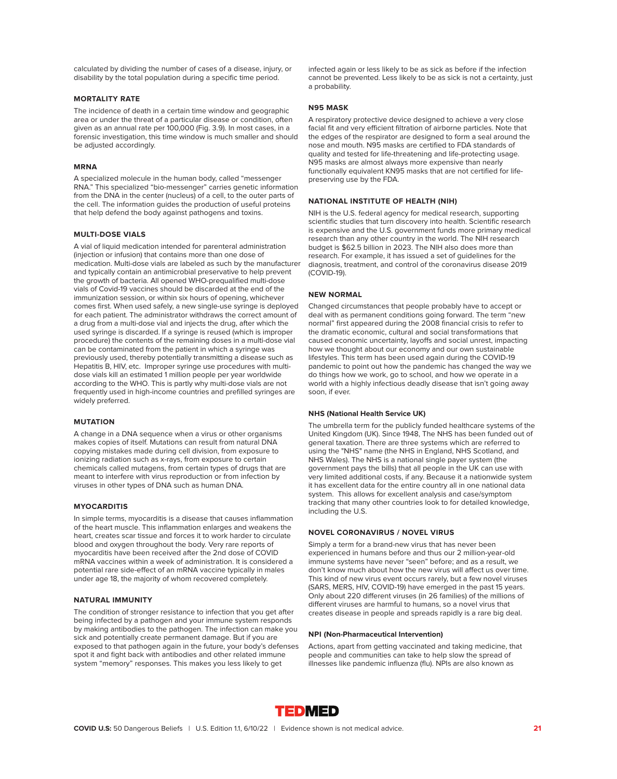calculated by dividing the number of cases of a disease, injury, or disability by the total population during a specific time period.

# **MORTALITY RATE**

The incidence of death in a certain time window and geographic area or under the threat of a particular disease or condition, often given as an annual rate per 100,000 (Fig. 3.9). In most cases, in a forensic investigation, this time window is much smaller and should be adjusted accordingly.

# **MRNA**

A specialized molecule in the human body, called "messenger RNA." This specialized "bio-messenger" carries genetic information from the DNA in the center (nucleus) of a cell, to the outer parts of the cell. The information guides the production of useful proteins that help defend the body against pathogens and toxins.

# **MULTI-DOSE VIALS**

A vial of liquid medication intended for parenteral administration (injection or infusion) that contains more than one dose of medication. Multi-dose vials are labeled as such by the manufacturer and typically contain an antimicrobial preservative to help prevent the growth of bacteria. All opened WHO-prequalified multi-dose vials of Covid-19 vaccines should be discarded at the end of the immunization session, or within six hours of opening, whichever comes first. When used safely, a new single-use syringe is deployed for each patient. The administrator withdraws the correct amount of a drug from a multi-dose vial and injects the drug, after which the used syringe is discarded. If a syringe is reused (which is improper procedure) the contents of the remaining doses in a multi-dose vial can be contaminated from the patient in which a syringe was previously used, thereby potentially transmitting a disease such as Hepatitis B, HIV, etc. Improper syringe use procedures with multidose vials kill an estimated 1 million people per year worldwide according to the WHO. This is partly why multi-dose vials are not frequently used in high-income countries and prefilled syringes are widely preferred.

# **MUTATION**

A change in a DNA sequence when a virus or other organisms makes copies of itself. Mutations can result from natural DNA copying mistakes made during cell division, from exposure to ionizing radiation such as x-rays, from exposure to certain chemicals called mutagens, from certain types of drugs that are meant to interfere with virus reproduction or from infection by viruses in other types of DNA such as human DNA.

# **MYOCARDITIS**

In simple terms, myocarditis is a disease that causes inflammation of the heart muscle. This inflammation enlarges and weakens the heart, creates scar tissue and forces it to work harder to circulate blood and oxygen throughout the body. Very rare reports of myocarditis have been received after the 2nd dose of COVID mRNA vaccines within a week of administration. It is considered a potential rare side-effect of an mRNA vaccine typically in males under age 18, the majority of whom recovered completely.

# **NATURAL IMMUNITY**

The condition of stronger resistance to infection that you get after being infected by a pathogen and your immune system responds by making antibodies to the pathogen. The infection can make you sick and potentially create permanent damage. But if you are exposed to that pathogen again in the future, your body's defenses spot it and fight back with antibodies and other related immune system "memory" responses. This makes you less likely to get

infected again or less likely to be as sick as before if the infection cannot be prevented. Less likely to be as sick is not a certainty, just a probability.

#### **N95 MASK**

A respiratory protective device designed to achieve a very close facial fit and very efficient filtration of airborne particles. Note that the edges of the respirator are designed to form a seal around the nose and mouth. N95 masks are certified to FDA standards of quality and tested for life-threatening and life-protecting usage. N95 masks are almost always more expensive than nearly functionally equivalent KN95 masks that are not certified for lifepreserving use by the FDA.

# **NATIONAL INSTITUTE OF HEALTH (NIH)**

NIH is the U.S. federal agency for medical research, supporting scientific studies that turn discovery into health. Scientific research is expensive and the U.S. government funds more primary medical research than any other country in the world. The NIH research budget is \$62.5 billion in 2023. The NIH also does more than research. For example, it has issued a set of guidelines for the diagnosis, treatment, and control of the coronavirus disease 2019 (COVID-19).

#### **NEW NORMAL**

Changed circumstances that people probably have to accept or deal with as permanent conditions going forward. The term "new normal" first appeared during the 2008 financial crisis to refer to the dramatic economic, cultural and social transformations that caused economic uncertainty, layoffs and social unrest, impacting how we thought about our economy and our own sustainable lifestyles. This term has been used again during the COVID-19 pandemic to point out how the pandemic has changed the way we do things how we work, go to school, and how we operate in a world with a highly infectious deadly disease that isn't going away soon, if ever.

# **NHS (National Health Service UK)**

The umbrella term for the publicly funded healthcare systems of the United Kingdom (UK). Since 1948, The NHS has been funded out of general taxation. There are three systems which are referred to using the "NHS" name (the NHS in England, NHS Scotland, and NHS Wales). The NHS is a national single payer system (the government pays the bills) that all people in the UK can use with very limited additional costs, if any. Because it a nationwide system it has excellent data for the entire country all in one national data system. This allows for excellent analysis and case/symptom tracking that many other countries look to for detailed knowledge, including the U.S.

## **NOVEL CORONAVIRUS / NOVEL VIRUS**

Simply a term for a brand-new virus that has never been experienced in humans before and thus our 2 million-year-old immune systems have never "seen" before; and as a result, we don't know much about how the new virus will affect us over time. This kind of new virus event occurs rarely, but a few novel viruses (SARS, MERS, HIV, COVID-19) have emerged in the past 15 years. Only about 220 different viruses (in 26 families) of the millions of different viruses are harmful to humans, so a novel virus that creates disease in people and spreads rapidly is a rare big deal.

#### **NPI (Non-Pharmaceutical Intervention)**

Actions, apart from getting vaccinated and taking medicine, that people and communities can take to help slow the spread of illnesses like pandemic influenza (flu). NPIs are also known as

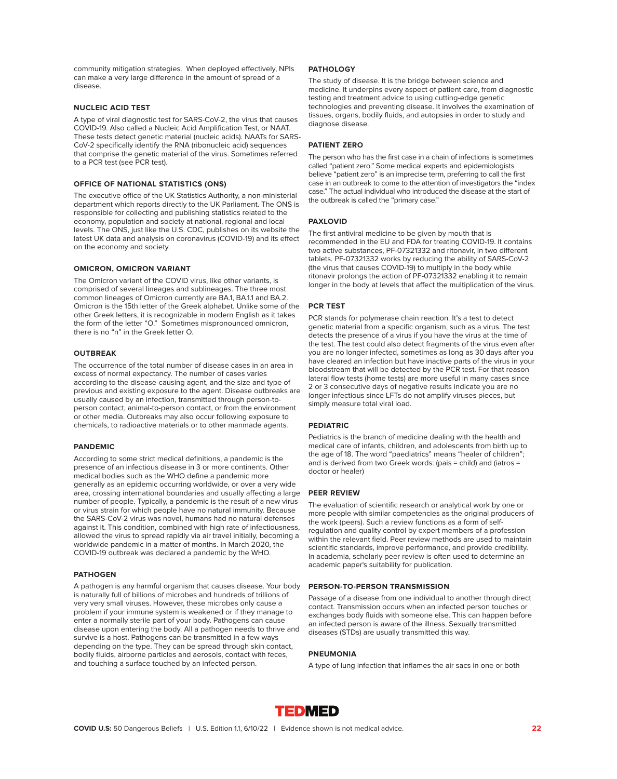community mitigation strategies. When deployed effectively, NPIs can make a very large difference in the amount of spread of a disease.

# **NUCLEIC ACID TEST**

A type of viral diagnostic test for SARS-CoV-2, the virus that causes COVID-19. Also called a Nucleic Acid Amplification Test, or NAAT. These tests detect genetic material (nucleic acids). NAATs for SARS-CoV-2 specifically identify the RNA (ribonucleic acid) sequences that comprise the genetic material of the virus. Sometimes referred to a PCR test (see PCR test).

# **OFFICE OF NATIONAL STATISTICS (ONS)**

The executive office of the UK Statistics Authority, a non-ministerial department which reports directly to the UK Parliament. The ONS is responsible for collecting and publishing statistics related to the economy, population and society at national, regional and local levels. The ONS, just like the U.S. CDC, publishes on its website the latest UK data and analysis on coronavirus (COVID-19) and its effect on the economy and society.

# **OMICRON, OMICRON VARIANT**

The Omicron variant of the COVID virus, like other variants, is comprised of several lineages and sublineages. The three most common lineages of Omicron currently are BA.1, BA.1.1 and BA.2. Omicron is the 15th letter of the Greek alphabet. Unlike some of the other Greek letters, it is recognizable in modern English as it takes the form of the letter "O." Sometimes mispronounced omnicron, there is no "n" in the Greek letter O.

# **OUTBREAK**

The occurrence of the total number of disease cases in an area in excess of normal expectancy. The number of cases varies according to the disease-causing agent, and the size and type of previous and existing exposure to the agent. Disease outbreaks are usually caused by an infection, transmitted through person-toperson contact, animal-to-person contact, or from the environment or other media. Outbreaks may also occur following exposure to chemicals, to radioactive materials or to other manmade agents.

# **PANDEMIC**

According to some strict medical definitions, a pandemic is the presence of an infectious disease in 3 or more continents. Other medical bodies such as the WHO define a pandemic more generally as an epidemic occurring worldwide, or over a very wide area, crossing international boundaries and usually affecting a large number of people. Typically, a pandemic is the result of a new virus or virus strain for which people have no natural immunity. Because the SARS-CoV-2 virus was novel, humans had no natural defenses against it. This condition, combined with high rate of infectiousness, allowed the virus to spread rapidly via air travel initially, becoming a worldwide pandemic in a matter of months. In March 2020, the COVID-19 outbreak was declared a pandemic by the WHO.

#### **PATHOGEN**

A pathogen is any harmful organism that causes disease. Your body is naturally full of billions of microbes and hundreds of trillions of very very small viruses. However, these microbes only cause a problem if your immune system is weakened or if they manage to enter a normally sterile part of your body. Pathogens can cause disease upon entering the body. All a pathogen needs to thrive and survive is a host. Pathogens can be transmitted in a few ways depending on the type. They can be spread through skin contact, bodily fluids, airborne particles and aerosols, contact with feces, and touching a surface touched by an infected person.

# **PATHOLOGY**

The study of disease. It is the bridge between science and medicine. It underpins every aspect of patient care, from diagnostic testing and treatment advice to using cutting-edge genetic technologies and preventing disease. It involves the examination of tissues, organs, bodily fluids, and autopsies in order to study and diagnose disease.

# **PATIENT ZERO**

The person who has the first case in a chain of infections is sometimes called "patient zero." Some medical experts and epidemiologists believe "patient zero" is an imprecise term, preferring to call the first case in an outbreak to come to the attention of investigators the "index case." The actual individual who introduced the disease at the start of the outbreak is called the "primary case."

# **PAXLOVID**

The first antiviral medicine to be given by mouth that is recommended in the EU and FDA for treating COVID-19. It contains two active substances, PF-07321332 and ritonavir, in two different tablets. PF-07321332 works by reducing the ability of SARS-CoV-2 (the virus that causes COVID-19) to multiply in the body while ritonavir prolongs the action of PF-07321332 enabling it to remain longer in the body at levels that affect the multiplication of the virus.

#### **PCR TEST**

PCR stands for polymerase chain reaction. It's a test to detect genetic material from a specific organism, such as a virus. The test detects the presence of a virus if you have the virus at the time of the test. The test could also detect fragments of the virus even after you are no longer infected, sometimes as long as 30 days after you have cleared an infection but have inactive parts of the virus in your bloodstream that will be detected by the PCR test. For that reason lateral flow tests (home tests) are more useful in many cases since 2 or 3 consecutive days of negative results indicate you are no longer infectious since LFTs do not amplify viruses pieces, but simply measure total viral load.

# **PEDIATRIC**

Pediatrics is the branch of medicine dealing with the health and medical care of infants, children, and adolescents from birth up to the age of 18. The word "paediatrics" means "healer of children"; and is derived from two Greek words: (pais = child) and (iatros = doctor or healer)

# **PEER REVIEW**

The evaluation of scientific research or analytical work by one or more people with similar competencies as the original producers of the work (peers). Such a review functions as a form of selfregulation and quality control by expert members of a profession within the relevant field. Peer review methods are used to maintain scientific standards, improve performance, and provide credibility. In academia, scholarly peer review is often used to determine an academic paper's suitability for publication.

#### **PERSON-TO-PERSON TRANSMISSION**

Passage of a disease from one individual to another through direct contact. Transmission occurs when an infected person touches or exchanges body fluids with someone else. This can happen before an infected person is aware of the illness. Sexually transmitted diseases (STDs) are usually transmitted this way.

# **PNEUMONIA**

A type of lung infection that inflames the air sacs in one or both

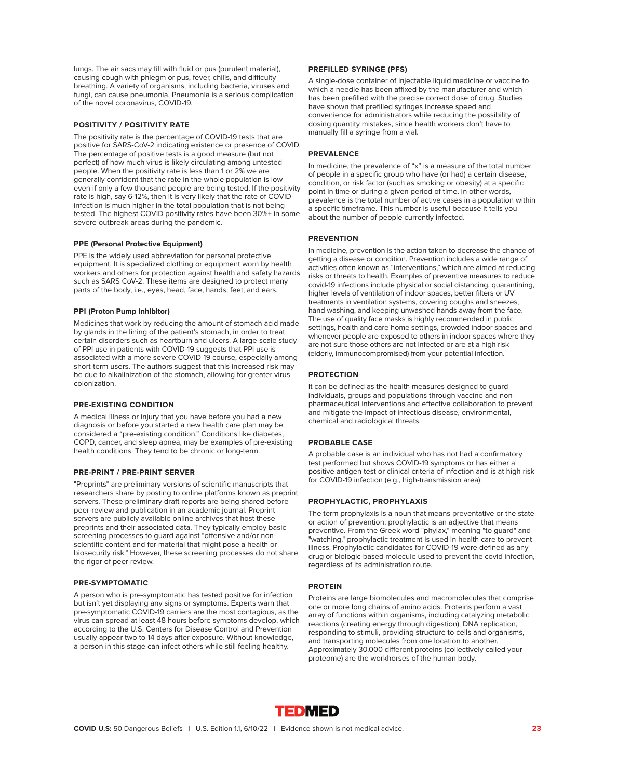lungs. The air sacs may fill with fluid or pus (purulent material), causing cough with phlegm or pus, fever, chills, and difficulty breathing. A variety of organisms, including bacteria, viruses and fungi, can cause pneumonia. Pneumonia is a serious complication of the novel coronavirus, COVID-19.

# **POSITIVITY / POSITIVITY RATE**

The positivity rate is the percentage of COVID-19 tests that are positive for SARS-CoV-2 indicating existence or presence of COVID. The percentage of positive tests is a good measure (but not perfect) of how much virus is likely circulating among untested people. When the positivity rate is less than 1 or 2% we are generally confident that the rate in the whole population is low even if only a few thousand people are being tested. If the positivity rate is high, say 6-12%, then it is very likely that the rate of COVID infection is much higher in the total population that is not being tested. The highest COVID positivity rates have been 30%+ in some severe outbreak areas during the pandemic.

#### **PPE (Personal Protective Equipment)**

PPE is the widely used abbreviation for personal protective equipment. It is specialized clothing or equipment worn by health workers and others for protection against health and safety hazards such as SARS CoV-2. These items are designed to protect many parts of the body, i.e., eyes, head, face, hands, feet, and ears.

#### **PPI (Proton Pump Inhibitor)**

Medicines that work by reducing the amount of stomach acid made by glands in the lining of the patient's stomach, in order to treat certain disorders such as heartburn and ulcers. A large-scale study of PPI use in patients with COVID-19 suggests that PPI use is associated with a more severe COVID-19 course, especially among short-term users. The authors suggest that this increased risk may be due to alkalinization of the stomach, allowing for greater virus colonization.

# **PRE-EXISTING CONDITION**

A medical illness or injury that you have before you had a new diagnosis or before you started a new health care plan may be considered a "pre-existing condition." Conditions like diabetes, COPD, cancer, and sleep apnea, may be examples of pre-existing health conditions. They tend to be chronic or long-term.

#### **PRE-PRINT / PRE-PRINT SERVER**

"Preprints" are preliminary versions of scientific manuscripts that researchers share by posting to online platforms known as preprint servers. These preliminary draft reports are being shared before peer-review and publication in an academic journal. Preprint servers are publicly available online archives that host these preprints and their associated data. They typically employ basic screening processes to guard against "offensive and/or nonscientific content and for material that might pose a health or biosecurity risk." However, these screening processes do not share the rigor of peer review.

# **PRE-SYMPTOMATIC**

A person who is pre-symptomatic has tested positive for infection but isn't yet displaying any signs or symptoms. Experts warn that pre-symptomatic COVID-19 carriers are the most contagious, as the virus can spread at least 48 hours before symptoms develop, which according to the U.S. Centers for Disease Control and Prevention usually appear two to 14 days after exposure. Without knowledge, a person in this stage can infect others while still feeling healthy.

# **PREFILLED SYRINGE (PFS)**

A single-dose container of injectable liquid medicine or vaccine to which a needle has been affixed by the manufacturer and which has been prefilled with the precise correct dose of drug. Studies have shown that prefilled syringes increase speed and convenience for administrators while reducing the possibility of dosing quantity mistakes, since health workers don't have to manually fill a syringe from a vial.

# **PREVALENCE**

In medicine, the prevalence of "x" is a measure of the total number of people in a specific group who have (or had) a certain disease, condition, or risk factor (such as smoking or obesity) at a specific point in time or during a given period of time. In other words, prevalence is the total number of active cases in a population within a specific timeframe. This number is useful because it tells you about the number of people currently infected.

# **PREVENTION**

In medicine, prevention is the action taken to decrease the chance of getting a disease or condition. Prevention includes a wide range of activities often known as "interventions," which are aimed at reducing risks or threats to health. Examples of preventive measures to reduce covid-19 infections include physical or social distancing, quarantining, higher levels of ventilation of indoor spaces, better filters or UV treatments in ventilation systems, covering coughs and sneezes, hand washing, and keeping unwashed hands away from the face. The use of quality face masks is highly recommended in public settings, health and care home settings, crowded indoor spaces and whenever people are exposed to others in indoor spaces where they are not sure those others are not infected or are at a high risk (elderly, immunocompromised) from your potential infection.

# **PROTECTION**

It can be defined as the health measures designed to guard individuals, groups and populations through vaccine and nonpharmaceutical interventions and effective collaboration to prevent and mitigate the impact of infectious disease, environmental, chemical and radiological threats.

# **PROBABLE CASE**

A probable case is an individual who has not had a confirmatory test performed but shows COVID-19 symptoms or has either a positive antigen test or clinical criteria of infection and is at high risk for COVID-19 infection (e.g., high-transmission area).

# **PROPHYLACTIC, PROPHYLAXIS**

The term prophylaxis is a noun that means preventative or the state or action of prevention; prophylactic is an adjective that means preventive. From the Greek word "phylax," meaning "to guard" and "watching," prophylactic treatment is used in health care to prevent illness. Prophylactic candidates for COVID-19 were defined as any drug or biologic-based molecule used to prevent the covid infection, regardless of its administration route.

#### **PROTEIN**

Proteins are large biomolecules and macromolecules that comprise one or more long chains of amino acids. Proteins perform a vast array of functions within organisms, including catalyzing metabolic reactions (creating energy through digestion), DNA replication, responding to stimuli, providing structure to cells and organisms, and transporting molecules from one location to another. Approximately 30,000 different proteins (collectively called your proteome) are the workhorses of the human body.

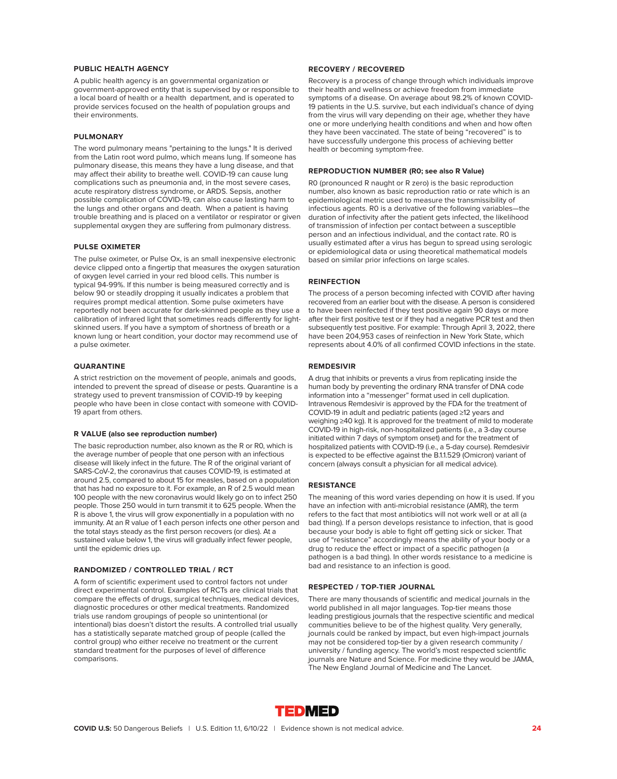# **PUBLIC HEALTH AGENCY**

A public health agency is an governmental organization or government-approved entity that is supervised by or responsible to a local board of health or a health department, and is operated to provide services focused on the health of population groups and their environments.

# **PULMONARY**

The word pulmonary means "pertaining to the lungs." It is derived from the Latin root word pulmo, which means lung. If someone has pulmonary disease, this means they have a lung disease, and that may affect their ability to breathe well. COVID-19 can cause lung complications such as pneumonia and, in the most severe cases, acute respiratory distress syndrome, or ARDS. Sepsis, another possible complication of COVID-19, can also cause lasting harm to the lungs and other organs and death. When a patient is having trouble breathing and is placed on a ventilator or respirator or given supplemental oxygen they are suffering from pulmonary distress.

# **PULSE OXIMETER**

The pulse oximeter, or Pulse Ox, is an small inexpensive electronic device clipped onto a fingertip that measures the oxygen saturation of oxygen level carried in your red blood cells. This number is typical 94-99%. If this number is being measured correctly and is below 90 or steadily dropping it usually indicates a problem that requires prompt medical attention. Some pulse oximeters have reportedly not been accurate for dark-skinned people as they use a calibration of infrared light that sometimes reads differently for lightskinned users. If you have a symptom of shortness of breath or a known lung or heart condition, your doctor may recommend use of a pulse oximeter.

# **QUARANTINE**

A strict restriction on the movement of people, animals and goods, intended to prevent the spread of disease or pests. Quarantine is a strategy used to prevent transmission of COVID-19 by keeping people who have been in close contact with someone with COVID-19 apart from others.

# **R VALUE (also see reproduction number)**

The basic reproduction number, also known as the R or R0, which is the average number of people that one person with an infectious disease will likely infect in the future. The R of the original variant of SARS-CoV-2, the coronavirus that causes COVID-19, is estimated at around 2.5, compared to about 15 for measles, based on a population that has had no exposure to it. For example, an R of 2.5 would mean 100 people with the new coronavirus would likely go on to infect 250 people. Those 250 would in turn transmit it to 625 people. When the R is above 1, the virus will grow exponentially in a population with no immunity. At an R value of 1 each person infects one other person and the total stays steady as the first person recovers (or dies). At a sustained value below 1, the virus will gradually infect fewer people, until the epidemic dries up.

# **RANDOMIZED / CONTROLLED TRIAL / RCT**

A form of scientific experiment used to control factors not under direct experimental control. Examples of RCTs are clinical trials that compare the effects of drugs, surgical techniques, medical devices, diagnostic procedures or other medical treatments. Randomized trials use random groupings of people so unintentional (or intentional) bias doesn't distort the results. A controlled trial usually has a statistically separate matched group of people (called the control group) who either receive no treatment or the current standard treatment for the purposes of level of difference comparisons.

# **RECOVERY / RECOVERED**

Recovery is a process of change through which individuals improve their health and wellness or achieve freedom from immediate symptoms of a disease. On average about 98.2% of known COVID-19 patients in the U.S. survive, but each individual's chance of dying from the virus will vary depending on their age, whether they have one or more underlying health conditions and when and how often they have been vaccinated. The state of being "recovered" is to have successfully undergone this process of achieving better health or becoming symptom-free.

# **REPRODUCTION NUMBER (R0; see also R Value)**

R0 (pronounced R naught or R zero) is the basic reproduction number, also known as basic reproduction ratio or rate which is an epidemiological metric used to measure the transmissibility of infectious agents. R0 is a derivative of the following variables—the duration of infectivity after the patient gets infected, the likelihood of transmission of infection per contact between a susceptible person and an infectious individual, and the contact rate. R0 is usually estimated after a virus has begun to spread using serologic or epidemiological data or using theoretical mathematical models based on similar prior infections on large scales.

# **REINFECTION**

The process of a person becoming infected with COVID after having recovered from an earlier bout with the disease. A person is considered to have been reinfected if they test positive again 90 days or more after their first positive test or if they had a negative PCR test and then subsequently test positive. For example: Through April 3, 2022, there have been 204,953 cases of reinfection in New York State, which represents about 4.0% of all confirmed COVID infections in the state.

# **REMDESIVIR**

A drug that inhibits or prevents a virus from replicating inside the human body by preventing the ordinary RNA transfer of DNA code information into a "messenger" format used in cell duplication. Intravenous Remdesivir is approved by the FDA for the treatment of COVID-19 in adult and pediatric patients (aged ≥12 years and weighing ≥40 kg). It is approved for the treatment of mild to moderate COVID-19 in high-risk, non-hospitalized patients (i.e., a 3-day course initiated within 7 days of symptom onset) and for the treatment of hospitalized patients with COVID-19 (i.e., a 5-day course). Remdesivir is expected to be effective against the B.1.1.529 (Omicron) variant of concern (always consult a physician for all medical advice).

# **RESISTANCE**

The meaning of this word varies depending on how it is used. If you have an infection with anti-microbial resistance (AMR), the term refers to the fact that most antibiotics will not work well or at all (a bad thing). If a person develops resistance to infection, that is good because your body is able to fight off getting sick or sicker. That use of "resistance" accordingly means the ability of your body or a drug to reduce the effect or impact of a specific pathogen (a pathogen is a bad thing). In other words resistance to a medicine is bad and resistance to an infection is good.

#### **RESPECTED / TOP-TIER JOURNAL**

There are many thousands of scientific and medical journals in the world published in all major languages. Top-tier means those leading prestigious journals that the respective scientific and medical communities believe to be of the highest quality. Very generally, journals could be ranked by impact, but even high-impact journals may not be considered top-tier by a given research community / university / funding agency. The world's most respected scientific journals are Nature and Science. For medicine they would be JAMA, The New England Journal of Medicine and The Lancet.

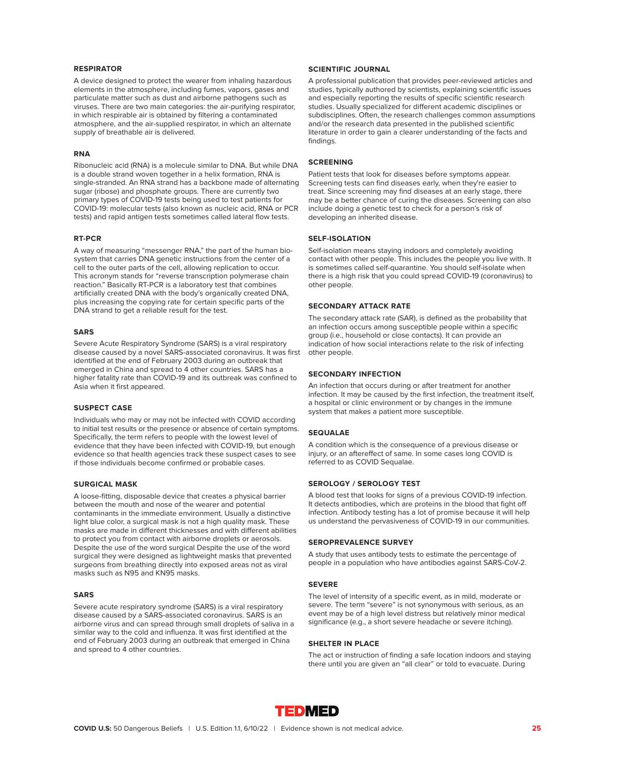# **RESPIRATOR**

A device designed to protect the wearer from inhaling hazardous elements in the atmosphere, including fumes, vapors, gases and particulate matter such as dust and airborne pathogens such as viruses. There are two main categories: the air-purifying respirator, in which respirable air is obtained by filtering a contaminated atmosphere, and the air-supplied respirator, in which an alternate supply of breathable air is delivered.

# **RNA**

Ribonucleic acid (RNA) is a molecule similar to DNA. But while DNA is a double strand woven together in a helix formation, RNA is single-stranded. An RNA strand has a backbone made of alternating sugar (ribose) and phosphate groups. There are currently two primary types of COVID-19 tests being used to test patients for COVID-19: molecular tests (also known as nucleic acid, RNA or PCR tests) and rapid antigen tests sometimes called lateral flow tests.

# **RT-PCR**

A way of measuring "messenger RNA," the part of the human biosystem that carries DNA genetic instructions from the center of a cell to the outer parts of the cell, allowing replication to occur. This acronym stands for "reverse transcription polymerase chain reaction." Basically RT-PCR is a laboratory test that combines artificially created DNA with the body's organically created DNA, plus increasing the copying rate for certain specific parts of the DNA strand to get a reliable result for the test.

# **SARS**

Severe Acute Respiratory Syndrome (SARS) is a viral respiratory disease caused by a novel SARS-associated coronavirus. It was first identified at the end of February 2003 during an outbreak that emerged in China and spread to 4 other countries. SARS has a higher fatality rate than COVID-19 and its outbreak was confined to Asia when it first appeared.

#### **SUSPECT CASE**

Individuals who may or may not be infected with COVID according to initial test results or the presence or absence of certain symptoms. Specifically, the term refers to people with the lowest level of evidence that they have been infected with COVID-19, but enough evidence so that health agencies track these suspect cases to see if those individuals become confirmed or probable cases.

# **SURGICAL MASK**

A loose-fitting, disposable device that creates a physical barrier between the mouth and nose of the wearer and potential contaminants in the immediate environment. Usually a distinctive light blue color, a surgical mask is not a high quality mask. These masks are made in different thicknesses and with different abilities to protect you from contact with airborne droplets or aerosols. Despite the use of the word surgical Despite the use of the word surgical they were designed as lightweight masks that prevented surgeons from breathing directly into exposed areas not as viral masks such as N95 and KN95 masks.

#### **SARS**

Severe acute respiratory syndrome (SARS) is a viral respiratory disease caused by a SARS-associated coronavirus. SARS is an airborne virus and can spread through small droplets of saliva in a similar way to the cold and influenza. It was first identified at the end of February 2003 during an outbreak that emerged in China and spread to 4 other countries.

# **SCIENTIFIC JOURNAL**

A professional publication that provides peer-reviewed articles and studies, typically authored by scientists, explaining scientific issues and especially reporting the results of specific scientific research studies. Usually specialized for different academic disciplines or subdisciplines. Often, the research challenges common assumptions and/or the research data presented in the published scientific literature in order to gain a clearer understanding of the facts and findings.

# **SCREENING**

Patient tests that look for diseases before symptoms appear. Screening tests can find diseases early, when they're easier to treat. Since screening may find diseases at an early stage, there may be a better chance of curing the diseases. Screening can also include doing a genetic test to check for a person's risk of developing an inherited disease.

# **SELF-ISOLATION**

Self-isolation means staying indoors and completely avoiding contact with other people. This includes the people you live with. It is sometimes called self-quarantine. You should self-isolate when there is a high risk that you could spread COVID-19 (coronavirus) to other people.

# **SECONDARY ATTACK RATE**

The secondary attack rate (SAR), is defined as the probability that an infection occurs among susceptible people within a specific group (i.e., household or close contacts). It can provide an indication of how social interactions relate to the risk of infecting other people.

# **SECONDARY INFECTION**

An infection that occurs during or after treatment for another infection. It may be caused by the first infection, the treatment itself, a hospital or clinic environment or by changes in the immune system that makes a patient more susceptible.

# **SEQUALAE**

A condition which is the consequence of a previous disease or injury, or an aftereffect of same. In some cases long COVID is referred to as COVID Sequalae.

## **SEROLOGY / SEROLOGY TEST**

A blood test that looks for signs of a previous COVID-19 infection. It detects antibodies, which are proteins in the blood that fight off infection. Antibody testing has a lot of promise because it will help us understand the pervasiveness of COVID-19 in our communities.

# **SEROPREVALENCE SURVEY**

A study that uses antibody tests to estimate the percentage of people in a population who have antibodies against SARS-CoV-2.

# **SEVERE**

The level of intensity of a specific event, as in mild, moderate or severe. The term "severe" is not synonymous with serious, as an event may be of a high level distress but relatively minor medical significance (e.g., a short severe headache or severe itching).

# **SHELTER IN PLACE**

The act or instruction of finding a safe location indoors and staying there until you are given an "all clear" or told to evacuate. During

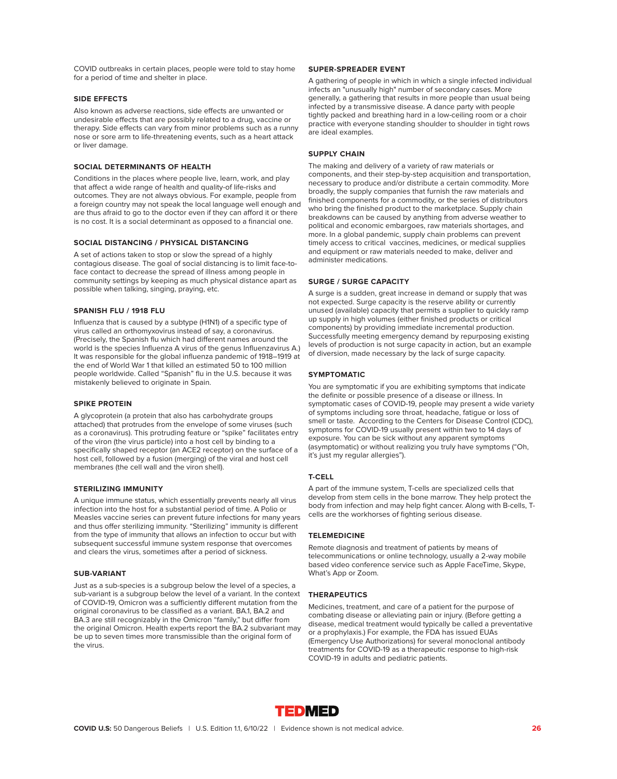COVID outbreaks in certain places, people were told to stay home for a period of time and shelter in place.

# **SIDE EFFECTS**

Also known as adverse reactions, side effects are unwanted or undesirable effects that are possibly related to a drug, vaccine or therapy. Side effects can vary from minor problems such as a runny nose or sore arm to life-threatening events, such as a heart attack or liver damage.

# **SOCIAL DETERMINANTS OF HEALTH**

Conditions in the places where people live, learn, work, and play that affect a wide range of health and quality-of life-risks and outcomes. They are not always obvious. For example, people from a foreign country may not speak the local language well enough and are thus afraid to go to the doctor even if they can afford it or there is no cost. It is a social determinant as opposed to a financial one.

# **SOCIAL DISTANCING / PHYSICAL DISTANCING**

A set of actions taken to stop or slow the spread of a highly contagious disease. The goal of social distancing is to limit face-toface contact to decrease the spread of illness among people in community settings by keeping as much physical distance apart as possible when talking, singing, praying, etc.

# **SPANISH FLU / 1918 FLU**

Influenza that is caused by a subtype (H1N1) of a specific type of virus called an orthomyxovirus instead of say, a coronavirus. (Precisely, the Spanish flu which had different names around the world is the species Influenza A virus of the genus Influenzavirus A.) It was responsible for the global influenza pandemic of 1918–1919 at the end of World War 1 that killed an estimated 50 to 100 million people worldwide. Called "Spanish" flu in the U.S. because it was mistakenly believed to originate in Spain.

# **SPIKE PROTEIN**

A glycoprotein (a protein that also has carbohydrate groups attached) that protrudes from the envelope of some viruses (such as a coronavirus). This protruding feature or "spike" facilitates entry of the viron (the virus particle) into a host cell by binding to a specifically shaped receptor (an ACE2 receptor) on the surface of a host cell, followed by a fusion (merging) of the viral and host cell membranes (the cell wall and the viron shell).

# **STERILIZING IMMUNITY**

A unique immune status, which essentially prevents nearly all virus infection into the host for a substantial period of time. A Polio or Measles vaccine series can prevent future infections for many years and thus offer sterilizing immunity. "Sterilizing" immunity is different from the type of immunity that allows an infection to occur but with subsequent successful immune system response that overcomes and clears the virus, sometimes after a period of sickness.

# **SUB-VARIANT**

Just as a sub-species is a subgroup below the level of a species, a sub-variant is a subgroup below the level of a variant. In the context of COVID-19, Omicron was a sufficiently different mutation from the original coronavirus to be classified as a variant. BA.1, BA.2 and BA.3 are still recognizably in the Omicron "family," but differ from the original Omicron. Health experts report the BA.2 subvariant may be up to seven times more transmissible than the original form of the virus.

# **SUPER-SPREADER EVENT**

A gathering of people in which in which a single infected individual infects an "unusually high" number of secondary cases. More generally, a gathering that results in more people than usual being infected by a transmissive disease. A dance party with people tightly packed and breathing hard in a low-ceiling room or a choir practice with everyone standing shoulder to shoulder in tight rows are ideal examples.

# **SUPPLY CHAIN**

The making and delivery of a variety of raw materials or components, and their step-by-step acquisition and transportation, necessary to produce and/or distribute a certain commodity. More broadly, the supply companies that furnish the raw materials and finished components for a commodity, or the series of distributors who bring the finished product to the marketplace. Supply chain breakdowns can be caused by anything from adverse weather to political and economic embargoes, raw materials shortages, and more. In a global pandemic, supply chain problems can prevent timely access to critical vaccines, medicines, or medical supplies and equipment or raw materials needed to make, deliver and administer medications.

# **SURGE / SURGE CAPACITY**

A surge is a sudden, great increase in demand or supply that was not expected. Surge capacity is the reserve ability or currently unused (available) capacity that permits a supplier to quickly ramp up supply in high volumes (either finished products or critical components) by providing immediate incremental production. Successfully meeting emergency demand by repurposing existing levels of production is not surge capacity in action, but an example of diversion, made necessary by the lack of surge capacity.

# **SYMPTOMATIC**

You are symptomatic if you are exhibiting symptoms that indicate the definite or possible presence of a disease or illness. In symptomatic cases of COVID-19, people may present a wide variety of symptoms including sore throat, headache, fatigue or loss of smell or taste. According to the Centers for Disease Control (CDC), symptoms for COVID-19 usually present within two to 14 days of exposure. You can be sick without any apparent symptoms (asymptomatic) or without realizing you truly have symptoms ("Oh, it's just my regular allergies").

# **T-CELL**

A part of the immune system, T-cells are specialized cells that develop from stem cells in the bone marrow. They help protect the body from infection and may help fight cancer. Along with B-cells, Tcells are the workhorses of fighting serious disease.

# **TELEMEDICINE**

Remote diagnosis and treatment of patients by means of telecommunications or online technology, usually a 2-way mobile based video conference service such as Apple FaceTime, Skype, What's App or Zoom.

#### **THERAPEUTICS**

Medicines, treatment, and care of a patient for the purpose of combating disease or alleviating pain or injury. (Before getting a disease, medical treatment would typically be called a preventative or a prophylaxis.) For example, the FDA has issued EUAs (Emergency Use Authorizations) for several monoclonal antibody treatments for COVID-19 as a therapeutic response to high-risk COVID-19 in adults and pediatric patients.

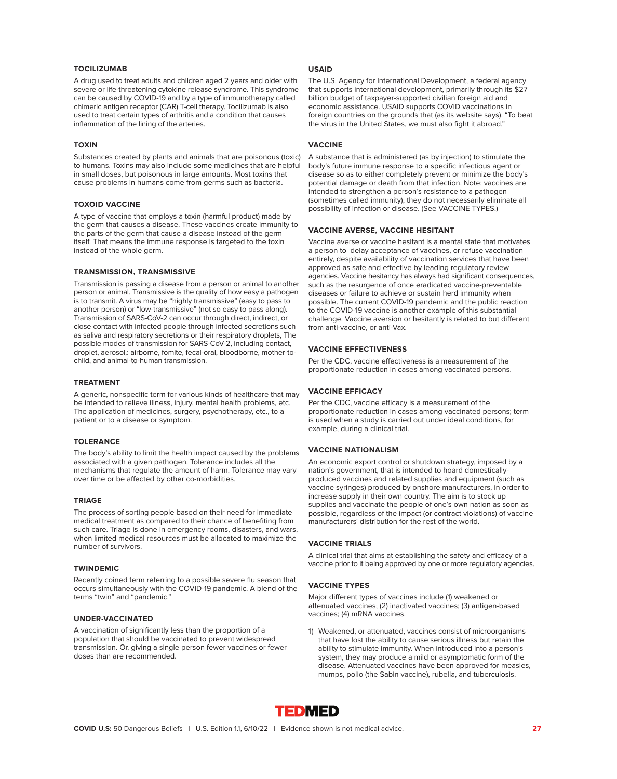# **TOCILIZUMAB**

A drug used to treat adults and children aged 2 years and older with severe or life-threatening cytokine release syndrome. This syndrome can be caused by COVID-19 and by a type of immunotherapy called chimeric antigen receptor (CAR) T-cell therapy. Tocilizumab is also used to treat certain types of arthritis and a condition that causes inflammation of the lining of the arteries.

# **TOXIN**

Substances created by plants and animals that are poisonous (toxic) to humans. Toxins may also include some medicines that are helpful in small doses, but poisonous in large amounts. Most toxins that cause problems in humans come from germs such as bacteria.

# **TOXOID VACCINE**

A type of vaccine that employs a toxin (harmful product) made by the germ that causes a disease. These vaccines create immunity to the parts of the germ that cause a disease instead of the germ itself. That means the immune response is targeted to the toxin instead of the whole germ.

# **TRANSMISSION, TRANSMISSIVE**

Transmission is passing a disease from a person or animal to another person or animal. Transmissive is the quality of how easy a pathogen is to transmit. A virus may be "highly transmissive" (easy to pass to another person) or "low-transmissive" (not so easy to pass along). Transmission of SARS-CoV-2 can occur through direct, indirect, or close contact with infected people through infected secretions such as saliva and respiratory secretions or their respiratory droplets, The possible modes of transmission for SARS-CoV-2, including contact, droplet, aerosol,: airborne, fomite, fecal-oral, bloodborne, mother-tochild, and animal-to-human transmission.

# **TREATMENT**

A generic, nonspecific term for various kinds of healthcare that may be intended to relieve illness, injury, mental health problems, etc. The application of medicines, surgery, psychotherapy, etc., to a patient or to a disease or symptom.

# **TOLERANCE**

The body's ability to limit the health impact caused by the problems associated with a given pathogen. Tolerance includes all the mechanisms that regulate the amount of harm. Tolerance may vary over time or be affected by other co-morbidities.

#### **TRIAGE**

The process of sorting people based on their need for immediate medical treatment as compared to their chance of benefiting from such care. Triage is done in emergency rooms, disasters, and wars, when limited medical resources must be allocated to maximize the number of survivors.

#### **TWINDEMIC**

Recently coined term referring to a possible severe flu season that occurs simultaneously with the COVID-19 pandemic. A blend of the terms "twin" and "pandemic."

# **UNDER-VACCINATED**

A vaccination of significantly less than the proportion of a population that should be vaccinated to prevent widespread transmission. Or, giving a single person fewer vaccines or fewer doses than are recommended.

# **USAID**

The U.S. Agency for International Development, a federal agency that supports international development, primarily through its \$27 billion budget of taxpayer-supported civilian foreign aid and economic assistance. USAID supports COVID vaccinations in foreign countries on the grounds that (as its website says): "To beat the virus in the United States, we must also fight it abroad."

# **VACCINE**

A substance that is administered (as by injection) to stimulate the body's future immune response to a specific infectious agent or disease so as to either completely prevent or minimize the body's potential damage or death from that infection. Note: vaccines are intended to strengthen a person's resistance to a pathogen (sometimes called immunity); they do not necessarily eliminate all possibility of infection or disease. (See VACCINE TYPES.)

# **VACCINE AVERSE, VACCINE HESITANT**

Vaccine averse or vaccine hesitant is a mental state that motivates a person to delay acceptance of vaccines, or refuse vaccination entirely, despite availability of vaccination services that have been approved as safe and effective by leading regulatory review agencies. Vaccine hesitancy has always had significant consequences, such as the resurgence of once eradicated vaccine-preventable diseases or failure to achieve or sustain herd immunity when possible. The current COVID-19 pandemic and the public reaction to the COVID-19 vaccine is another example of this substantial challenge. Vaccine aversion or hesitantly is related to but different from anti-vaccine, or anti-Vax.

# **VACCINE EFFECTIVENESS**

Per the CDC, vaccine effectiveness is a measurement of the proportionate reduction in cases among vaccinated persons.

# **VACCINE EFFICACY**

Per the CDC, vaccine efficacy is a measurement of the proportionate reduction in cases among vaccinated persons; term is used when a study is carried out under ideal conditions, for example, during a clinical trial.

# **VACCINE NATIONALISM**

An economic export control or shutdown strategy, imposed by a nation's government, that is intended to hoard domesticallyproduced vaccines and related supplies and equipment (such as vaccine syringes) produced by onshore manufacturers, in order to increase supply in their own country. The aim is to stock up supplies and vaccinate the people of one's own nation as soon as possible, regardless of the impact (or contract violations) of vaccine manufacturers' distribution for the rest of the world.

# **VACCINE TRIALS**

A clinical trial that aims at establishing the safety and efficacy of a vaccine prior to it being approved by one or more regulatory agencies.

# **VACCINE TYPES**

Major different types of vaccines include (1) weakened or attenuated vaccines; (2) inactivated vaccines; (3) antigen-based vaccines; (4) mRNA vaccines.

1) Weakened, or attenuated, vaccines consist of microorganisms that have lost the ability to cause serious illness but retain the ability to stimulate immunity. When introduced into a person's system, they may produce a mild or asymptomatic form of the disease. Attenuated vaccines have been approved for measles, mumps, polio (the Sabin vaccine), rubella, and tuberculosis.

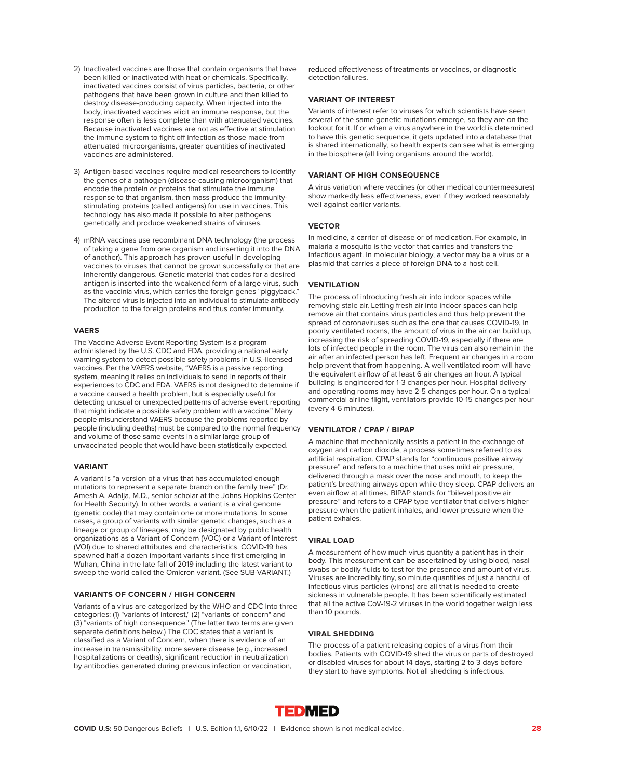- 2) Inactivated vaccines are those that contain organisms that have been killed or inactivated with heat or chemicals. Specifically, inactivated vaccines consist of virus particles, bacteria, or other pathogens that have been grown in culture and then killed to destroy disease-producing capacity. When injected into the body, inactivated vaccines elicit an immune response, but the response often is less complete than with attenuated vaccines. Because inactivated vaccines are not as effective at stimulation the immune system to fight off infection as those made from attenuated microorganisms, greater quantities of inactivated vaccines are administered.
- 3) Antigen-based vaccines require medical researchers to identify the genes of a pathogen (disease-causing microorganism) that encode the protein or proteins that stimulate the immune response to that organism, then mass-produce the immunitystimulating proteins (called antigens) for use in vaccines. This technology has also made it possible to alter pathogens genetically and produce weakened strains of viruses.
- 4) mRNA vaccines use recombinant DNA technology (the process of taking a gene from one organism and inserting it into the DNA of another). This approach has proven useful in developing vaccines to viruses that cannot be grown successfully or that are inherently dangerous. Genetic material that codes for a desired antigen is inserted into the weakened form of a large virus, such as the vaccinia virus, which carries the foreign genes "piggyback." The altered virus is injected into an individual to stimulate antibody production to the foreign proteins and thus confer immunity.

# **VAERS**

The Vaccine Adverse Event Reporting System is a program administered by the U.S. CDC and FDA, providing a national early warning system to detect possible safety problems in U.S.-licensed vaccines. Per the VAERS website, "VAERS is a passive reporting system, meaning it relies on individuals to send in reports of their experiences to CDC and FDA. VAERS is not designed to determine if a vaccine caused a health problem, but is especially useful for detecting unusual or unexpected patterns of adverse event reporting that might indicate a possible safety problem with a vaccine." Many people misunderstand VAERS because the problems reported by people (including deaths) must be compared to the normal frequency and volume of those same events in a similar large group of unvaccinated people that would have been statistically expected.

# **VARIANT**

A variant is "a version of a virus that has accumulated enough mutations to represent a separate branch on the family tree" (Dr. Amesh A. Adalja, M.D., senior scholar at the Johns Hopkins Center for Health Security). In other words, a variant is a viral genome (genetic code) that may contain one or more mutations. In some cases, a group of variants with similar genetic changes, such as a lineage or group of lineages, may be designated by public health organizations as a Variant of Concern (VOC) or a Variant of Interest (VOI) due to shared attributes and characteristics. COVID-19 has spawned half a dozen important variants since first emerging in Wuhan, China in the late fall of 2019 including the latest variant to sweep the world called the Omicron variant. (See SUB-VARIANT.)

# **VARIANTS OF CONCERN / HIGH CONCERN**

Variants of a virus are categorized by the WHO and CDC into three categories: (1) "variants of interest," (2) "variants of concern" and (3) "variants of high consequence." (The latter two terms are given separate definitions below.) The CDC states that a variant is classified as a Variant of Concern, when there is evidence of an increase in transmissibility, more severe disease (e.g., increased hospitalizations or deaths), significant reduction in neutralization by antibodies generated during previous infection or vaccination,

reduced effectiveness of treatments or vaccines, or diagnostic detection failures.

# **VARIANT OF INTEREST**

Variants of interest refer to viruses for which scientists have seen several of the same genetic mutations emerge, so they are on the lookout for it. If or when a virus anywhere in the world is determined to have this genetic sequence, it gets updated into a database that is shared internationally, so health experts can see what is emerging in the biosphere (all living organisms around the world).

# **VARIANT OF HIGH CONSEQUENCE**

A virus variation where vaccines (or other medical countermeasures) show markedly less effectiveness, even if they worked reasonably well against earlier variants.

# **VECTOR**

In medicine, a carrier of disease or of medication. For example, in malaria a mosquito is the vector that carries and transfers the infectious agent. In molecular biology, a vector may be a virus or a plasmid that carries a piece of foreign DNA to a host cell.

## **VENTILATION**

The process of introducing fresh air into indoor spaces while removing stale air. Letting fresh air into indoor spaces can help remove air that contains virus particles and thus help prevent the spread of coronaviruses such as the one that causes COVID-19. In poorly ventilated rooms, the amount of virus in the air can build up, increasing the risk of spreading COVID-19, especially if there are lots of infected people in the room. The virus can also remain in the air after an infected person has left. Frequent air changes in a room help prevent that from happening. A well-ventilated room will have the equivalent airflow of at least 6 air changes an hour. A typical building is engineered for 1-3 changes per hour. Hospital delivery and operating rooms may have 2-5 changes per hour. On a typical commercial airline flight, ventilators provide 10-15 changes per hour (every 4-6 minutes).

# **VENTILATOR / CPAP / BIPAP**

A machine that mechanically assists a patient in the exchange of oxygen and carbon dioxide, a process sometimes referred to as artificial respiration. CPAP stands for "continuous positive airway pressure" and refers to a machine that uses mild air pressure, delivered through a mask over the nose and mouth, to keep the patient's breathing airways open while they sleep. CPAP delivers an even airflow at all times. BIPAP stands for "bilevel positive air pressure" and refers to a CPAP type ventilator that delivers higher pressure when the patient inhales, and lower pressure when the patient exhales.

# **VIRAL LOAD**

A measurement of how much virus quantity a patient has in their body. This measurement can be ascertained by using blood, nasal swabs or bodily fluids to test for the presence and amount of virus. Viruses are incredibly tiny, so minute quantities of just a handful of infectious virus particles (virons) are all that is needed to create sickness in vulnerable people. It has been scientifically estimated that all the active CoV-19-2 viruses in the world together weigh less than 10 pounds.

# **VIRAL SHEDDING**

The process of a patient releasing copies of a virus from their bodies. Patients with COVID-19 shed the virus or parts of destroyed or disabled viruses for about 14 days, starting 2 to 3 days before they start to have symptoms. Not all shedding is infectious.

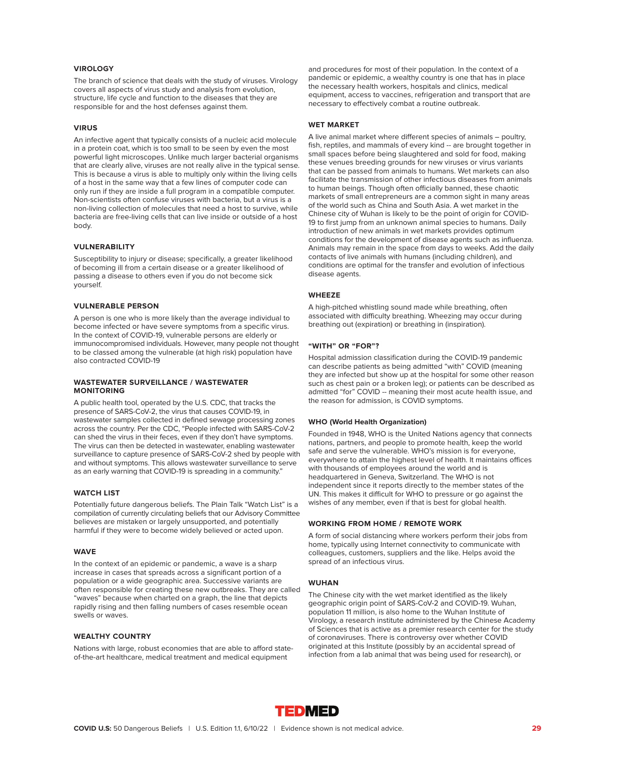# **VIROLOGY**

The branch of science that deals with the study of viruses. Virology covers all aspects of virus study and analysis from evolution, structure, life cycle and function to the diseases that they are responsible for and the host defenses against them.

# **VIRUS**

An infective agent that typically consists of a nucleic acid molecule in a protein coat, which is too small to be seen by even the most powerful light microscopes. Unlike much larger bacterial organisms that are clearly alive, viruses are not really alive in the typical sense. This is because a virus is able to multiply only within the living cells of a host in the same way that a few lines of computer code can only run if they are inside a full program in a compatible computer. Non-scientists often confuse viruses with bacteria, but a virus is a non-living collection of molecules that need a host to survive, while bacteria are free-living cells that can live inside or outside of a host body.

# **VULNERABILITY**

Susceptibility to injury or disease; specifically, a greater likelihood of becoming ill from a certain disease or a greater likelihood of passing a disease to others even if you do not become sick yourself.

# **VULNERABLE PERSON**

A person is one who is more likely than the average individual to become infected or have severe symptoms from a specific virus. In the context of COVID-19, vulnerable persons are elderly or immunocompromised individuals. However, many people not thought to be classed among the vulnerable (at high risk) population have also contracted COVID-19

# **WASTEWATER SURVEILLANCE / WASTEWATER MONITORING**

A public health tool, operated by the U.S. CDC, that tracks the presence of SARS-CoV-2, the virus that causes COVID-19, in wastewater samples collected in defined sewage processing zones across the country. Per the CDC, "People infected with SARS-CoV-2 can shed the virus in their feces, even if they don't have symptoms. The virus can then be detected in wastewater, enabling wastewater surveillance to capture presence of SARS-CoV-2 shed by people with and without symptoms. This allows wastewater surveillance to serve as an early warning that COVID-19 is spreading in a community."

# **WATCH LIST**

Potentially future dangerous beliefs. The Plain Talk "Watch List" is a compilation of currently circulating beliefs that our Advisory Committee believes are mistaken or largely unsupported, and potentially harmful if they were to become widely believed or acted upon.

#### **WAVE**

In the context of an epidemic or pandemic, a wave is a sharp increase in cases that spreads across a significant portion of a population or a wide geographic area. Successive variants are often responsible for creating these new outbreaks. They are called "waves" because when charted on a graph, the line that depicts rapidly rising and then falling numbers of cases resemble ocean swells or waves.

#### **WEALTHY COUNTRY**

Nations with large, robust economies that are able to afford stateof-the-art healthcare, medical treatment and medical equipment

and procedures for most of their population. In the context of a pandemic or epidemic, a wealthy country is one that has in place the necessary health workers, hospitals and clinics, medical equipment, access to vaccines, refrigeration and transport that are necessary to effectively combat a routine outbreak.

# **WET MARKET**

A live animal market where different species of animals – poultry, fish, reptiles, and mammals of every kind -- are brought together in small spaces before being slaughtered and sold for food, making these venues breeding grounds for new viruses or virus variants that can be passed from animals to humans. Wet markets can also facilitate the transmission of other infectious diseases from animals to human beings. Though often officially banned, these chaotic markets of small entrepreneurs are a common sight in many areas of the world such as China and South Asia. A wet market in the Chinese city of Wuhan is likely to be the point of origin for COVID-19 to first jump from an unknown animal species to humans. Daily introduction of new animals in wet markets provides optimum conditions for the development of disease agents such as influenza. Animals may remain in the space from days to weeks. Add the daily contacts of live animals with humans (including children), and conditions are optimal for the transfer and evolution of infectious disease agents.

# **WHEEZE**

A high-pitched whistling sound made while breathing, often associated with difficulty breathing. Wheezing may occur during breathing out (expiration) or breathing in (inspiration).

# **"WITH" OR "FOR"?**

Hospital admission classification during the COVID-19 pandemic can describe patients as being admitted "with" COVID (meaning they are infected but show up at the hospital for some other reason such as chest pain or a broken leg); or patients can be described as admitted "for" COVID -- meaning their most acute health issue, and the reason for admission, is COVID symptoms.

#### **WHO (World Health Organization)**

Founded in 1948, WHO is the United Nations agency that connects nations, partners, and people to promote health, keep the world safe and serve the vulnerable. WHO's mission is for everyone, everywhere to attain the highest level of health. It maintains offices with thousands of employees around the world and is headquartered in Geneva, Switzerland. The WHO is not independent since it reports directly to the member states of the UN. This makes it difficult for WHO to pressure or go against the wishes of any member, even if that is best for global health.

# **WORKING FROM HOME / REMOTE WORK**

A form of social distancing where workers perform their jobs from home, typically using Internet connectivity to communicate with colleagues, customers, suppliers and the like. Helps avoid the spread of an infectious virus.

# **WUHAN**

The Chinese city with the wet market identified as the likely geographic origin point of SARS-CoV-2 and COVID-19. Wuhan, population 11 million, is also home to the Wuhan Institute of Virology, a research institute administered by the Chinese Academy of Sciences that is active as a premier research center for the study of coronaviruses. There is controversy over whether COVID originated at this Institute (possibly by an accidental spread of infection from a lab animal that was being used for research), or

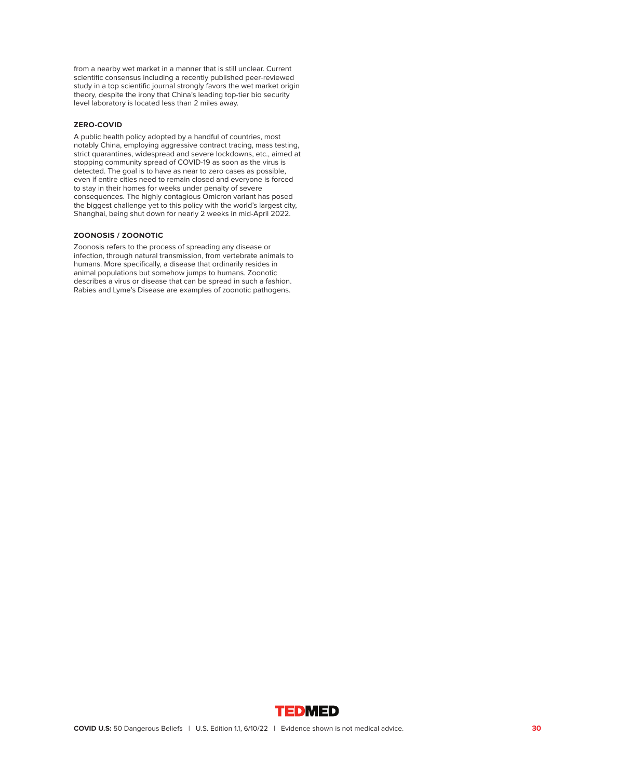from a nearby wet market in a manner that is still unclear. Current scientific consensus including a recently published peer-reviewed study in a top scientific journal strongly favors the wet market origin theory, despite the irony that China's leading top-tier bio security level laboratory is located less than 2 miles away.

# **ZERO-COVID**

A public health policy adopted by a handful of countries, most notably China, employing aggressive contract tracing, mass testing, strict quarantines, widespread and severe lockdowns, etc., aimed at stopping community spread of COVID-19 as soon as the virus is detected. The goal is to have as near to zero cases as possible, even if entire cities need to remain closed and everyone is forced to stay in their homes for weeks under penalty of severe consequences. The highly contagious Omicron variant has posed the biggest challenge yet to this policy with the world's largest city, Shanghai, being shut down for nearly 2 weeks in mid-April 2022.

# **ZOONOSIS / ZOONOTIC**

Zoonosis refers to the process of spreading any disease or infection, through natural transmission, from vertebrate animals to humans. More specifically, a disease that ordinarily resides in animal populations but somehow jumps to humans. Zoonotic describes a virus or disease that can be spread in such a fashion. Rabies and Lyme's Disease are examples of zoonotic pathogens.

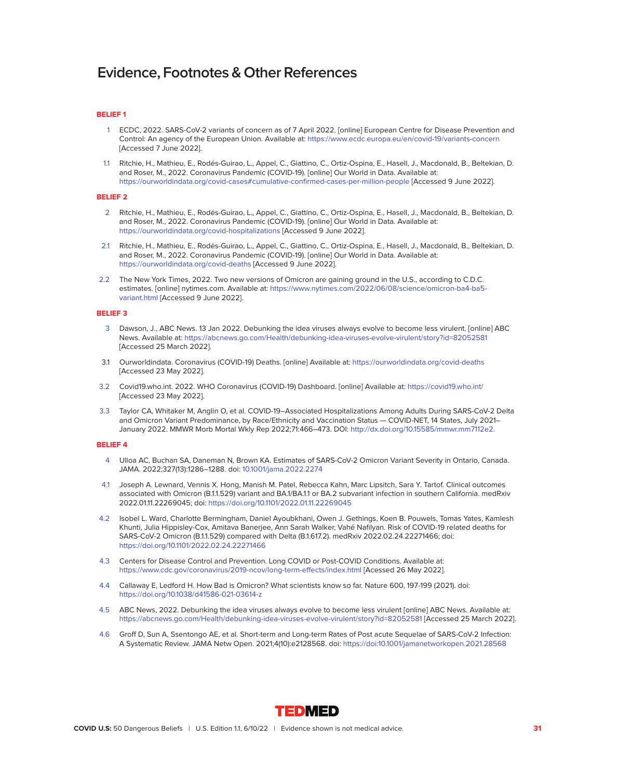## **BELIEF 1**

- 1 ECDC, 2022. SARS-CoV-2 variants of concern as of 7 April 2022. [online] European Centre for Disease Prevention and Control: An agency of the European Union. Available at:<https://www.ecdc.europa.eu/en/covid-19/variants-concern> [Accessed 7 June 2022].
- 1.1 Ritchie, H., Mathieu, E., Rodés-Guirao, L., Appel, C., Giattino, C., Ortiz-Ospina, E., Hasell, J., Macdonald, B., Beltekian, D. and Roser, M., 2022. Coronavirus Pandemic (COVID-19). [online] Our World in Data. Available at: <https://ourworldindata.org/covid-cases#cumulative-confirmed-cases-per-million-people>[Accessed 9 June 2022].

#### **BELIEF 2**

- 2 Ritchie, H., Mathieu, E., Rodés-Guirao, L., Appel, C., Giattino, C., Ortiz-Ospina, E., Hasell, J., Macdonald, B., Beltekian, D. and Roser, M., 2022. Coronavirus Pandemic (COVID-19). [online] Our World in Data. Available at: <https://ourworldindata.org/covid-hospitalizations>[Accessed 9 June 2022].
- 2.1 Ritchie, H., Mathieu, E., Rodés-Guirao, L., Appel, C., Giattino, C., Ortiz-Ospina, E., Hasell, J., Macdonald, B., Beltekian, D. and Roser, M., 2022. Coronavirus Pandemic (COVID-19). [online] Our World in Data. Available at: <https://ourworldindata.org/covid-deaths>[Accessed 9 June 2022].
- 2.2 The New York Times, 2022. Two new versions of Omicron are gaining ground in the U.S., according to C.D.C. estimates. [online] nytimes.com. Available at: [https://www.nytimes.com/2022/06/08/science/omicron-ba4-ba5](https://www.nytimes.com/2022/06/08/science/omicron-ba4-ba5-variant.html) [variant.html](https://www.nytimes.com/2022/06/08/science/omicron-ba4-ba5-variant.html) [Accessed 9 June 2022].

# **BELIEF 3**

- 3 Dawson, J., ABC News. 13 Jan 2022. Debunking the idea viruses always evolve to become less virulent. [online] ABC News. Available at:<https://abcnews.go.com/Health/debunking-idea-viruses-evolve-virulent/story?id=82052581> [Accessed 25 March 2022].
- 3.1 Ourworldindata. Coronavirus (COVID-19) Deaths. [online] Available at:<https://ourworldindata.org/covid-deaths> [Accessed 23 May 2022].
- 3.2 Covid19.who.int. 2022. WHO Coronavirus (COVID-19) Dashboard. [online] Available at:<https://covid19.who.int/> [Accessed 23 May 2022].
- 3.3 Taylor CA, Whitaker M, Anglin O, et al. COVID-19–Associated Hospitalizations Among Adults During SARS-CoV-2 Delta and Omicron Variant Predominance, by Race/Ethnicity and Vaccination Status — COVID-NET, 14 States, July 2021– January 2022. MMWR Morb Mortal Wkly Rep 2022;71:466–473. DOI: [http://dx.doi.org/10.15585/mmwr.mm7112e2.](http://dx.doi.org/10.15585/mmwr.mm7112e2)

- 4 Ulloa AC, Buchan SA, Daneman N, Brown KA. Estimates of SARS-CoV-2 Omicron Variant Severity in Ontario, Canada. JAMA. 2022;327(13):1286–1288. doi: [10.1001/jama.2022.2274](http://10.1001/jama.2022.2274)
- 4.1 Joseph A. Lewnard, Vennis X. Hong, Manish M. Patel, Rebecca Kahn, Marc Lipsitch, Sara Y. Tartof. Clinical outcomes associated with Omicron (B.1.1.529) variant and BA.1/BA.1.1 or BA.2 subvariant infection in southern California. medRxiv 2022.01.11.22269045; doi:<https://doi.org/10.1101/2022.01.11.22269045>
- 4.2 Isobel L. Ward, Charlotte Bermingham, Daniel Ayoubkhani, Owen J. Gethings, Koen B. Pouwels, Tomas Yates, Kamlesh Khunti, Julia Hippisley-Cox, Amitava Banerjee, Ann Sarah Walker, Vahé Nafilyan. Risk of COVID-19 related deaths for SARS-CoV-2 Omicron (B.1.1.529) compared with Delta (B.1.617.2). medRxiv 2022.02.24.22271466; doi: <https://doi.org/10.1101/2022.02.24.22271466>
- 4.3 Centers for Disease Control and Prevention. Long COVID or Post-COVID Conditions. Available at: <https://www.cdc.gov/coronavirus/2019-ncov/long-term-effects/index.html>[Acessed 26 May 2022].
- 4.4 Callaway E, Ledford H. How Bad is Omicron? What scientists know so far. Nature 600, 197-199 (2021). doi: <https://doi.org/10.1038/d41586-021-03614-z>
- 4.5 ABC News, 2022. Debunking the idea viruses always evolve to become less virulent [online] ABC News. Available at: <https://abcnews.go.com/Health/debunking-idea-viruses-evolve-virulent/story?id=82052581>[Accessed 25 March 2022].
- 4.6 Groff D, Sun A, Ssentongo AE, et al. Short-term and Long-term Rates of Post acute Sequelae of SARS-CoV-2 Infection: A Systematic Review. JAMA Netw Open. 2021;4(10):e2128568. doi:<https://doi:10.1001/jamanetworkopen.2021.28568>

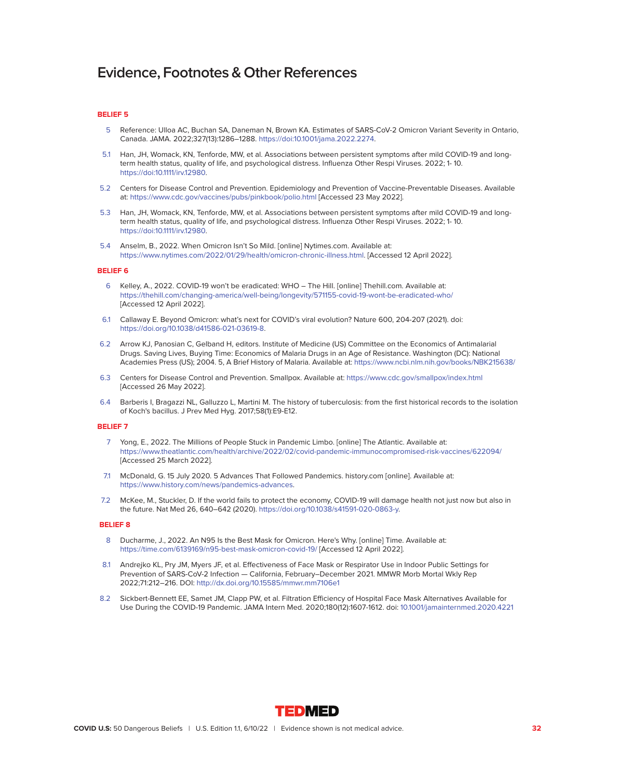# **BELIEF 5**

- 5 Reference: Ulloa AC, Buchan SA, Daneman N, Brown KA. Estimates of SARS-CoV-2 Omicron Variant Severity in Ontario, Canada. JAMA. 2022;327(13):1286–1288. [https://doi:10.1001/jama.2022.2274.](https://doi:10.1001/jama.2022.2274)
- 5.1 Han, JH, Womack, KN, Tenforde, MW, et al. Associations between persistent symptoms after mild COVID-19 and longterm health status, quality of life, and psychological distress. Influenza Other Respi Viruses. 2022; 1- 10. [https://doi:10.1111/irv.12980.](https://doi:10.1111/irv.12980)
- 5.2 Centers for Disease Control and Prevention. Epidemiology and Prevention of Vaccine-Preventable Diseases. Available at:<https://www.cdc.gov/vaccines/pubs/pinkbook/polio.html>[Accessed 23 May 2022].
- 5.3 Han, JH, Womack, KN, Tenforde, MW, et al. Associations between persistent symptoms after mild COVID-19 and longterm health status, quality of life, and psychological distress. Influenza Other Respi Viruses. 2022; 1- 10. [https://doi:10.1111/irv.12980.](https://doi:10.1111/irv.12980)
- 5.4 Anselm, B., 2022. When Omicron Isn't So Mild. [online] Nytimes.com. Available at: [https://www.nytimes.com/2022/01/29/health/omicron-chronic-illness.html.](https://www.nytimes.com/2022/01/29/health/omicron-chronic-illness.html) [Accessed 12 April 2022].

# **BELIEF 6**

- 6 Kelley, A., 2022. COVID-19 won't be eradicated: WHO The Hill. [online] Thehill.com. Available at: <https://thehill.com/changing-america/well-being/longevity/571155-covid-19-wont-be-eradicated-who/> [Accessed 12 April 2022].
- 6.1 Callaway E. Beyond Omicron: what's next for COVID's viral evolution? Nature 600, 204-207 (2021). doi: [https://doi.org/10.1038/d41586-021-03619-8.](https://doi.org/10.1038/d41586-021-03619-8)
- 6.2 Arrow KJ, Panosian C, Gelband H, editors. Institute of Medicine (US) Committee on the Economics of Antimalarial Drugs. Saving Lives, Buying Time: Economics of Malaria Drugs in an Age of Resistance. Washington (DC): National Academies Press (US); 2004. 5, A Brief History of Malaria. Available at:<https://www.ncbi.nlm.nih.gov/books/NBK215638/>
- 6.3 Centers for Disease Control and Prevention. Smallpox. Available at:<https://www.cdc.gov/smallpox/index.html> [Accessed 26 May 2022].
- 6.4 Barberis I, Bragazzi NL, Galluzzo L, Martini M. The history of tuberculosis: from the first historical records to the isolation of Koch's bacillus. J Prev Med Hyg. 2017;58(1):E9-E12.

# **BELIEF 7**

- 7 Yong, E., 2022. The Millions of People Stuck in Pandemic Limbo. [online] The Atlantic. Available at: <https://www.theatlantic.com/health/archive/2022/02/covid-pandemic-immunocompromised-risk-vaccines/622094/> [Accessed 25 March 2022].
- 7.1 McDonald, G. 15 July 2020. 5 Advances That Followed Pandemics. history.com [online]. Available at: [https://www.history.com/news/pandemics-advances.](https://www.history.com/news/pandemics-advances)
- 7.2 McKee, M., Stuckler, D. If the world fails to protect the economy, COVID-19 will damage health not just now but also in the future. Nat Med 26, 640–642 (2020). [https://doi.org/10.1038/s41591-020-0863-y.](https://doi.org/10.1038/s41591-020-0863-y)

- 8 Ducharme, J., 2022. An N95 Is the Best Mask for Omicron. Here's Why. [online] Time. Available at: <https://time.com/6139169/n95-best-mask-omicron-covid-19/>[Accessed 12 April 2022].
- 8.1 Andrejko KL, Pry JM, Myers JF, et al. Effectiveness of Face Mask or Respirator Use in Indoor Public Settings for Prevention of SARS-CoV-2 Infection — California, February–December 2021. MMWR Morb Mortal Wkly Rep 2022;71:212–216. DOI:<http://dx.doi.org/10.15585/mmwr.mm7106e1>
- 8.2 Sickbert-Bennett EE, Samet JM, Clapp PW, et al. Filtration Efficiency of Hospital Face Mask Alternatives Available for Use During the COVID-19 Pandemic. JAMA Intern Med. 2020;180(12):1607-1612. doi: [10.1001/jamainternmed.2020.4221](http://10.1001/jamainternmed.2020.4221)

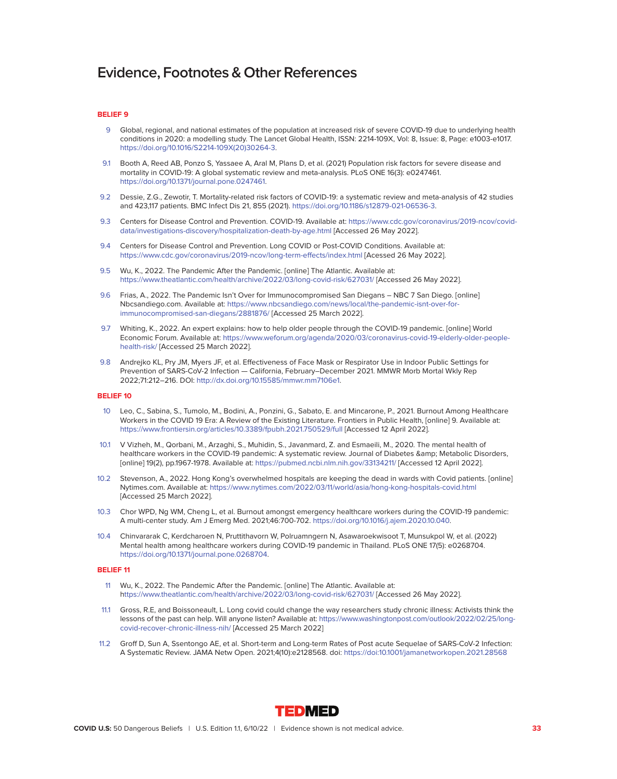# **BELIEF 9**

- 9 Global, regional, and national estimates of the population at increased risk of severe COVID-19 due to underlying health conditions in 2020: a modelling study. The Lancet Global Health, ISSN: 2214-109X, Vol: 8, Issue: 8, Page: e1003-e1017. [https://doi.org/10.1016/S2214-109X\(20\)30264-3.](https://doi.org/10.1016/S2214-109X(20)30264-3)
- 9.1 Booth A, Reed AB, Ponzo S, Yassaee A, Aral M, Plans D, et al. (2021) Population risk factors for severe disease and mortality in COVID-19: A global systematic review and meta-analysis. PLoS ONE 16(3): e0247461. [https://doi.org/10.1371/journal.pone.0247461.](https://doi.org/10.1371/journal.pone.0247461)
- 9.2 Dessie, Z.G., Zewotir, T. Mortality-related risk factors of COVID-19: a systematic review and meta-analysis of 42 studies and 423,117 patients. BMC Infect Dis 21, 855 (2021). [https://doi.org/10.1186/s12879-021-06536-3.](https://doi.org/10.1186/s12879-021-06536-3)
- 9.3 Centers for Disease Control and Prevention. COVID-19. Available at: [https://www.cdc.gov/coronavirus/2019-ncov/covid](https://www.cdc.gov/coronavirus/2019-ncov/covid-data/investigations-discovery/hospitalization-death-by-age.html)[data/investigations-discovery/hospitalization-death-by-age.html](https://www.cdc.gov/coronavirus/2019-ncov/covid-data/investigations-discovery/hospitalization-death-by-age.html) [Accessed 26 May 2022].
- 9.4 Centers for Disease Control and Prevention. Long COVID or Post-COVID Conditions. Available at: <https://www.cdc.gov/coronavirus/2019-ncov/long-term-effects/index.html>[Acessed 26 May 2022].
- 9.5 Wu, K., 2022. The Pandemic After the Pandemic. [online] The Atlantic. Available at: <https://www.theatlantic.com/health/archive/2022/03/long-covid-risk/627031/>[Accessed 26 May 2022].
- 9.6 Frias, A., 2022. The Pandemic Isn't Over for Immunocompromised San Diegans NBC 7 San Diego. [online] Nbcsandiego.com. Available at: [https://www.nbcsandiego.com/news/local/the-pandemic-isnt-over-for](https://www.nbcsandiego.com/news/local/the-pandemic-isnt-over-for-immunocompromised-san-diegans/2881876/)[immunocompromised-san-diegans/2881876/](https://www.nbcsandiego.com/news/local/the-pandemic-isnt-over-for-immunocompromised-san-diegans/2881876/) [Accessed 25 March 2022].
- 9.7 Whiting, K., 2022. An expert explains: how to help older people through the COVID-19 pandemic. [online] World Economic Forum. Available at: [https://www.weforum.org/agenda/2020/03/coronavirus-covid-19-elderly-older-people](https://www.weforum.org/agenda/2020/03/coronavirus-covid-19-elderly-older-people-health-risk/)[health-risk/](https://www.weforum.org/agenda/2020/03/coronavirus-covid-19-elderly-older-people-health-risk/) [Accessed 25 March 2022].
- 9.8 Andrejko KL, Pry JM, Myers JF, et al. Effectiveness of Face Mask or Respirator Use in Indoor Public Settings for Prevention of SARS-CoV-2 Infection — California, February–December 2021. MMWR Morb Mortal Wkly Rep 2022;71:212–216. DOI: [http://dx.doi.org/10.15585/mmwr.mm7106e1.](http://dx.doi.org/10.15585/mmwr.mm7106e1)

# **BELIEF 10**

- 10 Leo, C., Sabina, S., Tumolo, M., Bodini, A., Ponzini, G., Sabato, E. and Mincarone, P., 2021. Burnout Among Healthcare Workers in the COVID 19 Era: A Review of the Existing Literature. Frontiers in Public Health, [online] 9. Available at: <https://www.frontiersin.org/articles/10.3389/fpubh.2021.750529/full>[Accessed 12 April 2022].
- 10.1 V Vizheh, M., Qorbani, M., Arzaghi, S., Muhidin, S., Javanmard, Z. and Esmaeili, M., 2020. The mental health of healthcare workers in the COVID-19 pandemic: A systematic review. Journal of Diabetes & amp; Metabolic Disorders, [online] 19(2), pp.1967-1978. Available at:<https://pubmed.ncbi.nlm.nih.gov/33134211/>[Accessed 12 April 2022].
- 10.2 Stevenson, A., 2022. Hong Kong's overwhelmed hospitals are keeping the dead in wards with Covid patients. [online] Nytimes.com. Available at:<https://www.nytimes.com/2022/03/11/world/asia/hong-kong-hospitals-covid.html> [Accessed 25 March 2022].
- 10.3 Chor WPD, Ng WM, Cheng L, et al. Burnout amongst emergency healthcare workers during the COVID-19 pandemic: A multi-center study. Am J Emerg Med. 2021;46:700-702. [https://doi.org/10.1016/j.ajem.2020.10.040.](https://doi.org/10.1016/j.ajem.2020.10.040)
- 10.4 Chinvararak C, Kerdcharoen N, Pruttithavorn W, Polruamngern N, Asawaroekwisoot T, Munsukpol W, et al. (2022) Mental health among healthcare workers during COVID-19 pandemic in Thailand. PLoS ONE 17(5): e0268704. [https://doi.org/10.1371/journal.pone.0268704.](https://doi.org/10.1371/journal.pone.0268704)

- 11 Wu, K., 2022. The Pandemic After the Pandemic. [online] The Atlantic. Available at: <https://www.theatlantic.com/health/archive/2022/03/long-covid-risk/627031/>[Accessed 26 May 2022].
- 11.1 Gross, R.E, and Boissoneault, L. Long covid could change the way researchers study chronic illness: Activists think the lessons of the past can help. Will anyone listen? Available at: [https://www.washingtonpost.com/outlook/2022/02/25/long](https://www.washingtonpost.com/outlook/2022/02/25/long- covid-recover-chronic-illness-nih/)[covid-recover-chronic-illness-nih/](https://www.washingtonpost.com/outlook/2022/02/25/long- covid-recover-chronic-illness-nih/) [Accessed 25 March 2022]
- 11.2 Groff D, Sun A, Ssentongo AE, et al. Short-term and Long-term Rates of Post acute Sequelae of SARS-CoV-2 Infection: A Systematic Review. JAMA Netw Open. 2021;4(10):e2128568. doi:<https://doi:10.1001/jamanetworkopen.2021.28568>

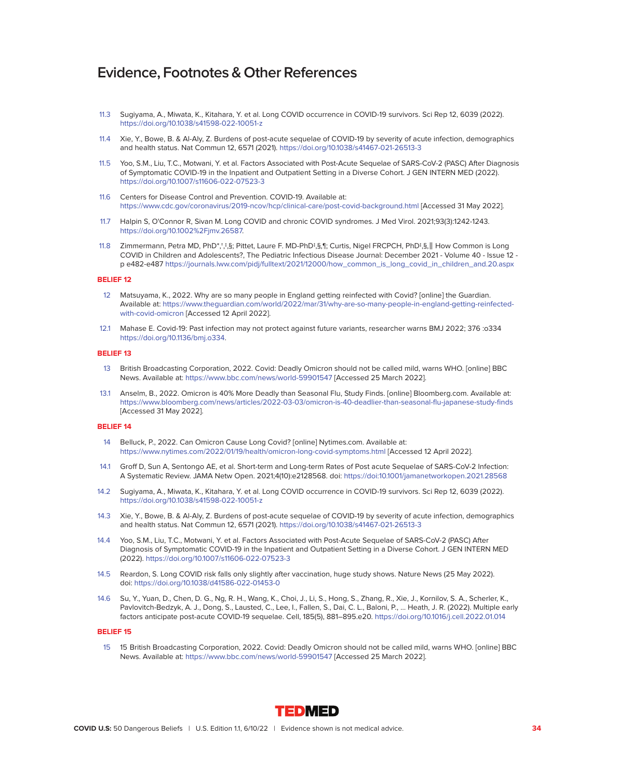- 11.3 Sugiyama, A., Miwata, K., Kitahara, Y. et al. Long COVID occurrence in COVID-19 survivors. Sci Rep 12, 6039 (2022). <https://doi.org/10.1038/s41598-022-10051-z>
- 11.4 Xie, Y., Bowe, B. & Al-Aly, Z. Burdens of post-acute sequelae of COVID-19 by severity of acute infection, demographics and health status. Nat Commun 12, 6571 (2021).<https://doi.org/10.1038/s41467-021-26513-3>
- 11.5 Yoo, S.M., Liu, T.C., Motwani, Y. et al. Factors Associated with Post-Acute Sequelae of SARS-CoV-2 (PASC) After Diagnosis of Symptomatic COVID-19 in the Inpatient and Outpatient Setting in a Diverse Cohort. J GEN INTERN MED (2022). <https://doi.org/10.1007/s11606-022-07523-3>
- 11.6 Centers for Disease Control and Prevention. COVID-19. Available at: <https://www.cdc.gov/coronavirus/2019-ncov/hcp/clinical-care/post-covid-background.html>[Accessed 31 May 2022].
- 11.7 Halpin S, O'Connor R, Sivan M. Long COVID and chronic COVID syndromes. J Med Virol. 2021;93(3):1242-1243. https://doi.org/10.1002%2Fjmv.26587.
- 11.8 Zimmermann, Petra MD, PhD\*,†,‡,§; Pittet, Laure F. MD-PhD‡,§,¶; Curtis, Nigel FRCPCH, PhD‡,§,‖ How Common is Long COVID in Children and Adolescents?, The Pediatric Infectious Disease Journal: December 2021 - Volume 40 - Issue 12 p e482-e487 [https://journals.lww.com/pidj/fulltext/2021/12000/how\\_common\\_is\\_long\\_covid\\_in\\_children\\_and.20.aspx](https://journals.lww.com/pidj/fulltext/2021/12000/how_common_is_long_covid_in_children_and.20.aspx)

# **BELIEF 12**

- 12 Matsuyama, K., 2022. Why are so many people in England getting reinfected with Covid? [online] the Guardian. Available at: [https://www.theguardian.com/world/2022/mar/31/why-are-so-many-people-in-england-getting-reinfected](https://www.theguardian.com/world/2022/mar/31/why-are-so-many-people-in-england-getting-reinfected-with-covid-omicron)[with-covid-omicron](https://www.theguardian.com/world/2022/mar/31/why-are-so-many-people-in-england-getting-reinfected-with-covid-omicron) [Accessed 12 April 2022].
- 12.1 Mahase E. Covid-19: Past infection may not protect against future variants, researcher warns BMJ 2022; 376 :o334 [https://doi.org/10.1136/bmj.o334.](https://doi.org/10.1136/bmj.o334)

#### **BELIEF 13**

- 13 British Broadcasting Corporation, 2022. Covid: Deadly Omicron should not be called mild, warns WHO. [online] BBC News. Available at:<https://www.bbc.com/news/world-59901547>[Accessed 25 March 2022].
- 13.1 Anselm, B., 2022. Omicron is 40% More Deadly than Seasonal Flu, Study Finds. [online] Bloomberg.com. Available at: <https://www.bloomberg.com/news/articles/2022-03-03/omicron-is-40-deadlier-than-seasonal-flu-japanese-study-finds> [Accessed 31 May 2022].

# **BELIEF 14**

- 14 Belluck, P., 2022. Can Omicron Cause Long Covid? [online] Nytimes.com. Available at: <https://www.nytimes.com/2022/01/19/health/omicron-long-covid-symptoms.html>[Accessed 12 April 2022].
- 14.1 Groff D, Sun A, Sentongo AE, et al. Short-term and Long-term Rates of Post acute Sequelae of SARS-CoV-2 Infection: A Systematic Review. JAMA Netw Open. 2021;4(10):e2128568. doi:<https://doi:10.1001/jamanetworkopen.2021.28568>
- 14.2 Sugiyama, A., Miwata, K., Kitahara, Y. et al. Long COVID occurrence in COVID-19 survivors. Sci Rep 12, 6039 (2022). <https://doi.org/10.1038/s41598-022-10051-z>
- 14.3 Xie, Y., Bowe, B. & Al-Aly, Z. Burdens of post-acute sequelae of COVID-19 by severity of acute infection, demographics and health status. Nat Commun 12, 6571 (2021).<https://doi.org/10.1038/s41467-021-26513-3>
- 14.4 Yoo, S.M., Liu, T.C., Motwani, Y. et al. Factors Associated with Post-Acute Sequelae of SARS-CoV-2 (PASC) After Diagnosis of Symptomatic COVID-19 in the Inpatient and Outpatient Setting in a Diverse Cohort. J GEN INTERN MED (2022).<https://doi.org/10.1007/s11606-022-07523-3>
- 14.5 Reardon, S. Long COVID risk falls only slightly after vaccination, huge study shows. Nature News (25 May 2022). doi:<https://doi.org/10.1038/d41586-022-01453-0>
- 14.6 Su, Y., Yuan, D., Chen, D. G., Ng, R. H., Wang, K., Choi, J., Li, S., Hong, S., Zhang, R., Xie, J., Kornilov, S. A., Scherler, K., Pavlovitch-Bedzyk, A. J., Dong, S., Lausted, C., Lee, I., Fallen, S., Dai, C. L., Baloni, P., … Heath, J. R. (2022). Multiple early factors anticipate post-acute COVID-19 sequelae. Cell, 185(5), 881–895.e20.<https://doi.org/10.1016/j.cell.2022.01.014>

# **BELIEF 15**

 15 15 British Broadcasting Corporation, 2022. Covid: Deadly Omicron should not be called mild, warns WHO. [online] BBC News. Available at:<https://www.bbc.com/news/world-59901547>[Accessed 25 March 2022].

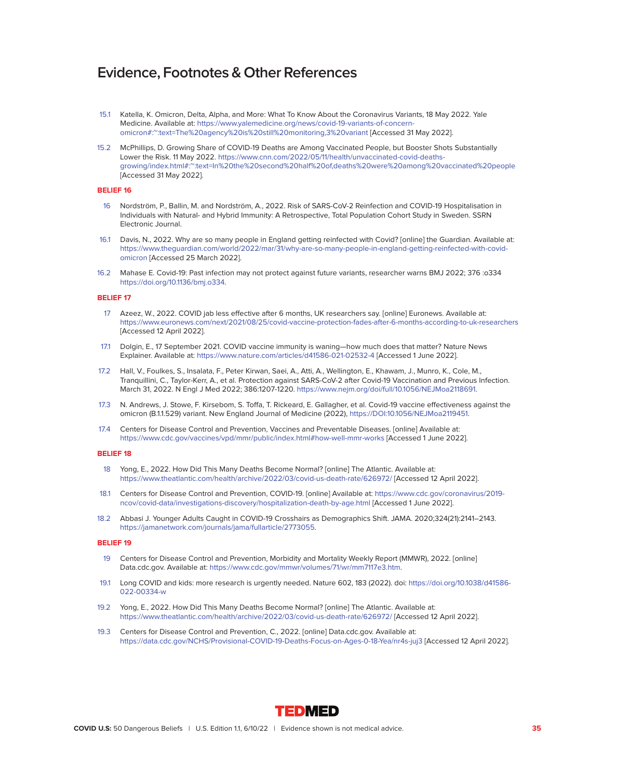- 15.1 Katella, K. Omicron, Delta, Alpha, and More: What To Know About the Coronavirus Variants, 18 May 2022. Yale Medicine. Available at: [https://www.yalemedicine.org/news/covid-19-variants-of-concern](https://www.yalemedicine.org/news/covid-19-variants-of-concern-omicron#:~:text=The%20agency%20is%20still%20monitoring,3%20variant)[omicron#:~:text=The%20agency%20is%20still%20monitoring,3%20variant](https://www.yalemedicine.org/news/covid-19-variants-of-concern-omicron#:~:text=The%20agency%20is%20still%20monitoring,3%20variant) [Accessed 31 May 2022].
- 15.2 McPhillips, D. Growing Share of COVID-19 Deaths are Among Vaccinated People, but Booster Shots Substantially Lower the Risk. 11 May 2022. [https://www.cnn.com/2022/05/11/health/unvaccinated-covid-deaths](https://www.cnn.com/2022/05/11/health/unvaccinated-covid-deaths-growing/index.html#:~:text=In%20the%20second%20half%20of,deaths%20were%20among%20vaccinated%20people)[growing/index.html#:~:text=In%20the%20second%20half%20of,deaths%20were%20among%20vaccinated%20people](https://www.cnn.com/2022/05/11/health/unvaccinated-covid-deaths-growing/index.html#:~:text=In%20the%20second%20half%20of,deaths%20were%20among%20vaccinated%20people) [Accessed 31 May 2022].

# **BELIEF 16**

- 16 Nordström, P., Ballin, M. and Nordström, A., 2022. Risk of SARS-CoV-2 Reinfection and COVID-19 Hospitalisation in Individuals with Natural- and Hybrid Immunity: A Retrospective, Total Population Cohort Study in Sweden. SSRN Electronic Journal.
- 16.1 Davis, N., 2022. Why are so many people in England getting reinfected with Covid? [online] the Guardian. Available at: [https://www.theguardian.com/world/2022/mar/31/why-are-so-many-people-in-england-getting-reinfected-with-covid](https://www.theguardian.com/world/2022/mar/31/why-are-so-many-people-in-england-getting-reinfected-with-covid-omicron)[omicron](https://www.theguardian.com/world/2022/mar/31/why-are-so-many-people-in-england-getting-reinfected-with-covid-omicron) [Accessed 25 March 2022].
- 16.2 Mahase E. Covid-19: Past infection may not protect against future variants, researcher warns BMJ 2022; 376 :o334 [https://doi.org/10.1136/bmj.o334.](https://doi.org/10.1136/bmj.o334)

# **BELIEF 17**

- 17 Azeez, W., 2022. COVID jab less effective after 6 months, UK researchers say. [online] Euronews. Available at: <https://www.euronews.com/next/2021/08/25/covid-vaccine-protection-fades-after-6-months-according-to-uk-researchers> [Accessed 12 April 2022].
- 17.1 Dolgin, E., 17 September 2021. COVID vaccine immunity is waning—how much does that matter? Nature News Explainer. Available at:<https://www.nature.com/articles/d41586-021-02532-4>[Accessed 1 June 2022].
- 17.2 Hall, V., Foulkes, S., Insalata, F., Peter Kirwan, Saei, A., Atti, A., Wellington, E., Khawam, J., Munro, K., Cole, M., Tranquillini, C., Taylor-Kerr, A., et al. Protection against SARS-CoV-2 after Covid-19 Vaccination and Previous Infection. March 31, 2022. N Engl J Med 2022; 386:1207-1220. [https://www.nejm.org/doi/full/10.1056/NEJMoa2118691.](https://www.nejm.org/doi/full/10.1056/NEJMoa2118691)
- 17.3 N. Andrews, J. Stowe, F. Kirsebom, S. Toffa, T. Rickeard, E. Gallagher, et al. Covid-19 vaccine effectiveness against the omicron (B.1.1.529) variant. New England Journal of Medicine (2022), [https://DOI:10.1056/NEJMoa2119451.](https://DOI:10.1056/NEJMoa2119451)
- 17.4 Centers for Disease Control and Prevention, Vaccines and Preventable Diseases. [online] Available at: <https://www.cdc.gov/vaccines/vpd/mmr/public/index.html#how-well-mmr-works>[Accessed 1 June 2022].

#### **BELIEF 18**

- 18 Yong, E., 2022. How Did This Many Deaths Become Normal? [online] The Atlantic. Available at: <https://www.theatlantic.com/health/archive/2022/03/covid-us-death-rate/626972/>[Accessed 12 April 2022].
- 18.1 Centers for Disease Control and Prevention, COVID-19. [online] Available at: [https://www.cdc.gov/coronavirus/2019](https://www.cdc.gov/coronavirus/2019-ncov/covid-data/investigations-discovery/hospitalization-death-by-age.html) [ncov/covid-data/investigations-discovery/hospitalization-death-by-age.html](https://www.cdc.gov/coronavirus/2019-ncov/covid-data/investigations-discovery/hospitalization-death-by-age.html) [Accessed 1 June 2022].
- 18.2 Abbasi J. Younger Adults Caught in COVID-19 Crosshairs as Demographics Shift. JAMA. 2020;324(21):2141–2143. [https://jamanetwork.com/journals/jama/fullarticle/2773055.](https://jamanetwork.com/journals/jama/fullarticle/2773055)

- 19 Centers for Disease Control and Prevention, Morbidity and Mortality Weekly Report (MMWR), 2022. [online] Data.cdc.gov. Available at: [https://www.cdc.gov/mmwr/volumes/71/wr/mm7117e3.htm.](https://www.cdc.gov/mmwr/volumes/71/wr/mm7117e3.htm)
- 19.1 Long COVID and kids: more research is urgently needed. Nature 602, 183 (2022). doi: [https://doi.org/10.1038/d41586-](https://doi.org/10.1038/d41586-022-00334-w) [022-00334-w](https://doi.org/10.1038/d41586-022-00334-w)
- 19.2 Yong, E., 2022. How Did This Many Deaths Become Normal? [online] The Atlantic. Available at: <https://www.theatlantic.com/health/archive/2022/03/covid-us-death-rate/626972/>[Accessed 12 April 2022].
- 19.3 Centers for Disease Control and Prevention, C., 2022. [online] Data.cdc.gov. Available at: <https://data.cdc.gov/NCHS/Provisional-COVID-19-Deaths-Focus-on-Ages-0-18-Yea/nr4s-juj3>[Accessed 12 April 2022].

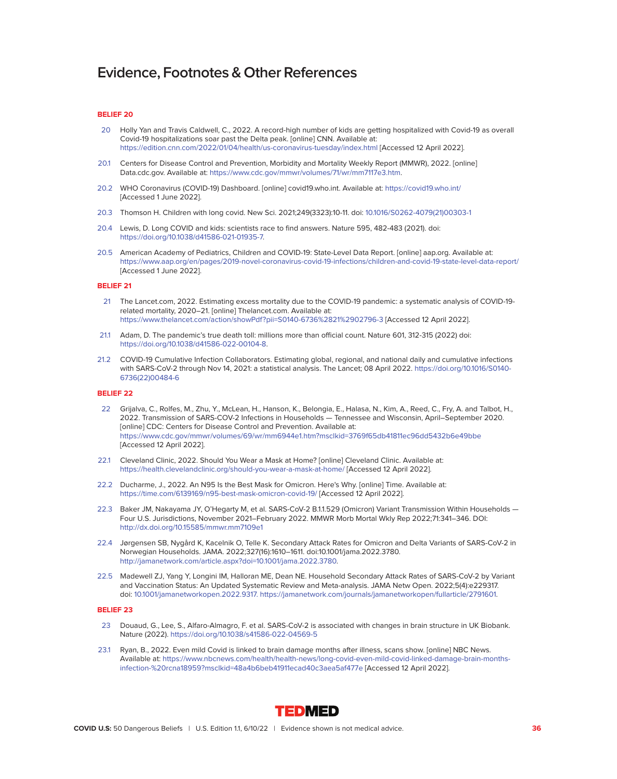# **BELIEF 20**

- 20 Holly Yan and Travis Caldwell, C., 2022. A record-high number of kids are getting hospitalized with Covid-19 as overall Covid-19 hospitalizations soar past the Delta peak. [online] CNN. Available at: <https://edition.cnn.com/2022/01/04/health/us-coronavirus-tuesday/index.html>[Accessed 12 April 2022].
- 20.1 Centers for Disease Control and Prevention, Morbidity and Mortality Weekly Report (MMWR), 2022. [online] Data.cdc.gov. Available at: [https://www.cdc.gov/mmwr/volumes/71/wr/mm7117e3.htm.](https://www.cdc.gov/mmwr/volumes/71/wr/mm7117e3.htm)
- 20.2 WHO Coronavirus (COVID-19) Dashboard. [online] covid19.who.int. Available at:<https://covid19.who.int/> [Accessed 1 June 2022].
- 20.3 Thomson H. Children with long covid. New Sci. 2021;249(3323):10-11. doi: [10.1016/S0262-4079\(21\)00303-1](http://10.1016/S0262-4079(21)00303-1)
- 20.4 Lewis, D. Long COVID and kids: scientists race to find answers. Nature 595, 482-483 (2021). doi: [https://doi.org/10.1038/d41586-021-01935-7.](https://doi.org/10.1038/d41586-021-01935-7)
- 20.5 American Academy of Pediatrics, Children and COVID-19: State-Level Data Report. [online] aap.org. Available at: <https://www.aap.org/en/pages/2019-novel-coronavirus-covid-19-infections/children-and-covid-19-state-level-data-report/> [Accessed 1 June 2022].

# **BELIEF 21**

- 21 The Lancet.com, 2022. Estimating excess mortality due to the COVID-19 pandemic: a systematic analysis of COVID-19 related mortality, 2020–21. [online] Thelancet.com. Available at: <https://www.thelancet.com/action/showPdf?pii=S0140-6736%2821%2902796-3>[Accessed 12 April 2022].
- 21.1 Adam, D. The pandemic's true death toll: millions more than official count. Nature 601, 312-315 (2022) doi: [https://doi.org/10.1038/d41586-022-00104-8.](https://doi.org/10.1038/d41586-022-00104-8)
- 21.2 COVID-19 Cumulative Infection Collaborators. Estimating global, regional, and national daily and cumulative infections with SARS-CoV-2 through Nov 14, 2021: a statistical analysis. The Lancet; 08 April 2022. [https://doi.org/10.1016/S0140-](https://doi.org/10.1016/S0140-6736(22)00484-6) [6736\(22\)00484-6](https://doi.org/10.1016/S0140-6736(22)00484-6)

# **BELIEF 22**

- 22 Grijalva, C., Rolfes, M., Zhu, Y., McLean, H., Hanson, K., Belongia, E., Halasa, N., Kim, A., Reed, C., Fry, A. and Talbot, H., 2022. Transmission of SARS-COV-2 Infections in Households — Tennessee and Wisconsin, April–September 2020. [online] CDC: Centers for Disease Control and Prevention. Available at: <https://www.cdc.gov/mmwr/volumes/69/wr/mm6944e1.htm?msclkid=3769f65db41811ec96dd5432b6e49bbe> [Accessed 12 April 2022].
- 22.1 Cleveland Clinic, 2022. Should You Wear a Mask at Home? [online] Cleveland Clinic. Available at: <https://health.clevelandclinic.org/should-you-wear-a-mask-at-home/>[Accessed 12 April 2022].
- 22.2 Ducharme, J., 2022. An N95 Is the Best Mask for Omicron. Here's Why. [online] Time. Available at: <https://time.com/6139169/n95-best-mask-omicron-covid-19/>[Accessed 12 April 2022].
- 22.3 Baker JM, Nakayama JY, O'Hegarty M, et al. SARS-CoV-2 B.1.1.529 (Omicron) Variant Transmission Within Households -Four U.S. Jurisdictions, November 2021–February 2022. MMWR Morb Mortal Wkly Rep 2022;71:341–346. DOI: <http://dx.doi.org/10.15585/mmwr.mm7109e1>
- 22.4 Jørgensen SB, Nygård K, Kacelnik O, Telle K. Secondary Attack Rates for Omicron and Delta Variants of SARS-CoV-2 in Norwegian Households. JAMA. 2022;327(16):1610–1611. doi:10.1001/jama.2022.3780. [http://jamanetwork.com/article.aspx?doi=10.1001/jama.2022.3780.](http://jamanetwork.com/article.aspx?doi=10.1001/jama.2022.3780)
- 22.5 Madewell ZJ, Yang Y, Longini IM, Halloran ME, Dean NE. Household Secondary Attack Rates of SARS-CoV-2 by Variant and Vaccination Status: An Updated Systematic Review and Meta-analysis. JAMA Netw Open. 2022;5(4):e229317. doi: [10.1001/jamanetworkopen.2022.9317. https://jamanetwork.com/journals/jamanetworkopen/fullarticle/2791601.](10.1001/jamanetworkopen.2022.9317. https://jamanetwork.com/journals/jamanetworkopen/fullarticle/2791601)

- 23 Douaud, G., Lee, S., Alfaro-Almagro, F. et al. SARS-CoV-2 is associated with changes in brain structure in UK Biobank. Nature (2022).<https://doi.org/10.1038/s41586-022-04569-5>
- 23.1 Ryan, B., 2022. Even mild Covid is linked to brain damage months after illness, scans show. [online] NBC News. Available at: [https://www.nbcnews.com/health/health-news/long-covid-even-mild-covid-linked-damage-brain-months](https://www.nbcnews.com/health/health-news/long-covid-even-mild-covid-linked-damage-brain-months-infection-%20rcna18959?msclkid=48a4b6beb41911ecad40c3aea5af477e)[infection-%20rcna18959?msclkid=48a4b6beb41911ecad40c3aea5af477e](https://www.nbcnews.com/health/health-news/long-covid-even-mild-covid-linked-damage-brain-months-infection-%20rcna18959?msclkid=48a4b6beb41911ecad40c3aea5af477e) [Accessed 12 April 2022].

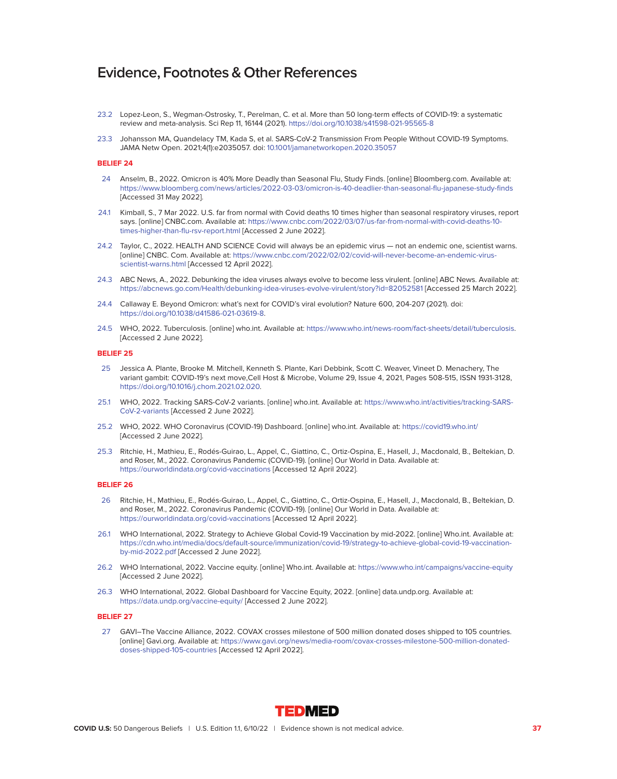- 23.2 Lopez-Leon, S., Wegman-Ostrosky, T., Perelman, C. et al. More than 50 long-term effects of COVID-19: a systematic review and meta-analysis. Sci Rep 11, 16144 (2021).<https://doi.org/10.1038/s41598-021-95565-8>
- 23.3 Johansson MA, Quandelacy TM, Kada S, et al. SARS-CoV-2 Transmission From People Without COVID-19 Symptoms. JAMA Netw Open. 2021;4(1):e2035057. doi: [10.1001/jamanetworkopen.2020.35057](http://10.1001/jamanetworkopen.2020.35057)

### **BELIEF 24**

- 24 Anselm, B., 2022. Omicron is 40% More Deadly than Seasonal Flu, Study Finds. [online] Bloomberg.com. Available at: <https://www.bloomberg.com/news/articles/2022-03-03/omicron-is-40-deadlier-than-seasonal-flu-japanese-study-finds> [Accessed 31 May 2022].
- 24.1 Kimball, S., 7 Mar 2022. U.S. far from normal with Covid deaths 10 times higher than seasonal respiratory viruses, report says. [online] CNBC.com. Available at: [https://www.cnbc.com/2022/03/07/us-far-from-normal-with-covid-deaths-10](https://www.cnbc.com/2022/03/07/us-far-from-normal-with-covid-deaths-10-times-higher-than-flu-rsv-report.html) [times-higher-than-flu-rsv-report.html](https://www.cnbc.com/2022/03/07/us-far-from-normal-with-covid-deaths-10-times-higher-than-flu-rsv-report.html) [Accessed 2 June 2022].
- 24.2 Taylor, C., 2022. HEALTH AND SCIENCE Covid will always be an epidemic virus not an endemic one, scientist warns. [online] CNBC. Com. Available at: [https://www.cnbc.com/2022/02/02/covid-will-never-become-an-endemic-virus](<https://www.cnbc.com/2022/02/02/covid-will-never-become-an-endemic-virus-scientist-warns.html)[scientist-warns.html](<https://www.cnbc.com/2022/02/02/covid-will-never-become-an-endemic-virus-scientist-warns.html) [Accessed 12 April 2022].
- 24.3 ABC News, A., 2022. Debunking the idea viruses always evolve to become less virulent. [online] ABC News. Available at: <https://abcnews.go.com/Health/debunking-idea-viruses-evolve-virulent/story?id=82052581>[Accessed 25 March 2022].
- 24.4 Callaway E. Beyond Omicron: what's next for COVID's viral evolution? Nature 600, 204-207 (2021). doi: [https://doi.org/10.1038/d41586-021-03619-8.](https://doi.org/10.1038/d41586-021-03619-8)
- 24.5 WHO, 2022. Tuberculosis. [online] who.int. Available at: [https://www.who.int/news-room/fact-sheets/detail/tuberculosis.](https://www.who.int/news-room/fact-sheets/detail/tuberculosis) [Accessed 2 June 2022].

# **BELIEF 25**

- 25 Jessica A. Plante, Brooke M. Mitchell, Kenneth S. Plante, Kari Debbink, Scott C. Weaver, Vineet D. Menachery, The variant gambit: COVID-19's next move,Cell Host & Microbe, Volume 29, Issue 4, 2021, Pages 508-515, ISSN 1931-3128, [https://doi.org/10.1016/j.chom.2021.02.020.](https://doi.org/10.1016/j.chom.2021.02.020)
- 25.1 WHO, 2022. Tracking SARS-CoV-2 variants. [online] who.int. Available at: [https://www.who.int/activities/tracking-SARS-](https://www.who.int/activities/tracking-SARS-CoV-2-variants)[CoV-2-variants](https://www.who.int/activities/tracking-SARS-CoV-2-variants) [Accessed 2 June 2022].
- 25.2 WHO, 2022. WHO Coronavirus (COVID-19) Dashboard. [online] who.int. Available at:<https://covid19.who.int/> [Accessed 2 June 2022].
- 25.3 Ritchie, H., Mathieu, E., Rodés-Guirao, L., Appel, C., Giattino, C., Ortiz-Ospina, E., Hasell, J., Macdonald, B., Beltekian, D. and Roser, M., 2022. Coronavirus Pandemic (COVID-19). [online] Our World in Data. Available at: <https://ourworldindata.org/covid-vaccinations>[Accessed 12 April 2022].

# **BELIEF 26**

- 26 Ritchie, H., Mathieu, E., Rodés-Guirao, L., Appel, C., Giattino, C., Ortiz-Ospina, E., Hasell, J., Macdonald, B., Beltekian, D. and Roser, M., 2022. Coronavirus Pandemic (COVID-19). [online] Our World in Data. Available at: <https://ourworldindata.org/covid-vaccinations>[Accessed 12 April 2022].
- 26.1 WHO International, 2022. Strategy to Achieve Global Covid-19 Vaccination by mid-2022. [online] Who.int. Available at: [https://cdn.who.int/media/docs/default-source/immunization/covid-19/strategy-to-achieve-global-covid-19-vaccination](https://cdn.who.int/media/docs/default-source/immunization/covid-19/strategy-to-achieve-global-covid-19-vaccination-by-mid-2022.pdf)[by-mid-2022.pdf](https://cdn.who.int/media/docs/default-source/immunization/covid-19/strategy-to-achieve-global-covid-19-vaccination-by-mid-2022.pdf) [Accessed 2 June 2022].
- 26.2 WHO International, 2022. Vaccine equity. [online] Who.int. Available at:<https://www.who.int/campaigns/vaccine-equity> [Accessed 2 June 2022].
- 26.3 WHO International, 2022. Global Dashboard for Vaccine Equity, 2022. [online] data.undp.org. Available at: <https://data.undp.org/vaccine-equity/>[Accessed 2 June 2022].

# **BELIEF 27**

 27 GAVI–The Vaccine Alliance, 2022. COVAX crosses milestone of 500 million donated doses shipped to 105 countries. [online] Gavi.org. Available at: [https://www.gavi.org/news/media-room/covax-crosses-milestone-500-million-donated](https://www.gavi.org/news/media-room/covax-crosses-milestone-500-million-donated-doses-shipped-105-countries)[doses-shipped-105-countries](https://www.gavi.org/news/media-room/covax-crosses-milestone-500-million-donated-doses-shipped-105-countries) [Accessed 12 April 2022].

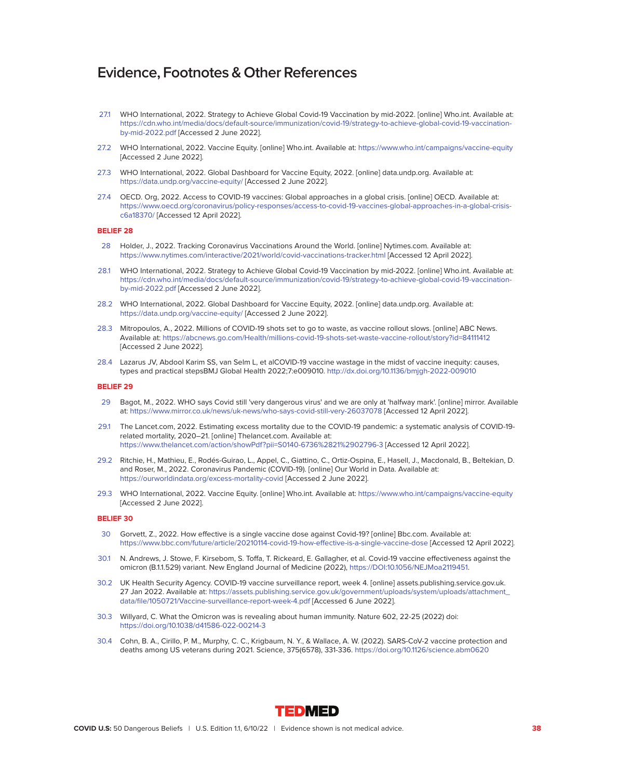- 27.1 WHO International, 2022. Strategy to Achieve Global Covid-19 Vaccination by mid-2022. [online] Who.int. Available at: [https://cdn.who.int/media/docs/default-source/immunization/covid-19/strategy-to-achieve-global-covid-19-vaccination](https://cdn.who.int/media/docs/default-source/immunization/covid-19/strategy-to-achieve-global-covid-19-vaccination-by-mid-2022.pdf)[by-mid-2022.pdf](https://cdn.who.int/media/docs/default-source/immunization/covid-19/strategy-to-achieve-global-covid-19-vaccination-by-mid-2022.pdf) [Accessed 2 June 2022].
- 27.2 WHO International, 2022. Vaccine Equity. [online] Who.int. Available at:<https://www.who.int/campaigns/vaccine-equity> [Accessed 2 June 2022].
- 27.3 WHO International, 2022. Global Dashboard for Vaccine Equity, 2022. [online] data.undp.org. Available at: <https://data.undp.org/vaccine-equity/>[Accessed 2 June 2022].
- 27.4 OECD. Org, 2022. Access to COVID-19 vaccines: Global approaches in a global crisis. [online] OECD. Available at: [https://www.oecd.org/coronavirus/policy-responses/access-to-covid-19-vaccines-global-approaches-in-a-global-crisis](https://www.oecd.org/coronavirus/policy-responses/access-to-covid-19-vaccines-global-approaches-in-a-global-crisis-c6a18370/)[c6a18370/](https://www.oecd.org/coronavirus/policy-responses/access-to-covid-19-vaccines-global-approaches-in-a-global-crisis-c6a18370/) [Accessed 12 April 2022].

#### **BELIEF 28**

- 28 Holder, J., 2022. Tracking Coronavirus Vaccinations Around the World. [online] Nytimes.com. Available at: <https://www.nytimes.com/interactive/2021/world/covid-vaccinations-tracker.html>[Accessed 12 April 2022].
- 28.1 WHO International, 2022. Strategy to Achieve Global Covid-19 Vaccination by mid-2022. [online] Who.int. Available at: [https://cdn.who.int/media/docs/default-source/immunization/covid-19/strategy-to-achieve-global-covid-19-vaccination](https://cdn.who.int/media/docs/default-source/immunization/covid-19/strategy-to-achieve-global-covid-19-vaccination-by-mid-2022.pdf)[by-mid-2022.pdf](https://cdn.who.int/media/docs/default-source/immunization/covid-19/strategy-to-achieve-global-covid-19-vaccination-by-mid-2022.pdf) [Accessed 2 June 2022].
- 28.2 WHO International, 2022. Global Dashboard for Vaccine Equity, 2022. [online] data.undp.org. Available at: <https://data.undp.org/vaccine-equity/>[Accessed 2 June 2022].
- 28.3 Mitropoulos, A., 2022. Millions of COVID-19 shots set to go to waste, as vaccine rollout slows. [online] ABC News. Available at:<https://abcnews.go.com/Health/millions-covid-19-shots-set-waste-vaccine-rollout/story?id=84111412> [Accessed 2 June 2022].
- 28.4 Lazarus JV, Abdool Karim SS, van Selm L, et alCOVID-19 vaccine wastage in the midst of vaccine inequity: causes, types and practical stepsBMJ Global Health 2022;7:e009010.<http://dx.doi.org/10.1136/bmjgh-2022-009010>

# **BELIEF 29**

- 29 Bagot, M., 2022. WHO says Covid still 'very dangerous virus' and we are only at 'halfway mark'. [online] mirror. Available at: [https://www.mirror.co.uk/news/uk-news/who-says-covid-still-very-26037078](<https://www.mirror.co.uk/news/uk-news/who-says-covid-still-very-26037078) [Accessed 12 April 2022].
- 29.1 The Lancet.com, 2022. Estimating excess mortality due to the COVID-19 pandemic: a systematic analysis of COVID-19 related mortality, 2020–21. [online] Thelancet.com. Available at: <https://www.thelancet.com/action/showPdf?pii=S0140-6736%2821%2902796-3>[Accessed 12 April 2022].
- 29.2 Ritchie, H., Mathieu, E., Rodés-Guirao, L., Appel, C., Giattino, C., Ortiz-Ospina, E., Hasell, J., Macdonald, B., Beltekian, D. and Roser, M., 2022. Coronavirus Pandemic (COVID-19). [online] Our World in Data. Available at: <https://ourworldindata.org/excess-mortality-covid>[Accessed 2 June 2022].
- 29.3 WHO International, 2022. Vaccine Equity. [online] Who.int. Available at:<https://www.who.int/campaigns/vaccine-equity> [Accessed 2 June 2022].

- 30 Gorvett, Z., 2022. How effective is a single vaccine dose against Covid-19? [online] Bbc.com. Available at: <https://www.bbc.com/future/article/20210114-covid-19-how-effective-is-a-single-vaccine-dose>[Accessed 12 April 2022].
- 30.1 N. Andrews, J. Stowe, F. Kirsebom, S. Toffa, T. Rickeard, E. Gallagher, et al. Covid-19 vaccine effectiveness against the omicron (B.1.1.529) variant. New England Journal of Medicine (2022), [https://DOI:10.1056/NEJMoa2119451.](https://DOI:10.1056/NEJMoa2119451)
- 30.2 UK Health Security Agency. COVID-19 vaccine surveillance report, week 4. [online] assets.publishing.service.gov.uk. 27 Jan 2022. Available at: [https://assets.publishing.service.gov.uk/government/uploads/system/uploads/attachment\\_](https://assets.publishing.service.gov.uk/government/uploads/system/uploads/attachment_ data/file/1050721/Vaccine-surveillance-report-week-4.pdf) [data/file/1050721/Vaccine-surveillance-report-week-4.pdf](https://assets.publishing.service.gov.uk/government/uploads/system/uploads/attachment_ data/file/1050721/Vaccine-surveillance-report-week-4.pdf) [Accessed 6 June 2022].
- 30.3 Willyard, C. What the Omicron was is revealing about human immunity. Nature 602, 22-25 (2022) doi: <https://doi.org/10.1038/d41586-022-00214-3>
- 30.4 Cohn, B. A., Cirillo, P. M., Murphy, C. C., Krigbaum, N. Y., & Wallace, A. W. (2022). SARS-CoV-2 vaccine protection and deaths among US veterans during 2021. Science, 375(6578), 331-336.<https://doi.org/10.1126/science.abm0620>

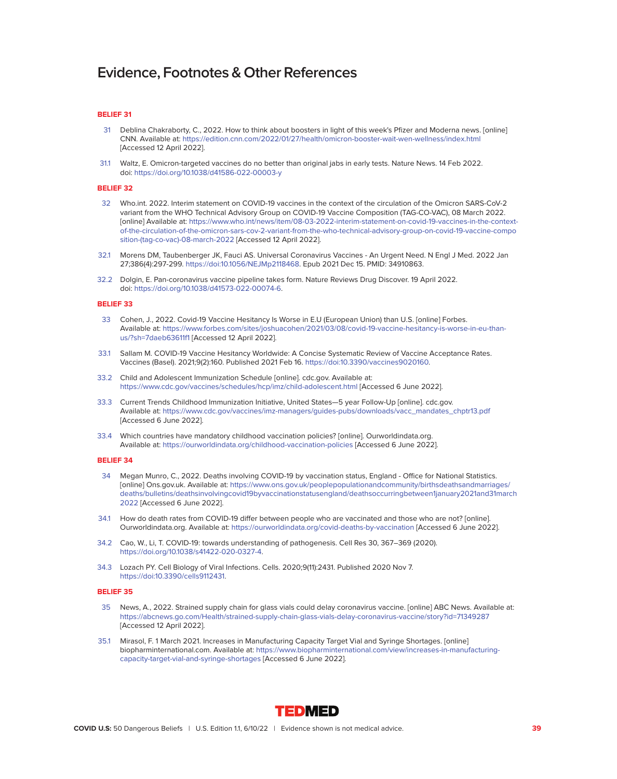# **BELIEF 31**

- 31 Deblina Chakraborty, C., 2022. How to think about boosters in light of this week's Pfizer and Moderna news. [online] CNN. Available at:<https://edition.cnn.com/2022/01/27/health/omicron-booster-wait-wen-wellness/index.html> [Accessed 12 April 2022].
- 31.1 Waltz, E. Omicron-targeted vaccines do no better than original jabs in early tests. Nature News. 14 Feb 2022. doi:<https://doi.org/10.1038/d41586-022-00003-y>

#### **BELIEF 32**

- 32 Who.int. 2022. Interim statement on COVID-19 vaccines in the context of the circulation of the Omicron SARS-CoV-2 variant from the WHO Technical Advisory Group on COVID-19 Vaccine Composition (TAG-CO-VAC), 08 March 2022. [online] Available at: [https://www.who.int/news/item/08-03-2022-interim-statement-on-covid-19-vaccines-in-the-context](https://www.who.int/news/item/08-03-2022-interim-statement-on-covid-19-vaccines-in-the-context-of-the-circulation-of-the-omicron-sars-cov-2-variant-from-the-who-technical-advisory-group-on-covid-19-vaccine-composition-(tag-co-vac)-08-march-2022)[of-the-circulation-of-the-omicron-sars-cov-2-variant-from-the-who-technical-advisory-group-on-covid-19-vaccine-compo](https://www.who.int/news/item/08-03-2022-interim-statement-on-covid-19-vaccines-in-the-context-of-the-circulation-of-the-omicron-sars-cov-2-variant-from-the-who-technical-advisory-group-on-covid-19-vaccine-composition-(tag-co-vac)-08-march-2022) [sition-\(tag-co-vac\)-08-march-2022](https://www.who.int/news/item/08-03-2022-interim-statement-on-covid-19-vaccines-in-the-context-of-the-circulation-of-the-omicron-sars-cov-2-variant-from-the-who-technical-advisory-group-on-covid-19-vaccine-composition-(tag-co-vac)-08-march-2022) [Accessed 12 April 2022].
- 32.1 Morens DM, Taubenberger JK, Fauci AS. Universal Coronavirus Vaccines An Urgent Need. N Engl J Med. 2022 Jan 27;386(4):297-299. [https://doi:10.1056/NEJMp2118468.](https://doi:10.1056/NEJMp2118468) Epub 2021 Dec 15. PMID: 34910863.
- 32.2 Dolgin, E. Pan-coronavirus vaccine pipeline takes form. Nature Reviews Drug Discover. 19 April 2022. doi: [https://doi.org/10.1038/d41573-022-00074-6.](https://doi.org/10.1038/d41573-022-00074-6)

# **BELIEF 33**

- 33 Cohen, J., 2022. Covid-19 Vaccine Hesitancy Is Worse in E.U (European Union) than U.S. [online] Forbes. Available at: [https://www.forbes.com/sites/joshuacohen/2021/03/08/covid-19-vaccine-hesitancy-is-worse-in-eu-than](https://www.forbes.com/sites/joshuacohen/2021/03/08/covid-19-vaccine-hesitancy-is-worse-in-eu-than-us/?sh=7daeb63611f1)[us/?sh=7daeb63611f1](https://www.forbes.com/sites/joshuacohen/2021/03/08/covid-19-vaccine-hesitancy-is-worse-in-eu-than-us/?sh=7daeb63611f1) [Accessed 12 April 2022].
- 33.1 Sallam M. COVID-19 Vaccine Hesitancy Worldwide: A Concise Systematic Review of Vaccine Acceptance Rates. Vaccines (Basel). 2021;9(2):160. Published 2021 Feb 16. [https://doi:10.3390/vaccines9020160.](https://doi:10.3390/vaccines9020160)
- 33.2 Child and Adolescent Immunization Schedule [online]. cdc.gov. Available at: <https://www.cdc.gov/vaccines/schedules/hcp/imz/child-adolescent.html>[Accessed 6 June 2022].
- 33.3 Current Trends Childhood Immunization Initiative, United States—5 year Follow-Up [online]. cdc.gov. Available at: [https://www.cdc.gov/vaccines/imz-managers/guides-pubs/downloads/vacc\\_mandates\\_chptr13.pdf](https://www.cdc.gov/vaccines/imz-managers/guides-pubs/downloads/vacc_mandates_chptr13.pdf) [Accessed 6 June 2022].
- 33.4 Which countries have mandatory childhood vaccination policies? [online]. Ourworldindata.org. Available at:<https://ourworldindata.org/childhood-vaccination-policies>[Accessed 6 June 2022].

# **BELIEF 34**

- 34 Megan Munro, C., 2022. Deaths involving COVID-19 by vaccination status, England Office for National Statistics. [online] Ons.gov.uk. Available at: [https://www.ons.gov.uk/peoplepopulationandcommunity/birthsdeathsandmarriages/](https://www.ons.gov.uk/peoplepopulationandcommunity/birthsdeathsandmarriages/ deaths/bulletins/deathsinvolvingcovid19byvaccinationstatusengland/deathsoccurringbetween1january2021and31march2022) [deaths/bulletins/deathsinvolvingcovid19byvaccinationstatusengland/deathsoccurringbetween1january2021and31march](https://www.ons.gov.uk/peoplepopulationandcommunity/birthsdeathsandmarriages/ deaths/bulletins/deathsinvolvingcovid19byvaccinationstatusengland/deathsoccurringbetween1january2021and31march2022) [2022](https://www.ons.gov.uk/peoplepopulationandcommunity/birthsdeathsandmarriages/ deaths/bulletins/deathsinvolvingcovid19byvaccinationstatusengland/deathsoccurringbetween1january2021and31march2022) [Accessed 6 June 2022].
- 34.1 How do death rates from COVID-19 differ between people who are vaccinated and those who are not? [online]. Ourworldindata.org. Available at:<https://ourworldindata.org/covid-deaths-by-vaccination>[Accessed 6 June 2022].
- 34.2 Cao, W., Li, T. COVID-19: towards understanding of pathogenesis. Cell Res 30, 367–369 (2020). [https://doi.org/10.1038/s41422-020-0327-4.](https://doi.org/10.1038/s41422-020-0327-4)
- 34.3 Lozach PY. Cell Biology of Viral Infections. Cells. 2020;9(11):2431. Published 2020 Nov 7. [https://doi:10.3390/cells9112431.](https://doi:10.3390/cells9112431)

- 35 News, A., 2022. Strained supply chain for glass vials could delay coronavirus vaccine. [online] ABC News. Available at: <https://abcnews.go.com/Health/strained-supply-chain-glass-vials-delay-coronavirus-vaccine/story?id=71349287> [Accessed 12 April 2022].
- 35.1 Mirasol, F. 1 March 2021. Increases in Manufacturing Capacity Target Vial and Syringe Shortages. [online] biopharminternational.com. Available at: [https://www.biopharminternational.com/view/increases-in-manufacturing](https://www.biopharminternational.com/view/increases-in-manufacturing-capacity-target-vial-and-syringe-shortages)[capacity-target-vial-and-syringe-shortages](https://www.biopharminternational.com/view/increases-in-manufacturing-capacity-target-vial-and-syringe-shortages) [Accessed 6 June 2022].

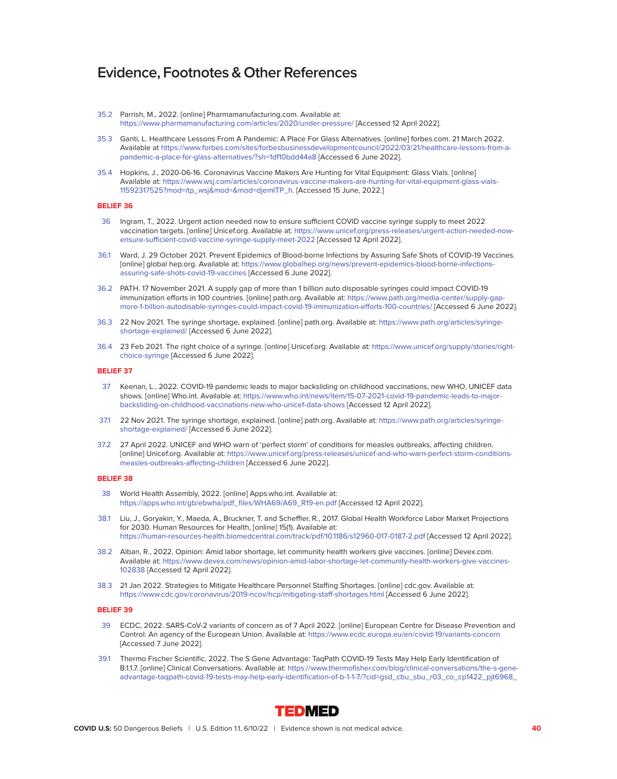- 35.2 Parrish, M., 2022. [online] Pharmamanufacturing.com. Available at: <https://www.pharmamanufacturing.com/articles/2020/under-pressure/>[Accessed 12 April 2022].
- 35.3 Ganti, L. Healthcare Lessons From A Pandemic: A Place For Glass Alternatives. [online] forbes.com. 21 March 2022. Available at [https://www.forbes.com/sites/forbesbusinessdevelopmentcouncil/2022/03/21/healthcare-lessons-from-a](https://www.forbes.com/sites/forbesbusinessdevelopmentcouncil/2022/03/21/healthcare-lessons-from-a-pandemic-a-place-for-glass-alternatives/?sh=1df10bdd44a8)[pandemic-a-place-for-glass-alternatives/?sh=1df10bdd44a8](https://www.forbes.com/sites/forbesbusinessdevelopmentcouncil/2022/03/21/healthcare-lessons-from-a-pandemic-a-place-for-glass-alternatives/?sh=1df10bdd44a8) [Accessed 6 June 2022].
- 35.4 Hopkins, J., 2020-06-16. Coronavirus Vaccine Makers Are Hunting for Vital Equipment: Glass Vials. [online] Available at: [https://www.wsj.com/articles/coronavirus-vaccine-makers-are-hunting-for-vital-equipment-glass-vials-](https://www.wsj.com/articles/coronavirus-vaccine-makers-are-hunting-for-vital-equipment-glass-vials-11592317525?mod=itp_wsj&mod=&mod=djemITP_h)[11592317525?mod=itp\\_wsj&mod=&mod=djemITP\\_h.](https://www.wsj.com/articles/coronavirus-vaccine-makers-are-hunting-for-vital-equipment-glass-vials-11592317525?mod=itp_wsj&mod=&mod=djemITP_h) [Accessed 15 June, 2022.]

# **BELIEF 36**

- 36 Ingram, T., 2022. Urgent action needed now to ensure sufficient COVID vaccine syringe supply to meet 2022 vaccination targets. [online] Unicef.org. Available at: [https://www.unicef.org/press-releases/urgent-action-needed-now](https://www.unicef.org/press-releases/urgent-action-needed-now-ensure-sufficient-covid-vaccine-syringe-supply-meet-2022)[ensure-sufficient-covid-vaccine-syringe-supply-meet-2022](https://www.unicef.org/press-releases/urgent-action-needed-now-ensure-sufficient-covid-vaccine-syringe-supply-meet-2022) [Accessed 12 April 2022].
- 36.1 Ward, J. 29 October 2021. Prevent Epidemics of Blood-borne Infections by Assuring Safe Shots of COVID-19 Vaccines. [online] global hep.org. Available at: [https://www.globalhep.org/news/prevent-epidemics-blood-borne-infections](https://www.globalhep.org/news/prevent-epidemics-blood-borne-infections-assuring-safe-shots-covid-19-vaccines)[assuring-safe-shots-covid-19-vaccines](https://www.globalhep.org/news/prevent-epidemics-blood-borne-infections-assuring-safe-shots-covid-19-vaccines) [Accessed 6 June 2022].
- 36.2 PATH. 17 November 2021. A supply gap of more than 1 billion auto disposable syringes could impact COVID-19 immunization efforts in 100 countries. [online] path.org. Available at: [https://www.path.org/media-center/supply-gap](https://www.path.org/media-center/supply-gap-more-1-billion-autodisable-syringes-could-impact-covid-19-immunization-efforts-100-countries/)[more-1-billion-autodisable-syringes-could-impact-covid-19-immunization-efforts-100-countries/](https://www.path.org/media-center/supply-gap-more-1-billion-autodisable-syringes-could-impact-covid-19-immunization-efforts-100-countries/) [Accessed 6 June 2022].
- 36.3 22 Nov 2021. The syringe shortage, explained. [online] path.org. Available at: [https://www.path.org/articles/syringe](https://www.path.org/articles/syringe-shortage-explained/)[shortage-explained/](https://www.path.org/articles/syringe-shortage-explained/) [Accessed 6 June 2022].
- 36.4 23 Feb 2021. The right choice of a syringe. [online] Unicef.org. Available at: [https://www.unicef.org/supply/stories/right](https://www.unicef.org/supply/stories/right-choice-syringe)[choice-syringe](https://www.unicef.org/supply/stories/right-choice-syringe) [Accessed 6 June 2022].

### **BELIEF 37**

- 37 Keenan, L., 2022. COVID-19 pandemic leads to major backsliding on childhood vaccinations, new WHO, UNICEF data shows. [online] Who.int. Available at: [https://www.who.int/news/item/15-07-2021-covid-19-pandemic-leads-to-major](https://www.who.int/news/item/15-07-2021-covid-19-pandemic-leads-to-major-backsliding-on-childhood-vaccinations-new-who-unicef-data-shows)[backsliding-on-childhood-vaccinations-new-who-unicef-data-shows](https://www.who.int/news/item/15-07-2021-covid-19-pandemic-leads-to-major-backsliding-on-childhood-vaccinations-new-who-unicef-data-shows) [Accessed 12 April 2022].
- 37.1 22 Nov 2021. The syringe shortage, explained. [online] path.org. Available at: [https://www.path.org/articles/syringe](https://www.path.org/articles/syringe-shortage-explained/)[shortage-explained/](https://www.path.org/articles/syringe-shortage-explained/) [Accessed 6 June 2022].
- 37.2 27 April 2022. UNICEF and WHO warn of 'perfect storm' of conditions for measles outbreaks, affecting children. [online] Unicef.org. Available at: [https://www.unicef.org/press-releases/unicef-and-who-warn-perfect-storm-conditions](https://www.unicef.org/press-releases/unicef-and-who-warn-perfect-storm-conditions-measles-outbreaks-affecting-children)[measles-outbreaks-affecting-children](https://www.unicef.org/press-releases/unicef-and-who-warn-perfect-storm-conditions-measles-outbreaks-affecting-children) [Accessed 6 June 2022].

# **BELIEF 38**

- 38 World Health Assembly, 2022. [online] Apps.who.int. Available at: [https://apps.who.int/gb/ebwha/pdf\\_files/WHA69/A69\\_R19-en.pdf](https://apps.who.int/gb/ebwha/pdf_files/WHA69/A69_R19-en.pdf) [Accessed 12 April 2022].
- 38.1 Liu, J., Goryakin, Y., Maeda, A., Bruckner, T. and Scheffler, R., 2017. Global Health Workforce Labor Market Projections for 2030. Human Resources for Health, [online] 15(1). Available at: <https://human-resources-health.biomedcentral.com/track/pdf/10.1186/s12960-017-0187-2.pdf>[Accessed 12 April 2022].
- 38.2 Alban, R., 2022. Opinion: Amid labor shortage, let community health workers give vaccines. [online] Devex.com. Available at: [https://www.devex.com/news/opinion-amid-labor-shortage-let-community-health-workers-give-vaccines-](https://www.devex.com/news/opinion-amid-labor-shortage-let-community-health-workers-give-vaccines-102838)[102838](https://www.devex.com/news/opinion-amid-labor-shortage-let-community-health-workers-give-vaccines-102838) [Accessed 12 April 2022].
- 38.3 21 Jan 2022. Strategies to Mitigate Healthcare Personnel Staffing Shortages. [online] cdc.gov. Available at: <https://www.cdc.gov/coronavirus/2019-ncov/hcp/mitigating-staff-shortages.html>[Accessed 6 June 2022].

- 39 ECDC, 2022. SARS-CoV-2 variants of concern as of 7 April 2022. [online] European Centre for Disease Prevention and Control: An agency of the European Union. Available at:<https://www.ecdc.europa.eu/en/covid-19/variants-concern> [Accessed 7 June 2022].
- 39.1 Thermo Fischer Scientific, 2022. The S Gene Advantage: TaqPath COVID-19 Tests May Help Early Identification of B.1.1.7. [online] Clinical Conversations. Available at: [https://www.thermofisher.com/blog/clinical-conversations/the-s-gene](https://www.thermofisher.com/blog/clinical-conversations/the-)[advantage-taqpath-covid-19-tests-may-help-early-identification-of-b-1-1-7/?cid=gsd\\_cbu\\_sbu\\_r03\\_co\\_cp1422\\_pjt6968\\_](https://www.thermofisher.com/blog/clinical-conversations/the-)

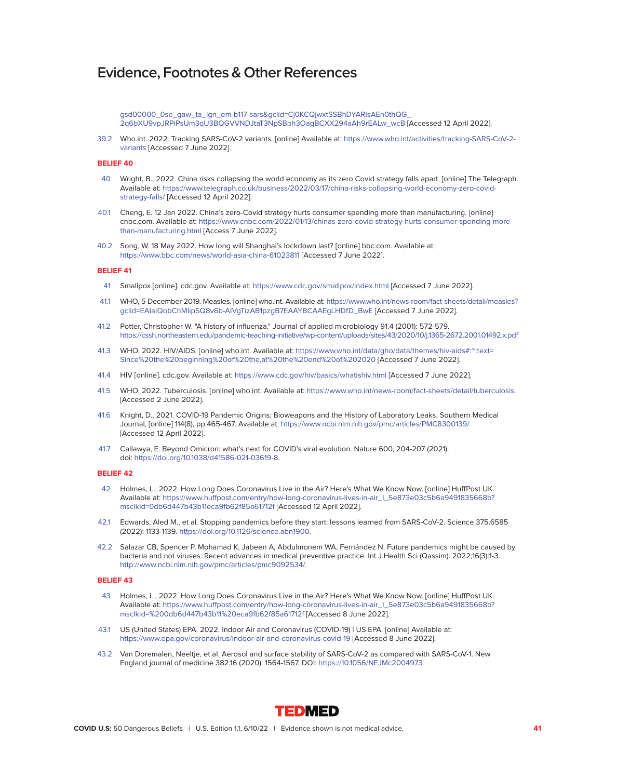[gsd00000\\_0se\\_gaw\\_ta\\_lgn\\_em-b117-sars&gclid=Cj0KCQjwxtSSBhDYARIsAEn0thQG\\_](https://www.thermofisher.com/blog/clinical-conversations/the-) [2q6bXU9vpJRPiPsUm3qU3BQGVVNDJtaT3NpSBph3OagBCXX294aAh9rEALw\\_wcB](https://www.thermofisher.com/blog/clinical-conversations/the-) [Accessed 12 April 2022].

39.2 Who.int. 2022. Tracking SARS-CoV-2 variants. [online] Available at: [https://www.who.int/activities/tracking-SARS-CoV-2](https://www.who.int/activities/tracking-SARS-CoV-2-variants) [variants](https://www.who.int/activities/tracking-SARS-CoV-2-variants) [Accessed 7 June 2022].

#### **BELIEF 40**

- 40 Wright, B., 2022. China risks collapsing the world economy as its zero Covid strategy falls apart. [online] The Telegraph. Available at: [https://www.telegraph.co.uk/business/2022/03/17/china-risks-collapsing-world-economy-zero-covid](https://www.telegraph.co.uk/business/2022/03/17/china-risks-collapsing-world-economy-zero-covid-strategy-falls/)[strategy-falls/](https://www.telegraph.co.uk/business/2022/03/17/china-risks-collapsing-world-economy-zero-covid-strategy-falls/) [Accessed 12 April 2022].
- 40.1 Cheng, E. 12 Jan 2022. China's zero-Covid strategy hurts consumer spending more than manufacturing. [online] cnbc.com. Available at: [https://www.cnbc.com/2022/01/13/chinas-zero-covid-strategy-hurts-consumer-spending-more](https://www.cnbc.com/2022/01/13/chinas-zero-covid-strategy-hurts-consumer-spending-more-than-manufacturing.html)[than-manufacturing.html](https://www.cnbc.com/2022/01/13/chinas-zero-covid-strategy-hurts-consumer-spending-more-than-manufacturing.html) [Access 7 June 2022].
- 40.2 Song, W. 18 May 2022. How long will Shanghai's lockdown last? [online] bbc.com. Available at: <https://www.bbc.com/news/world-asia-china-61023811>[Accessed 7 June 2022].

# **BELIEF 41**

- 41 Smallpox [online]. cdc.gov. Available at:<https://www.cdc.gov/smallpox/index.html>[Accessed 7 June 2022].
- 41.1 WHO, 5 December 2019. Measles. [online] who.int. Available at: [https://www.who.int/news-room/fact-sheets/detail/measles?](https://www.who.int/news-room/fact-sheets/detail/measles?  gclid=EAIaIQobChMIipSQ8v6b-AIVgTizAB1pzgB7EAAYBCAAEgLHDfD_BwE)  [gclid=EAIaIQobChMIipSQ8v6b-AIVgTizAB1pzgB7EAAYBCAAEgLHDfD\\_BwE](https://www.who.int/news-room/fact-sheets/detail/measles?  gclid=EAIaIQobChMIipSQ8v6b-AIVgTizAB1pzgB7EAAYBCAAEgLHDfD_BwE) [Accessed 7 June 2022].
- 41.2 Potter, Christopher W. "A history of influenza." Journal of applied microbiology 91.4 (2001): 572-579. <https://cssh.northeastern.edu/pandemic-teaching-initiative/wp-content/uploads/sites/43/2020/10/j.1365-2672.2001.01492.x.pdf>
- 41.3 WHO, 2022. HIV/AIDS. [online] who.int. Available at: [https://www.who.int/data/gho/data/themes/hiv-aids#:~:text=](https://www.who.int/data/gho/data/themes/hiv-aids#:~:text= Since%20the%20beginning%20of%20the,at%20the%20end%20of%202020) [Since%20the%20beginning%20of%20the,at%20the%20end%20of%202020](https://www.who.int/data/gho/data/themes/hiv-aids#:~:text= Since%20the%20beginning%20of%20the,at%20the%20end%20of%202020) [Accessed 7 June 2022].
- 41.4 HIV [online]. cdc.gov. Available at:<https://www.cdc.gov/hiv/basics/whatishiv.html>[Accessed 7 June 2022].
- 41.5 WHO, 2022. Tuberculosis. [online] who.int. Available at: [https://www.who.int/news-room/fact-sheets/detail/tuberculosis.](https://www.who.int/news-room/fact-sheets/detail/tuberculosis) [Accessed 2 June 2022].
- 41.6 Knight, D., 2021. COVID-19 Pandemic Origins: Bioweapons and the History of Laboratory Leaks. Southern Medical Journal, [online] 114(8), pp.465-467. Available at:<https://www.ncbi.nlm.nih.gov/pmc/articles/PMC8300139/> [Accessed 12 April 2022].
- 41.7 Callawya, E. Beyond Omicron: what's next for COVID's viral evolution. Nature 600, 204-207 (2021). doi: [https://doi.org/10.1038/d41586-021-03619-8.](https://doi.org/10.1038/d41586-021-03619-8)

# **BELIEF 42**

- 42 Holmes, L., 2022. How Long Does Coronavirus Live in the Air? Here's What We Know Now. [online] HuffPost UK. Available at: [https://www.huffpost.com/entry/how-long-coronavirus-lives-in-air\\_l\\_5e873e03c5b6a9491835668b?](https://www.huffpost.com/entry/how-long-coronavirus-lives-in-air_l_5e873e03c5b6a9491835668b? msclkid=0db6d447b43b11eca9fb62f85a61712f) [msclkid=0db6d447b43b11eca9fb62f85a61712f](https://www.huffpost.com/entry/how-long-coronavirus-lives-in-air_l_5e873e03c5b6a9491835668b? msclkid=0db6d447b43b11eca9fb62f85a61712f) [Accessed 12 April 2022].
- 42.1 Edwards, Aled M., et al. Stopping pandemics before they start: lessons learned from SARS-CoV-2. Science 375.6585 (2022): 1133-1139. [https://doi.org/10.1126/science.abn1900.](https://doi.org/10.1126/science.abn1900)
- 42.2 Salazar CB, Spencer P, Mohamad K, Jabeen A, Abdulmonem WA, Fernández N. Future pandemics might be caused by bacteria and not viruses: Recent advances in medical preventive practice. Int J Health Sci (Qassim). 2022;16(3):1-3. [http://www.ncbi.nlm.nih.gov/pmc/articles/pmc9092534/.](http://www.ncbi.nlm.nih.gov/pmc/articles/pmc9092534/)

- 43 Holmes, L., 2022. How Long Does Coronavirus Live in the Air? Here's What We Know Now. [online] HuffPost UK. Available at: [https://www.huffpost.com/entry/how-long-coronavirus-lives-in-air\\_l\\_5e873e03c5b6a9491835668b?](https://www.huffpost.com/entry/how-long-coronavirus-lives-in-air_l_5e873e03c5b6a9491835668b? msclkid=%200db6d447b43b11%20eca9fb62f85a61712f) [msclkid=%200db6d447b43b11%20eca9fb62f85a61712f](https://www.huffpost.com/entry/how-long-coronavirus-lives-in-air_l_5e873e03c5b6a9491835668b? msclkid=%200db6d447b43b11%20eca9fb62f85a61712f) [Accessed 8 June 2022].
- 43.1 US (United States) EPA. 2022. Indoor Air and Coronavirus (COVID-19) | US EPA. [online] Available at: <https://www.epa.gov/coronavirus/indoor-air-and-coronavirus-covid-19>[Accessed 8 June 2022].
- 43.2 Van Doremalen, Neeltje, et al. Aerosol and surface stability of SARS-CoV-2 as compared with SARS-CoV-1. New England journal of medicine 382.16 (2020): 1564-1567. DOI:<https://10.1056/NEJMc2004973>

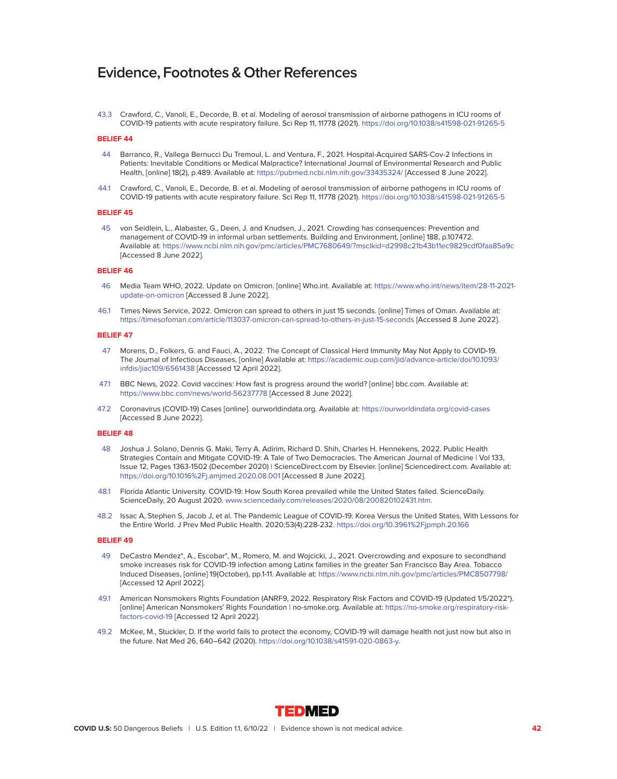43.3 Crawford, C., Vanoli, E., Decorde, B. et al. Modeling of aerosol transmission of airborne pathogens in ICU rooms of COVID-19 patients with acute respiratory failure. Sci Rep 11, 11778 (2021).<https://doi.org/10.1038/s41598-021-91265-5>

# **BELIEF 44**

- 44 Barranco, R., Vallega Bernucci Du Tremoul, L. and Ventura, F., 2021. Hospital-Acquired SARS-Cov-2 Infections in Patients: Inevitable Conditions or Medical Malpractice? International Journal of Environmental Research and Public Health, [online] 18(2), p.489. Available at:<https://pubmed.ncbi.nlm.nih.gov/33435324/>[Accessed 8 June 2022].
- 44.1 Crawford, C., Vanoli, E., Decorde, B. et al. Modeling of aerosol transmission of airborne pathogens in ICU rooms of COVID-19 patients with acute respiratory failure. Sci Rep 11, 11778 (2021).<https://doi.org/10.1038/s41598-021-91265-5>

#### **BELIEF 45**

 45 von Seidlein, L., Alabaster, G., Deen, J. and Knudsen, J., 2021. Crowding has consequences: Prevention and management of COVID-19 in informal urban settlements. Building and Environment, [online] 188, p.107472. Available at:<https://www.ncbi.nlm.nih.gov/pmc/articles/PMC7680649/?msclkid=d2998c21b43b11ec9829cdf0faa85a9c> [Accessed 8 June 2022].

# **BELIEF 46**

- 46 Media Team WHO, 2022. Update on Omicron. [online] Who.int. Available at: [https://www.who.int/news/item/28-11-2021](<https://www.who.int/news/item/28-11-2021-update-on-omicron) [update-on-omicron](<https://www.who.int/news/item/28-11-2021-update-on-omicron) [Accessed 8 June 2022].
- 46.1 Times News Service, 2022. Omicron can spread to others in just 15 seconds. [online] Times of Oman. Available at: <https://timesofoman.com/article/113037-omicron-can-spread-to-others-in-just-15-seconds>[Accessed 8 June 2022].

### **BELIEF 47**

- 47 Morens, D., Folkers, G. and Fauci, A., 2022. The Concept of Classical Herd Immunity May Not Apply to COVID-19. The Journal of Infectious Diseases, [online] Available at: [https://academic.oup.com/jid/advance-article/doi/10.1093/](https://academic.oup.com/jid/advance-article/doi/10.1093/ infdis/jiac109/6561438) [infdis/jiac109/6561438](https://academic.oup.com/jid/advance-article/doi/10.1093/ infdis/jiac109/6561438) [Accessed 12 April 2022].
- 47.1 BBC News, 2022. Covid vaccines: How fast is progress around the world? [online] bbc.com. Available at: <https://www.bbc.com/news/world-56237778>[Accessed 8 June 2022].
- 47.2 Coronavirus (COVID-19) Cases [online]. ourworldindata.org. Available at:<https://ourworldindata.org/covid-cases> [Accessed 8 June 2022].

# **BELIEF 48**

- 48 Joshua J. Solano, Dennis G. Maki, Terry A. Adirim, Richard D. Shih, Charles H. Hennekens, 2022. Public Health Strategies Contain and Mitigate COVID-19: A Tale of Two Democracies. The American Journal of Medicine | Vol 133, Issue 12, Pages 1363-1502 (December 2020) | ScienceDirect.com by Elsevier. [online] Sciencedirect.com. Available at: <https://doi.org/10.1016%2Fj.amjmed.2020.08.001>[Accessed 8 June 2022].
- 48.1 Florida Atlantic University. COVID-19: How South Korea prevailed while the United States failed. ScienceDaily. ScienceDaily, 20 August 2020. [www.sciencedaily.com/releases/2020/08/200820102431.htm.](http://www.sciencedaily.com/releases/2020/08/200820102431.htm)
- 48.2 Issac A, Stephen S, Jacob J, et al. The Pandemic League of COVID-19: Korea Versus the United States, With Lessons for the Entire World. J Prev Med Public Health. 2020;53(4):228-232.<https://doi.org/10.3961%2Fjpmph.20.166>

- 49 DeCastro Mendez\*, A., Escobar\*, M., Romero, M. and Wojcicki, J., 2021. Overcrowding and exposure to secondhand smoke increases risk for COVID-19 infection among Latinx families in the greater San Francisco Bay Area. Tobacco Induced Diseases, [online] 19(October), pp.1-11. Available at:<https://www.ncbi.nlm.nih.gov/pmc/articles/PMC8507798/> [Accessed 12 April 2022].
- 49.1 American Nonsmokers Rights Foundation (ANRF9, 2022. Respiratory Risk Factors and COVID-19 (Updated 1/5/2022\*). [online] American Nonsmokers' Rights Foundation | no-smoke.org. Available at: [https://no-smoke.org/respiratory-risk](https://no-smoke.org/respiratory-risk-factors-covid-19)[factors-covid-19](https://no-smoke.org/respiratory-risk-factors-covid-19) [Accessed 12 April 2022].
- 49.2 McKee, M., Stuckler, D. If the world fails to protect the economy, COVID-19 will damage health not just now but also in the future. Nat Med 26, 640–642 (2020). [https://doi.org/10.1038/s41591-020-0863-y.](https://doi.org/10.1038/s41591-020-0863-y)